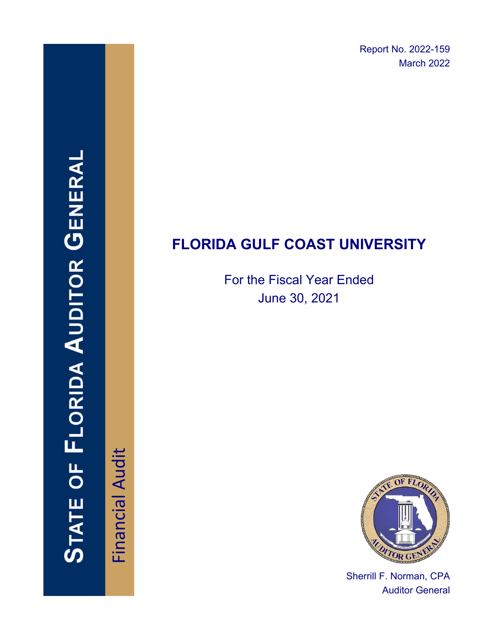Report No. 2022-159 March 2022

# **STATE OF FLORIDA AUDITOR GENERA**

Financial Audit Financial Audit

# **FLORIDA GULF COAST UNIVERSITY**

For the Fiscal Year Ended June 30, 2021



Sherrill F. Norman, CPA Auditor General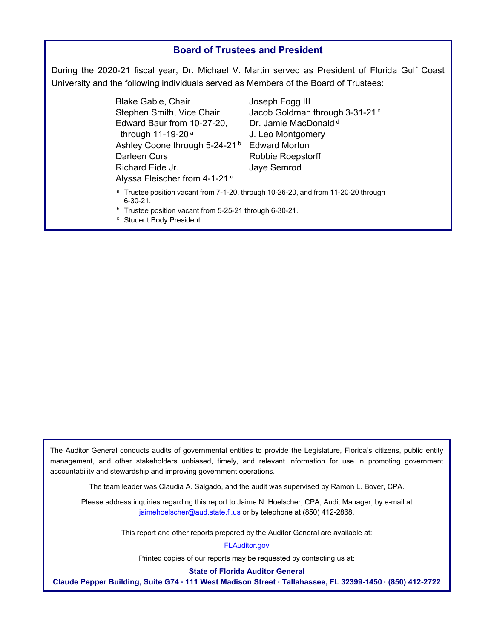### **Board of Trustees and President**

During the 2020-21 fiscal year, Dr. Michael V. Martin served as President of Florida Gulf Coast University and the following individuals served as Members of the Board of Trustees:

> Blake Gable, Chair **Joseph Fogg III** Stephen Smith, Vice Chair Jacob Goldman through 3-31-21<sup>c</sup> Edward Baur from 10-27-20, Dr. Jamie MacDonald<sup>d</sup> through 11-19-20 $a$  J. Leo Montgomery Ashley Coone through  $5-24-21$ <sup>b</sup> Edward Morton Darleen Cors **Robbie Roepstorff** Richard Eide Jr. **Jaye Semrod** Alyssa Fleischer from 4-1-21 c

- 
- a Trustee position vacant from 7-1-20, through 10-26-20, and from 11-20-20 through
- 6-30-21.<br><sup>b</sup> Trustee position vacant from 5-25-21 through 6-30-21.<br><sup>c</sup> Student Body President.
- 

The Auditor General conducts audits of governmental entities to provide the Legislature, Florida's citizens, public entity management, and other stakeholders unbiased, timely, and relevant information for use in promoting government accountability and stewardship and improving government operations.

The team leader was Claudia A. Salgado, and the audit was supervised by Ramon L. Bover, CPA.

Please address inquiries regarding this report to Jaime N. Hoelscher, CPA, Audit Manager, by e-mail at jaimehoelscher@aud.state.fl.us or by telephone at (850) 412-2868.

This report and other reports prepared by the Auditor General are available at:

[FLAuditor.gov](http://flauditor.gov/) 

Printed copies of our reports may be requested by contacting us at:

**State of Florida Auditor General** 

**Claude Pepper Building, Suite G74 · 111 West Madison Street · Tallahassee, FL 32399-1450 · (850) 412-2722**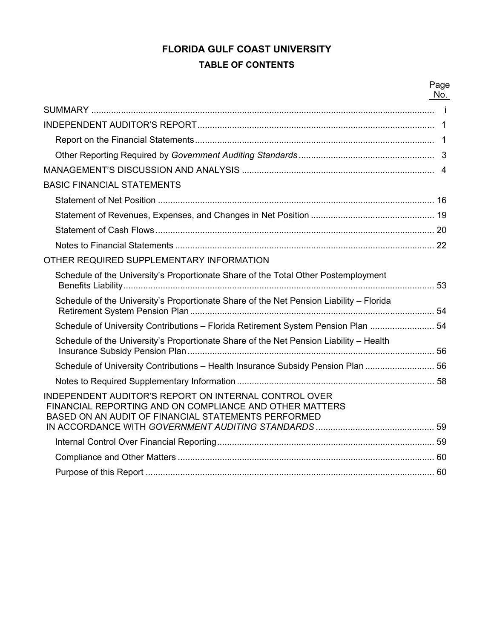### **FLORIDA GULF COAST UNIVERSITY TABLE OF CONTENTS**

Page

| No.                                                                                                                                                                     |
|-------------------------------------------------------------------------------------------------------------------------------------------------------------------------|
|                                                                                                                                                                         |
|                                                                                                                                                                         |
|                                                                                                                                                                         |
|                                                                                                                                                                         |
|                                                                                                                                                                         |
| <b>BASIC FINANCIAL STATEMENTS</b>                                                                                                                                       |
|                                                                                                                                                                         |
|                                                                                                                                                                         |
|                                                                                                                                                                         |
|                                                                                                                                                                         |
| OTHER REQUIRED SUPPLEMENTARY INFORMATION                                                                                                                                |
| Schedule of the University's Proportionate Share of the Total Other Postemployment                                                                                      |
| Schedule of the University's Proportionate Share of the Net Pension Liability - Florida                                                                                 |
| Schedule of University Contributions - Florida Retirement System Pension Plan  54                                                                                       |
| Schedule of the University's Proportionate Share of the Net Pension Liability - Health                                                                                  |
| Schedule of University Contributions - Health Insurance Subsidy Pension Plan  56                                                                                        |
|                                                                                                                                                                         |
| INDEPENDENT AUDITOR'S REPORT ON INTERNAL CONTROL OVER<br>FINANCIAL REPORTING AND ON COMPLIANCE AND OTHER MATTERS<br>BASED ON AN AUDIT OF FINANCIAL STATEMENTS PERFORMED |
|                                                                                                                                                                         |
|                                                                                                                                                                         |
|                                                                                                                                                                         |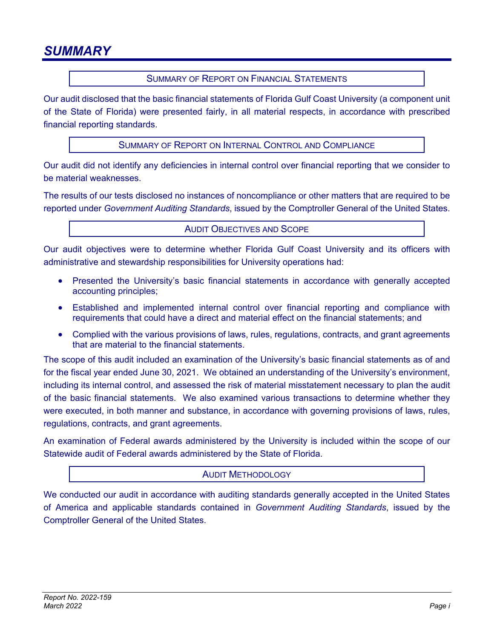### SUMMARY OF REPORT ON FINANCIAL STATEMENTS

<span id="page-3-0"></span>Our audit disclosed that the basic financial statements of Florida Gulf Coast University (a component unit of the State of Florida) were presented fairly, in all material respects, in accordance with prescribed financial reporting standards.

SUMMARY OF REPORT ON INTERNAL CONTROL AND COMPLIANCE

Our audit did not identify any deficiencies in internal control over financial reporting that we consider to be material weaknesses.

The results of our tests disclosed no instances of noncompliance or other matters that are required to be reported under *Government Auditing Standards*, issued by the Comptroller General of the United States.

### AUDIT OBJECTIVES AND SCOPE

Our audit objectives were to determine whether Florida Gulf Coast University and its officers with administrative and stewardship responsibilities for University operations had:

- Presented the University's basic financial statements in accordance with generally accepted accounting principles;
- Established and implemented internal control over financial reporting and compliance with requirements that could have a direct and material effect on the financial statements; and
- Complied with the various provisions of laws, rules, regulations, contracts, and grant agreements that are material to the financial statements.

The scope of this audit included an examination of the University's basic financial statements as of and for the fiscal year ended June 30, 2021. We obtained an understanding of the University's environment, including its internal control, and assessed the risk of material misstatement necessary to plan the audit of the basic financial statements. We also examined various transactions to determine whether they were executed, in both manner and substance, in accordance with governing provisions of laws, rules, regulations, contracts, and grant agreements.

An examination of Federal awards administered by the University is included within the scope of our Statewide audit of Federal awards administered by the State of Florida.

### AUDIT METHODOLOGY

We conducted our audit in accordance with auditing standards generally accepted in the United States of America and applicable standards contained in *Government Auditing Standards*, issued by the Comptroller General of the United States.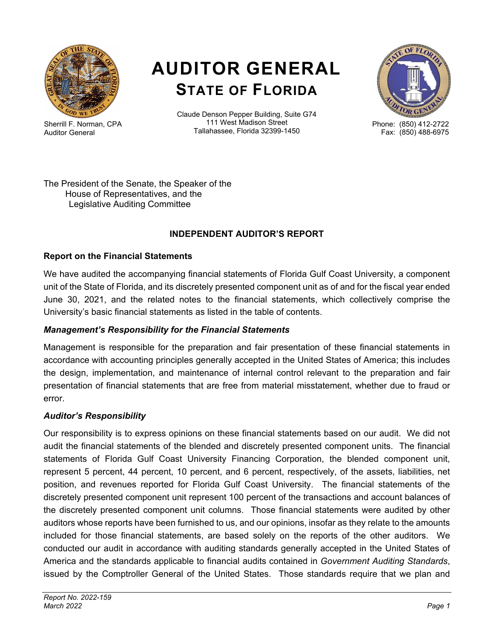<span id="page-4-0"></span>

Sherrill F. Norman, CPA Auditor General

# **AUDITOR GENERAL STATE OF FLORIDA**

Claude Denson Pepper Building, Suite G74 111 West Madison Street Tallahassee, Florida 32399-1450



Phone: (850) 412-2722 Fax: (850) 488-6975

The President of the Senate, the Speaker of the House of Representatives, and the Legislative Auditing Committee

### **INDEPENDENT AUDITOR'S REPORT**

### **Report on the Financial Statements**

We have audited the accompanying financial statements of Florida Gulf Coast University, a component unit of the State of Florida, and its discretely presented component unit as of and for the fiscal year ended June 30, 2021, and the related notes to the financial statements, which collectively comprise the University's basic financial statements as listed in the table of contents.

### *Management's Responsibility for the Financial Statements*

Management is responsible for the preparation and fair presentation of these financial statements in accordance with accounting principles generally accepted in the United States of America; this includes the design, implementation, and maintenance of internal control relevant to the preparation and fair presentation of financial statements that are free from material misstatement, whether due to fraud or error.

### *Auditor's Responsibility*

Our responsibility is to express opinions on these financial statements based on our audit. We did not audit the financial statements of the blended and discretely presented component units. The financial statements of Florida Gulf Coast University Financing Corporation, the blended component unit, represent 5 percent, 44 percent, 10 percent, and 6 percent, respectively, of the assets, liabilities, net position, and revenues reported for Florida Gulf Coast University. The financial statements of the discretely presented component unit represent 100 percent of the transactions and account balances of the discretely presented component unit columns. Those financial statements were audited by other auditors whose reports have been furnished to us, and our opinions, insofar as they relate to the amounts included for those financial statements, are based solely on the reports of the other auditors. We conducted our audit in accordance with auditing standards generally accepted in the United States of America and the standards applicable to financial audits contained in *Government Auditing Standards*, issued by the Comptroller General of the United States. Those standards require that we plan and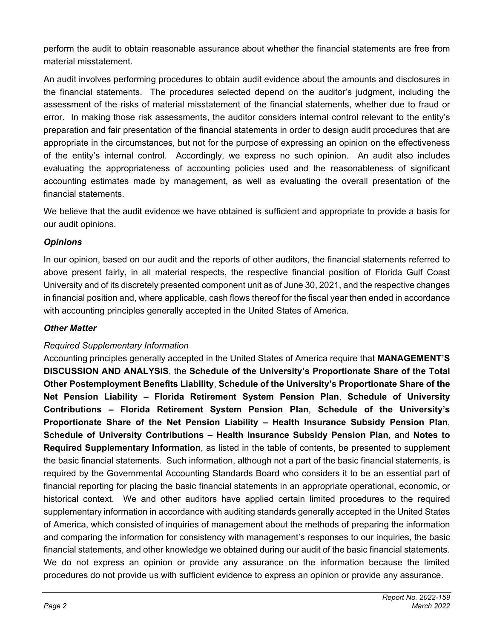perform the audit to obtain reasonable assurance about whether the financial statements are free from material misstatement.

An audit involves performing procedures to obtain audit evidence about the amounts and disclosures in the financial statements. The procedures selected depend on the auditor's judgment, including the assessment of the risks of material misstatement of the financial statements, whether due to fraud or error. In making those risk assessments, the auditor considers internal control relevant to the entity's preparation and fair presentation of the financial statements in order to design audit procedures that are appropriate in the circumstances, but not for the purpose of expressing an opinion on the effectiveness of the entity's internal control. Accordingly, we express no such opinion. An audit also includes evaluating the appropriateness of accounting policies used and the reasonableness of significant accounting estimates made by management, as well as evaluating the overall presentation of the financial statements.

We believe that the audit evidence we have obtained is sufficient and appropriate to provide a basis for our audit opinions.

### *Opinions*

In our opinion, based on our audit and the reports of other auditors, the financial statements referred to above present fairly, in all material respects, the respective financial position of Florida Gulf Coast University and of its discretely presented component unit as of June 30, 2021, and the respective changes in financial position and, where applicable, cash flows thereof for the fiscal year then ended in accordance with accounting principles generally accepted in the United States of America.

### *Other Matter*

### *Required Supplementary Information*

Accounting principles generally accepted in the United States of America require that **MANAGEMENT'S DISCUSSION AND ANALYSIS**, the **Schedule of the University's Proportionate Share of the Total Other Postemployment Benefits Liability**, **Schedule of the University's Proportionate Share of the Net Pension Liability – Florida Retirement System Pension Plan**, **Schedule of University Contributions – Florida Retirement System Pension Plan**, **Schedule of the University's Proportionate Share of the Net Pension Liability – Health Insurance Subsidy Pension Plan**, **Schedule of University Contributions – Health Insurance Subsidy Pension Plan**, and **Notes to Required Supplementary Information**, as listed in the table of contents, be presented to supplement the basic financial statements. Such information, although not a part of the basic financial statements, is required by the Governmental Accounting Standards Board who considers it to be an essential part of financial reporting for placing the basic financial statements in an appropriate operational, economic, or historical context. We and other auditors have applied certain limited procedures to the required supplementary information in accordance with auditing standards generally accepted in the United States of America, which consisted of inquiries of management about the methods of preparing the information and comparing the information for consistency with management's responses to our inquiries, the basic financial statements, and other knowledge we obtained during our audit of the basic financial statements. We do not express an opinion or provide any assurance on the information because the limited procedures do not provide us with sufficient evidence to express an opinion or provide any assurance.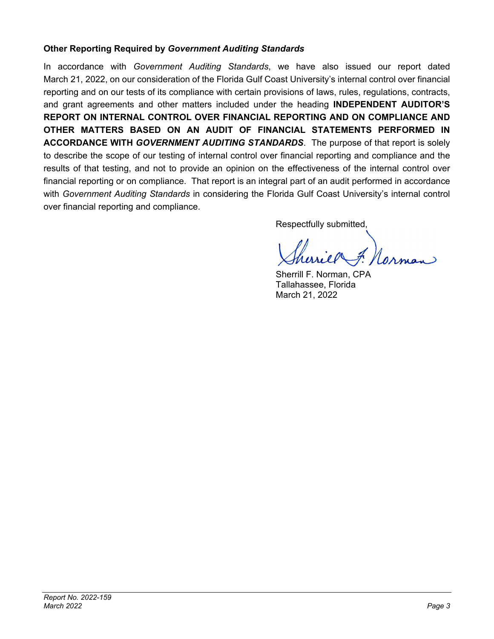### <span id="page-6-0"></span>**Other Reporting Required by** *Government Auditing Standards*

In accordance with *Government Auditing Standards*, we have also issued our report dated March 21, 2022, on our consideration of the Florida Gulf Coast University's internal control over financial reporting and on our tests of its compliance with certain provisions of laws, rules, regulations, contracts, and grant agreements and other matters included under the heading **INDEPENDENT AUDITOR'S REPORT ON INTERNAL CONTROL OVER FINANCIAL REPORTING AND ON COMPLIANCE AND OTHER MATTERS BASED ON AN AUDIT OF FINANCIAL STATEMENTS PERFORMED IN ACCORDANCE WITH** *GOVERNMENT AUDITING STANDARDS*. The purpose of that report is solely to describe the scope of our testing of internal control over financial reporting and compliance and the results of that testing, and not to provide an opinion on the effectiveness of the internal control over financial reporting or on compliance. That report is an integral part of an audit performed in accordance with *Government Auditing Standards* in considering the Florida Gulf Coast University's internal control over financial reporting and compliance.

Respectfully submitted,

Sherrill F. Norman, CPA Tallahassee, Florida March 21, 2022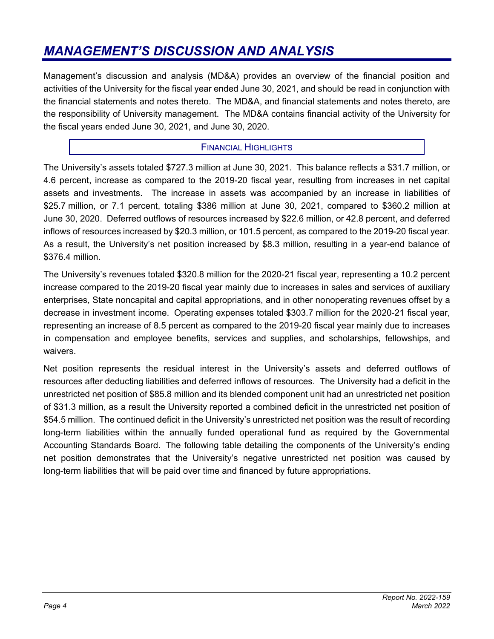## <span id="page-7-0"></span>*MANAGEMENT'S DISCUSSION AND ANALYSIS*

Management's discussion and analysis (MD&A) provides an overview of the financial position and activities of the University for the fiscal year ended June 30, 2021, and should be read in conjunction with the financial statements and notes thereto. The MD&A, and financial statements and notes thereto, are the responsibility of University management. The MD&A contains financial activity of the University for the fiscal years ended June 30, 2021, and June 30, 2020.

### FINANCIAL HIGHLIGHTS

The University's assets totaled \$727.3 million at June 30, 2021. This balance reflects a \$31.7 million, or 4.6 percent, increase as compared to the 2019-20 fiscal year, resulting from increases in net capital assets and investments. The increase in assets was accompanied by an increase in liabilities of \$25.7 million, or 7.1 percent, totaling \$386 million at June 30, 2021, compared to \$360.2 million at June 30, 2020. Deferred outflows of resources increased by \$22.6 million, or 42.8 percent, and deferred inflows of resources increased by \$20.3 million, or 101.5 percent, as compared to the 2019-20 fiscal year. As a result, the University's net position increased by \$8.3 million, resulting in a year-end balance of \$376.4 million.

The University's revenues totaled \$320.8 million for the 2020-21 fiscal year, representing a 10.2 percent increase compared to the 2019-20 fiscal year mainly due to increases in sales and services of auxiliary enterprises, State noncapital and capital appropriations, and in other nonoperating revenues offset by a decrease in investment income. Operating expenses totaled \$303.7 million for the 2020-21 fiscal year, representing an increase of 8.5 percent as compared to the 2019-20 fiscal year mainly due to increases in compensation and employee benefits, services and supplies, and scholarships, fellowships, and waivers.

Net position represents the residual interest in the University's assets and deferred outflows of resources after deducting liabilities and deferred inflows of resources. The University had a deficit in the unrestricted net position of \$85.8 million and its blended component unit had an unrestricted net position of \$31.3 million, as a result the University reported a combined deficit in the unrestricted net position of \$54.5 million. The continued deficit in the University's unrestricted net position was the result of recording long-term liabilities within the annually funded operational fund as required by the Governmental Accounting Standards Board. The following table detailing the components of the University's ending net position demonstrates that the University's negative unrestricted net position was caused by long-term liabilities that will be paid over time and financed by future appropriations.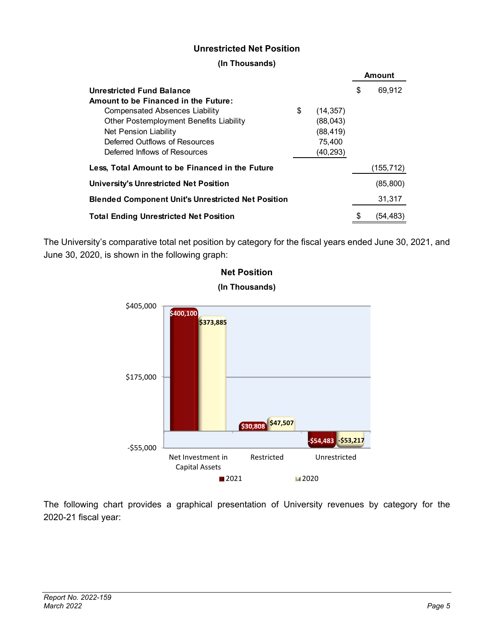### **Unrestricted Net Position**

### **(In Thousands)**

|                                                           |                 | Amount         |
|-----------------------------------------------------------|-----------------|----------------|
| Unrestricted Fund Balance                                 |                 | \$<br>69,912   |
| Amount to be Financed in the Future:                      |                 |                |
| Compensated Absences Liability                            | \$<br>(14, 357) |                |
| Other Postemployment Benefits Liability                   | (88, 043)       |                |
| Net Pension Liability                                     | (88, 419)       |                |
| Deferred Outflows of Resources                            | 75.400          |                |
| Deferred Inflows of Resources                             | (40, 293)       |                |
| Less, Total Amount to be Financed in the Future           |                 | (155, 712)     |
| <b>University's Unrestricted Net Position</b>             |                 | (85, 800)      |
| <b>Blended Component Unit's Unrestricted Net Position</b> |                 | 31,317         |
| <b>Total Ending Unrestricted Net Position</b>             |                 | \$<br>(54,483) |

The University's comparative total net position by category for the fiscal years ended June 30, 2021, and June 30, 2020, is shown in the following graph:



**Net Position** 

**(In Thousands)** 

The following chart provides a graphical presentation of University revenues by category for the 2020-21 fiscal year: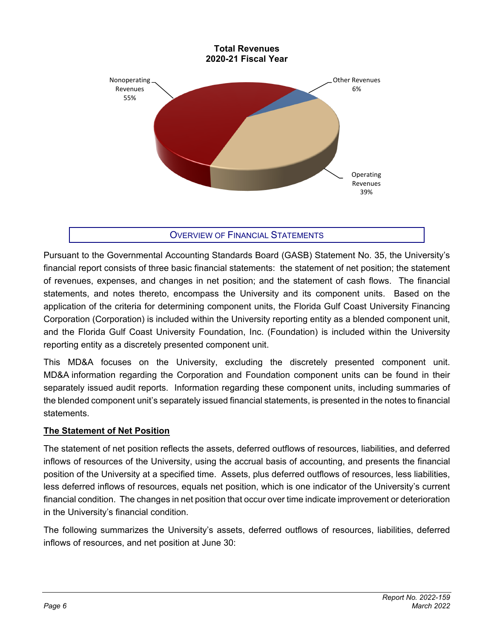

### OVERVIEW OF FINANCIAL STATEMENTS

Pursuant to the Governmental Accounting Standards Board (GASB) Statement No. 35, the University's financial report consists of three basic financial statements: the statement of net position; the statement of revenues, expenses, and changes in net position; and the statement of cash flows. The financial statements, and notes thereto, encompass the University and its component units. Based on the application of the criteria for determining component units, the Florida Gulf Coast University Financing Corporation (Corporation) is included within the University reporting entity as a blended component unit, and the Florida Gulf Coast University Foundation, Inc. (Foundation) is included within the University reporting entity as a discretely presented component unit.

This MD&A focuses on the University, excluding the discretely presented component unit. MD&A information regarding the Corporation and Foundation component units can be found in their separately issued audit reports. Information regarding these component units, including summaries of the blended component unit's separately issued financial statements, is presented in the notes to financial statements.

### **The Statement of Net Position**

The statement of net position reflects the assets, deferred outflows of resources, liabilities, and deferred inflows of resources of the University, using the accrual basis of accounting, and presents the financial position of the University at a specified time. Assets, plus deferred outflows of resources, less liabilities, less deferred inflows of resources, equals net position, which is one indicator of the University's current financial condition. The changes in net position that occur over time indicate improvement or deterioration in the University's financial condition.

The following summarizes the University's assets, deferred outflows of resources, liabilities, deferred inflows of resources, and net position at June 30: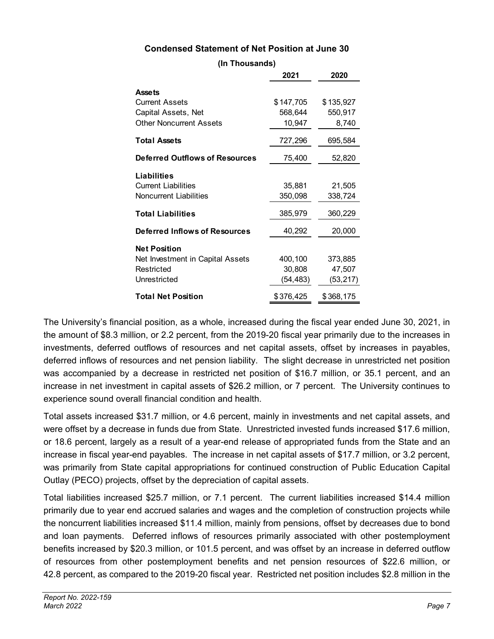### **Condensed Statement of Net Position at June 30**

|                                       | 2021      | 2020      |
|---------------------------------------|-----------|-----------|
| Assets                                |           |           |
| Current Assets                        | \$147,705 | \$135,927 |
| Capital Assets, Net                   | 568,644   | 550,917   |
| <b>Other Noncurrent Assets</b>        | 10,947    | 8,740     |
| <b>Total Assets</b>                   | 727,296   | 695,584   |
| <b>Deferred Outflows of Resources</b> | 75,400    | 52,820    |
| Liabilities                           |           |           |
| Current Liabilities                   | 35,881    | 21,505    |
| Noncurrent Liabilities                | 350,098   | 338,724   |
| <b>Total Liabilities</b>              | 385,979   | 360,229   |
| <b>Deferred Inflows of Resources</b>  | 40,292    | 20,000    |
| Net Position                          |           |           |
| Net Investment in Capital Assets      | 400,100   | 373,885   |
| Restricted                            | 30,808    | 47,507    |
| Unrestricted                          | (54,483)  | (53, 217) |
| Total Net Position                    | \$376,425 | \$368,175 |

**(In Thousands)** 

The University's financial position, as a whole, increased during the fiscal year ended June 30, 2021, in the amount of \$8.3 million, or 2.2 percent, from the 2019-20 fiscal year primarily due to the increases in investments, deferred outflows of resources and net capital assets, offset by increases in payables, deferred inflows of resources and net pension liability. The slight decrease in unrestricted net position was accompanied by a decrease in restricted net position of \$16.7 million, or 35.1 percent, and an increase in net investment in capital assets of \$26.2 million, or 7 percent. The University continues to experience sound overall financial condition and health.

Total assets increased \$31.7 million, or 4.6 percent, mainly in investments and net capital assets, and were offset by a decrease in funds due from State. Unrestricted invested funds increased \$17.6 million, or 18.6 percent, largely as a result of a year-end release of appropriated funds from the State and an increase in fiscal year-end payables. The increase in net capital assets of \$17.7 million, or 3.2 percent, was primarily from State capital appropriations for continued construction of Public Education Capital Outlay (PECO) projects, offset by the depreciation of capital assets.

Total liabilities increased \$25.7 million, or 7.1 percent. The current liabilities increased \$14.4 million primarily due to year end accrued salaries and wages and the completion of construction projects while the noncurrent liabilities increased \$11.4 million, mainly from pensions, offset by decreases due to bond and loan payments. Deferred inflows of resources primarily associated with other postemployment benefits increased by \$20.3 million, or 101.5 percent, and was offset by an increase in deferred outflow of resources from other postemployment benefits and net pension resources of \$22.6 million, or 42.8 percent, as compared to the 2019-20 fiscal year. Restricted net position includes \$2.8 million in the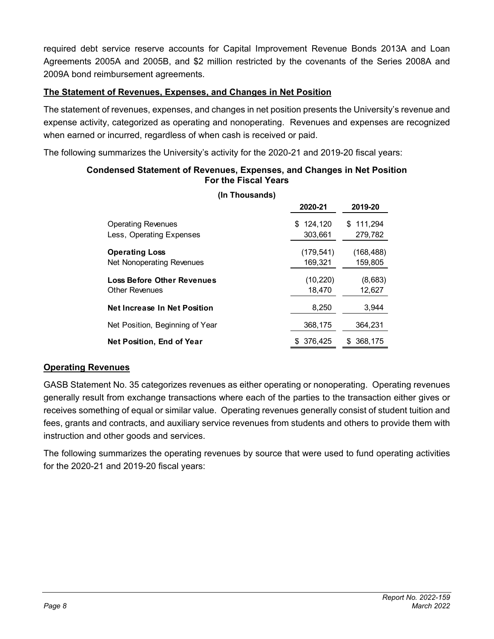required debt service reserve accounts for Capital Improvement Revenue Bonds 2013A and Loan Agreements 2005A and 2005B, and \$2 million restricted by the covenants of the Series 2008A and 2009A bond reimbursement agreements.

### **The Statement of Revenues, Expenses, and Changes in Net Position**

The statement of revenues, expenses, and changes in net position presents the University's revenue and expense activity, categorized as operating and nonoperating. Revenues and expenses are recognized when earned or incurred, regardless of when cash is received or paid.

The following summarizes the University's activity for the 2020-21 and 2019-20 fiscal years:

### **Condensed Statement of Revenues, Expenses, and Changes in Net Position For the Fiscal Years**

**(In Thousands)** 

| 1111 1110u3u11u31                                          |                       |                          |  |  |  |
|------------------------------------------------------------|-----------------------|--------------------------|--|--|--|
|                                                            | 2020-21               | 2019-20                  |  |  |  |
| <b>Operating Revenues</b><br>Less, Operating Expenses      | \$124,120<br>303,661  | 111,294<br>\$<br>279,782 |  |  |  |
| <b>Operating Loss</b><br><b>Net Nonoperating Revenues</b>  | (179, 541)<br>169,321 | (168, 488)<br>159,805    |  |  |  |
| <b>Loss Before Other Revenues</b><br><b>Other Revenues</b> | (10, 220)<br>18,470   | (8,683)<br>12,627        |  |  |  |
| <b>Net Increase In Net Position</b>                        | 8,250                 | 3,944                    |  |  |  |
| Net Position, Beginning of Year                            | 368.175               | 364.231                  |  |  |  |
| <b>Net Position, End of Year</b>                           | \$376,425             | 368,175                  |  |  |  |

### **Operating Revenues**

GASB Statement No. 35 categorizes revenues as either operating or nonoperating. Operating revenues generally result from exchange transactions where each of the parties to the transaction either gives or receives something of equal or similar value. Operating revenues generally consist of student tuition and fees, grants and contracts, and auxiliary service revenues from students and others to provide them with instruction and other goods and services.

The following summarizes the operating revenues by source that were used to fund operating activities for the 2020-21 and 2019-20 fiscal years: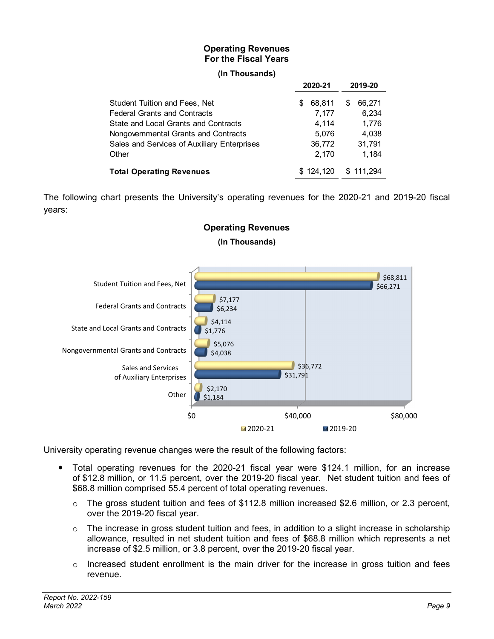### **Operating Revenues For the Fiscal Years**

### **(In Thousands)**

|                                                                             | 2020-21              | 2019-20              |  |
|-----------------------------------------------------------------------------|----------------------|----------------------|--|
| <b>Student Tuition and Fees, Net</b><br><b>Federal Grants and Contracts</b> | 68.811<br>S<br>7,177 | 66.271<br>S<br>6,234 |  |
| State and Local Grants and Contracts                                        | 4,114                | 1,776                |  |
| Nongovernmental Grants and Contracts                                        | 5,076                | 4,038                |  |
| Sales and Services of Auxiliary Enterprises                                 | 36,772               | 31,791               |  |
| Other                                                                       | 2,170                | 1,184                |  |
| <b>Total Operating Revenues</b>                                             | \$124.120            | \$111.294            |  |

The following chart presents the University's operating revenues for the 2020-21 and 2019-20 fiscal years:



### **Operating Revenues (In Thousands)**

University operating revenue changes were the result of the following factors:

- Total operating revenues for the 2020-21 fiscal year were \$124.1 million, for an increase of \$12.8 million, or 11.5 percent, over the 2019-20 fiscal year. Net student tuition and fees of \$68.8 million comprised 55.4 percent of total operating revenues.
	- $\circ$  The gross student tuition and fees of \$112.8 million increased \$2.6 million, or 2.3 percent, over the 2019-20 fiscal year.
	- o The increase in gross student tuition and fees, in addition to a slight increase in scholarship allowance, resulted in net student tuition and fees of \$68.8 million which represents a net increase of \$2.5 million, or 3.8 percent, over the 2019-20 fiscal year.
	- $\circ$  Increased student enrollment is the main driver for the increase in gross tuition and fees revenue.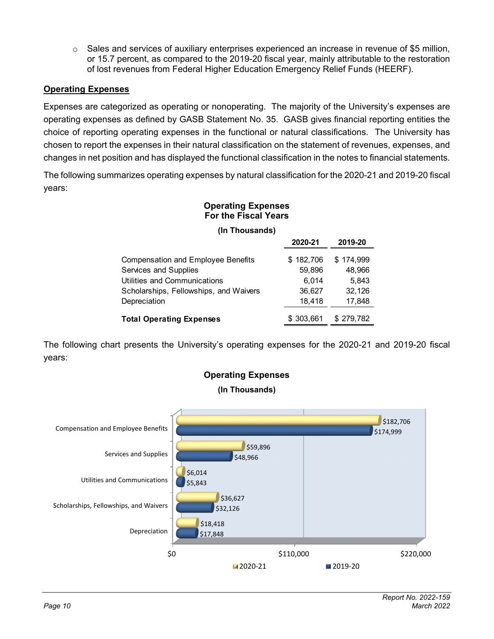$\circ$  Sales and services of auxiliary enterprises experienced an increase in revenue of \$5 million, or 15.7 percent, as compared to the 2019-20 fiscal year, mainly attributable to the restoration of lost revenues from Federal Higher Education Emergency Relief Funds (HEERF).

### **Operating Expenses**

Expenses are categorized as operating or nonoperating. The majority of the University's expenses are operating expenses as defined by GASB Statement No. 35. GASB gives financial reporting entities the choice of reporting operating expenses in the functional or natural classifications. The University has chosen to report the expenses in their natural classification on the statement of revenues, expenses, and changes in net position and has displayed the functional classification in the notes to financial statements.

The following summarizes operating expenses by natural classification for the 2020-21 and 2019-20 fiscal years:

### **Operating Expenses For the Fiscal Years**

### **(In Thousands) 2020-21 2019-20** Compensation and Employee Benefits  $$ 182,706 $ 174,999$ Services and Supplies 69,896 59,896 48,966 Utilities and Communications 6,014 5,843 Scholarships, Fellowships, and Waivers 36,627 32,126 Depreciation 18,418 17,848 **Total Operating Expenses**  $$ 303,661 $ 279,782$

The following chart presents the University's operating expenses for the 2020-21 and 2019-20 fiscal years:

**Operating Expenses** 

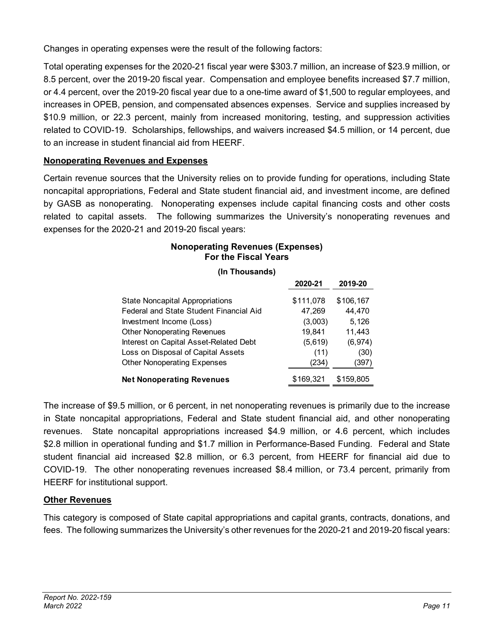Changes in operating expenses were the result of the following factors:

Total operating expenses for the 2020-21 fiscal year were \$303.7 million, an increase of \$23.9 million, or 8.5 percent, over the 2019-20 fiscal year. Compensation and employee benefits increased \$7.7 million, or 4.4 percent, over the 2019-20 fiscal year due to a one-time award of \$1,500 to regular employees, and increases in OPEB, pension, and compensated absences expenses. Service and supplies increased by \$10.9 million, or 22.3 percent, mainly from increased monitoring, testing, and suppression activities related to COVID-19. Scholarships, fellowships, and waivers increased \$4.5 million, or 14 percent, due to an increase in student financial aid from HEERF.

### **Nonoperating Revenues and Expenses**

Certain revenue sources that the University relies on to provide funding for operations, including State noncapital appropriations, Federal and State student financial aid, and investment income, are defined by GASB as nonoperating. Nonoperating expenses include capital financing costs and other costs related to capital assets. The following summarizes the University's nonoperating revenues and expenses for the 2020-21 and 2019-20 fiscal years:

### **Nonoperating Revenues (Expenses) For the Fiscal Years**

### **(In Thousands)**

**2020-21 2019-20**

|                                                | ZUZU-Z I  | 2019-20   |
|------------------------------------------------|-----------|-----------|
| <b>State Noncapital Appropriations</b>         | \$111,078 | \$106,167 |
| <b>Federal and State Student Financial Aid</b> | 47,269    | 44,470    |
| Investment Income (Loss)                       | (3,003)   | 5,126     |
| <b>Other Nonoperating Revenues</b>             | 19,841    | 11,443    |
| Interest on Capital Asset-Related Debt         | (5,619)   | (6, 974)  |
| Loss on Disposal of Capital Assets             | (11)      | (30)      |
| <b>Other Nonoperating Expenses</b>             | (234)     | (397)     |
| <b>Net Nonoperating Revenues</b>               | \$169.321 | \$159.805 |

The increase of \$9.5 million, or 6 percent, in net nonoperating revenues is primarily due to the increase in State noncapital appropriations, Federal and State student financial aid, and other nonoperating revenues. State noncapital appropriations increased \$4.9 million, or 4.6 percent, which includes \$2.8 million in operational funding and \$1.7 million in Performance-Based Funding. Federal and State student financial aid increased \$2.8 million, or 6.3 percent, from HEERF for financial aid due to COVID-19. The other nonoperating revenues increased \$8.4 million, or 73.4 percent, primarily from HEERF for institutional support.

### **Other Revenues**

This category is composed of State capital appropriations and capital grants, contracts, donations, and fees. The following summarizes the University's other revenues for the 2020-21 and 2019-20 fiscal years: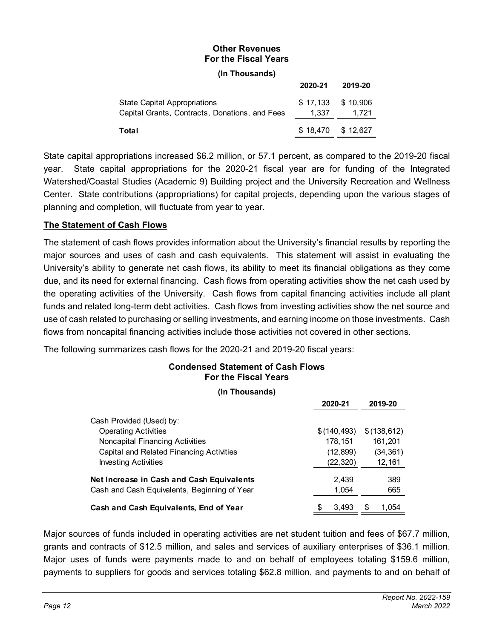### **Other Revenues For the Fiscal Years**

**(In Thousands)** 

|                                                                                       | 2020-21             | 2019-20           |
|---------------------------------------------------------------------------------------|---------------------|-------------------|
| <b>State Capital Appropriations</b><br>Capital Grants, Contracts, Donations, and Fees | \$17.133<br>1.337   | \$10.906<br>1.721 |
| Total                                                                                 | $$18,470$ $$12,627$ |                   |

State capital appropriations increased \$6.2 million, or 57.1 percent, as compared to the 2019-20 fiscal year. State capital appropriations for the 2020-21 fiscal year are for funding of the Integrated Watershed/Coastal Studies (Academic 9) Building project and the University Recreation and Wellness Center. State contributions (appropriations) for capital projects, depending upon the various stages of planning and completion, will fluctuate from year to year.

### **The Statement of Cash Flows**

The statement of cash flows provides information about the University's financial results by reporting the major sources and uses of cash and cash equivalents. This statement will assist in evaluating the University's ability to generate net cash flows, its ability to meet its financial obligations as they come due, and its need for external financing. Cash flows from operating activities show the net cash used by the operating activities of the University. Cash flows from capital financing activities include all plant funds and related long-term debt activities. Cash flows from investing activities show the net source and use of cash related to purchasing or selling investments, and earning income on those investments. Cash flows from noncapital financing activities include those activities not covered in other sections.

The following summarizes cash flows for the 2020-21 and 2019-20 fiscal years:

### **Condensed Statement of Cash Flows For the Fiscal Years**

**(In Thousands)** 

|                                              | 2020-21     | 2019-20      |
|----------------------------------------------|-------------|--------------|
| Cash Provided (Used) by:                     |             |              |
| <b>Operating Activities</b>                  | \$(140,493) | \$(138, 612) |
| <b>Noncapital Financing Activities</b>       | 178,151     | 161,201      |
| Capital and Related Financing Activities     | (12, 899)   | (34, 361)    |
| <b>Investing Activities</b>                  | (22, 320)   | 12,161       |
| Net Increase in Cash and Cash Equivalents    | 2.439       | 389          |
| Cash and Cash Equivalents, Beginning of Year | 1,054       | 665          |
| Cash and Cash Equivalents, End of Year       | \$<br>3.493 | 1.054        |

Major sources of funds included in operating activities are net student tuition and fees of \$67.7 million, grants and contracts of \$12.5 million, and sales and services of auxiliary enterprises of \$36.1 million. Major uses of funds were payments made to and on behalf of employees totaling \$159.6 million, payments to suppliers for goods and services totaling \$62.8 million, and payments to and on behalf of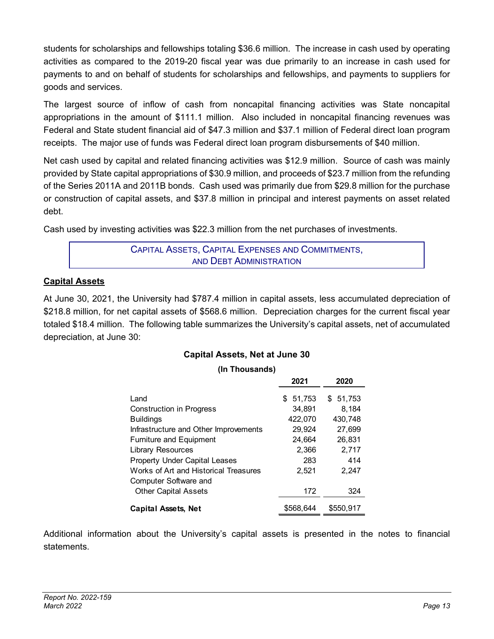students for scholarships and fellowships totaling \$36.6 million. The increase in cash used by operating activities as compared to the 2019-20 fiscal year was due primarily to an increase in cash used for payments to and on behalf of students for scholarships and fellowships, and payments to suppliers for goods and services.

The largest source of inflow of cash from noncapital financing activities was State noncapital appropriations in the amount of \$111.1 million. Also included in noncapital financing revenues was Federal and State student financial aid of \$47.3 million and \$37.1 million of Federal direct loan program receipts. The major use of funds was Federal direct loan program disbursements of \$40 million.

Net cash used by capital and related financing activities was \$12.9 million. Source of cash was mainly provided by State capital appropriations of \$30.9 million, and proceeds of \$23.7 million from the refunding of the Series 2011A and 2011B bonds. Cash used was primarily due from \$29.8 million for the purchase or construction of capital assets, and \$37.8 million in principal and interest payments on asset related debt.

Cash used by investing activities was \$22.3 million from the net purchases of investments.

CAPITAL ASSETS, CAPITAL EXPENSES AND COMMITMENTS, AND DEBT ADMINISTRATION

### **Capital Assets**

At June 30, 2021, the University had \$787.4 million in capital assets, less accumulated depreciation of \$218.8 million, for net capital assets of \$568.6 million. Depreciation charges for the current fiscal year totaled \$18.4 million. The following table summarizes the University's capital assets, net of accumulated depreciation, at June 30:

### **Capital Assets, Net at June 30**

### **(In Thousands)**

|                                       | 2021      | 2020      |
|---------------------------------------|-----------|-----------|
| Land                                  | \$51,753  | \$51,753  |
| Construction in Progress              | 34,891    | 8,184     |
| <b>Buildings</b>                      | 422,070   | 430,748   |
| Infrastructure and Other Improvements | 29,924    | 27,699    |
| <b>Furniture and Equipment</b>        | 24,664    | 26,831    |
| <b>Library Resources</b>              | 2,366     | 2,717     |
| Property Under Capital Leases         | 283       | 414       |
| Works of Art and Historical Treasures | 2,521     | 2,247     |
| Computer Software and                 |           |           |
| <b>Other Capital Assets</b>           | 172       | 324       |
| <b>Capital Assets, Net</b>            | \$568.644 | \$550.917 |

Additional information about the University's capital assets is presented in the notes to financial statements.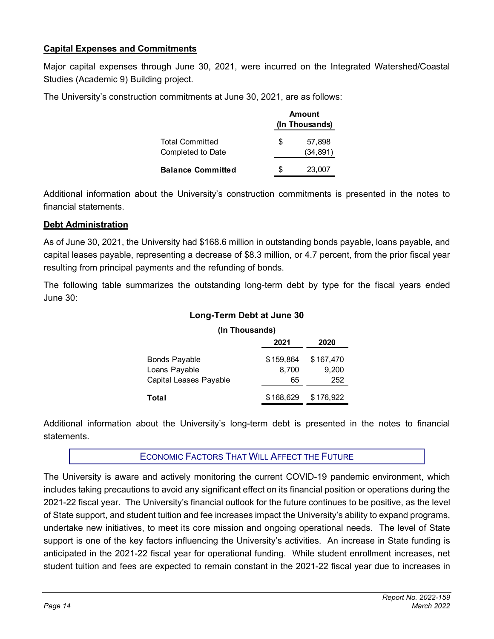### **Capital Expenses and Commitments**

Major capital expenses through June 30, 2021, were incurred on the Integrated Watershed/Coastal Studies (Academic 9) Building project.

The University's construction commitments at June 30, 2021, are as follows:

|                                             |   | Amount<br>(In Thousands) |  |  |
|---------------------------------------------|---|--------------------------|--|--|
| <b>Total Committed</b><br>Completed to Date | S | 57,898<br>(34, 891)      |  |  |
| <b>Balance Committed</b>                    | S | 23,007                   |  |  |

Additional information about the University's construction commitments is presented in the notes to financial statements.

### **Debt Administration**

As of June 30, 2021, the University had \$168.6 million in outstanding bonds payable, loans payable, and capital leases payable, representing a decrease of \$8.3 million, or 4.7 percent, from the prior fiscal year resulting from principal payments and the refunding of bonds.

The following table summarizes the outstanding long-term debt by type for the fiscal years ended June 30:

### **Long-Term Debt at June 30**

| (In Thousands)         |           |           |  |  |
|------------------------|-----------|-----------|--|--|
|                        | 2021      | 2020      |  |  |
| <b>Bonds Payable</b>   | \$159,864 | \$167,470 |  |  |
| Loans Payable          | 8,700     | 9,200     |  |  |
| Capital Leases Payable | 65        | 252       |  |  |
| Total                  | \$168,629 | \$176,922 |  |  |

Additional information about the University's long-term debt is presented in the notes to financial statements.

ECONOMIC FACTORS THAT WILL AFFECT THE FUTURE

The University is aware and actively monitoring the current COVID-19 pandemic environment, which includes taking precautions to avoid any significant effect on its financial position or operations during the 2021-22 fiscal year. The University's financial outlook for the future continues to be positive, as the level of State support, and student tuition and fee increases impact the University's ability to expand programs, undertake new initiatives, to meet its core mission and ongoing operational needs. The level of State support is one of the key factors influencing the University's activities. An increase in State funding is anticipated in the 2021-22 fiscal year for operational funding. While student enrollment increases, net student tuition and fees are expected to remain constant in the 2021-22 fiscal year due to increases in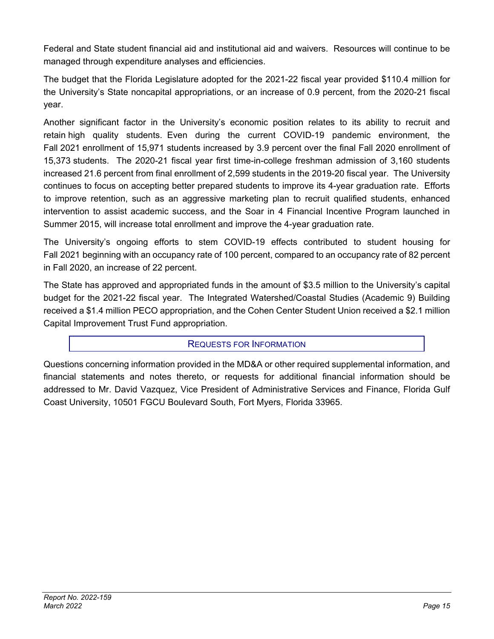Federal and State student financial aid and institutional aid and waivers. Resources will continue to be managed through expenditure analyses and efficiencies.

The budget that the Florida Legislature adopted for the 2021-22 fiscal year provided \$110.4 million for the University's State noncapital appropriations, or an increase of 0.9 percent, from the 2020-21 fiscal year.

Another significant factor in the University's economic position relates to its ability to recruit and retain high quality students. Even during the current COVID-19 pandemic environment, the Fall 2021 enrollment of 15,971 students increased by 3.9 percent over the final Fall 2020 enrollment of 15,373 students. The 2020-21 fiscal year first time-in-college freshman admission of 3,160 students increased 21.6 percent from final enrollment of 2,599 students in the 2019-20 fiscal year. The University continues to focus on accepting better prepared students to improve its 4-year graduation rate. Efforts to improve retention, such as an aggressive marketing plan to recruit qualified students, enhanced intervention to assist academic success, and the Soar in 4 Financial Incentive Program launched in Summer 2015, will increase total enrollment and improve the 4-year graduation rate.

The University's ongoing efforts to stem COVID-19 effects contributed to student housing for Fall 2021 beginning with an occupancy rate of 100 percent, compared to an occupancy rate of 82 percent in Fall 2020, an increase of 22 percent.

The State has approved and appropriated funds in the amount of \$3.5 million to the University's capital budget for the 2021-22 fiscal year. The Integrated Watershed/Coastal Studies (Academic 9) Building received a \$1.4 million PECO appropriation, and the Cohen Center Student Union received a \$2.1 million Capital Improvement Trust Fund appropriation.

### REQUESTS FOR INFORMATION

Questions concerning information provided in the MD&A or other required supplemental information, and financial statements and notes thereto, or requests for additional financial information should be addressed to Mr. David Vazquez, Vice President of Administrative Services and Finance, Florida Gulf Coast University, 10501 FGCU Boulevard South, Fort Myers, Florida 33965.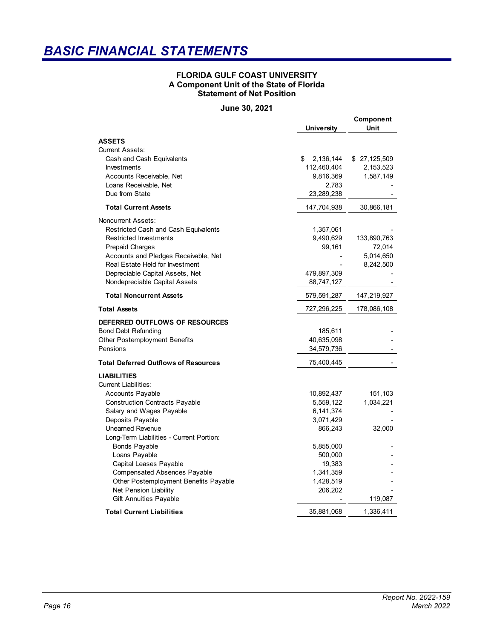# <span id="page-19-0"></span>*BASIC FINANCIAL STATEMENTS*

### **FLORIDA GULF COAST UNIVERSITY A Component Unit of the State of Florida Statement of Net Position**

**June 30, 2021** 

|                                                                | <b>University</b> | Component<br><b>Unit</b> |
|----------------------------------------------------------------|-------------------|--------------------------|
| <b>ASSETS</b>                                                  |                   |                          |
| <b>Current Assets:</b>                                         |                   |                          |
| Cash and Cash Equivalents                                      | \$<br>2, 136, 144 | \$ 27,125,509            |
| Investments                                                    | 112,460,404       | 2, 153, 523              |
| Accounts Receivable, Net                                       | 9,816,369         | 1,587,149                |
| Loans Receivable, Net                                          | 2,783             |                          |
| Due from State                                                 | 23,289,238        |                          |
| <b>Total Current Assets</b>                                    | 147,704,938       | 30,866,181               |
| <b>Noncurrent Assets:</b>                                      |                   |                          |
| Restricted Cash and Cash Equivalents                           | 1,357,061         |                          |
| <b>Restricted Investments</b>                                  | 9,490,629         | 133,890,763              |
| <b>Prepaid Charges</b>                                         | 99,161            | 72,014                   |
| Accounts and Pledges Receivable, Net                           |                   | 5,014,650                |
| Real Estate Held for Investment                                |                   | 8,242,500                |
| Depreciable Capital Assets, Net                                | 479,897,309       |                          |
| Nondepreciable Capital Assets                                  | 88,747,127        |                          |
| <b>Total Noncurrent Assets</b>                                 | 579,591,287       | 147,219,927              |
| <b>Total Assets</b>                                            | 727,296,225       | 178,086,108              |
| DEFERRED OUTFLOWS OF RESOURCES                                 |                   |                          |
| <b>Bond Debt Refunding</b>                                     | 185,611           |                          |
| <b>Other Postemployment Benefits</b>                           | 40,635,098        |                          |
| Pensions                                                       | 34,579,736        |                          |
| <b>Total Deferred Outflows of Resources</b>                    | 75,400,445        |                          |
| <b>LIABILITIES</b>                                             |                   |                          |
| <b>Current Liabilities:</b>                                    |                   |                          |
| <b>Accounts Payable</b>                                        | 10,892,437        | 151,103                  |
| <b>Construction Contracts Payable</b>                          | 5,559,122         | 1,034,221                |
| Salary and Wages Payable                                       | 6,141,374         |                          |
| Deposits Payable                                               | 3,071,429         |                          |
| <b>Unearned Revenue</b>                                        | 866,243           | 32,000                   |
| Long-Term Liabilities - Current Portion:                       |                   |                          |
| <b>Bonds Payable</b>                                           | 5,855,000         |                          |
| Loans Payable                                                  | 500,000           |                          |
| Capital Leases Payable                                         | 19,383            |                          |
| <b>Compensated Absences Payable</b>                            | 1,341,359         |                          |
| Other Postemployment Benefits Payable<br>Net Pension Liability | 1,428,519         |                          |
| Gift Annuities Payable                                         | 206,202           | 119,087                  |
| <b>Total Current Liabilities</b>                               | 35,881,068        | 1,336,411                |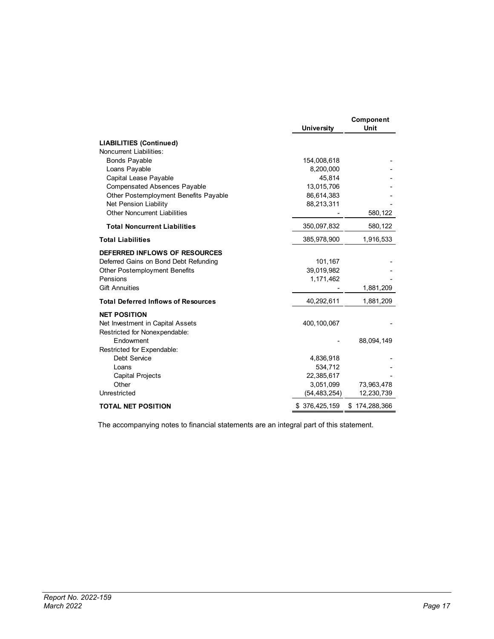|                                            |                   | Component     |  |  |
|--------------------------------------------|-------------------|---------------|--|--|
|                                            | <b>University</b> | <b>Unit</b>   |  |  |
| LIABILITIES (Continued)                    |                   |               |  |  |
| Noncurrent Liabilities:                    |                   |               |  |  |
| <b>Bonds Payable</b>                       | 154,008,618       |               |  |  |
| Loans Payable                              | 8,200,000         |               |  |  |
| Capital Lease Payable                      | 45,814            |               |  |  |
| <b>Compensated Absences Payable</b>        | 13,015,706        |               |  |  |
| Other Postemployment Benefits Payable      | 86,614,383        |               |  |  |
| <b>Net Pension Liability</b>               | 88,213,311        |               |  |  |
| <b>Other Noncurrent Liabilities</b>        |                   | 580,122       |  |  |
| <b>Total Noncurrent Liabilities</b>        | 350,097,832       | 580,122       |  |  |
| <b>Total Liabilities</b>                   | 385,978,900       | 1,916,533     |  |  |
| DEFERRED INFLOWS OF RESOURCES              |                   |               |  |  |
| Deferred Gains on Bond Debt Refunding      | 101,167           |               |  |  |
| <b>Other Postemployment Benefits</b>       | 39,019,982        |               |  |  |
| Pensions                                   | 1,171,462         |               |  |  |
| <b>Gift Annuities</b>                      |                   | 1,881,209     |  |  |
| <b>Total Deferred Inflows of Resources</b> | 40,292,611        | 1,881,209     |  |  |
| <b>NET POSITION</b>                        |                   |               |  |  |
| Net Investment in Capital Assets           | 400,100,067       |               |  |  |
| Restricted for Nonexpendable:              |                   |               |  |  |
| Endowment                                  |                   | 88,094,149    |  |  |
| Restricted for Expendable:                 |                   |               |  |  |
| Debt Service                               | 4,836,918         |               |  |  |
| Loans                                      | 534,712           |               |  |  |
| Capital Projects                           | 22,385,617        |               |  |  |
| Other                                      | 3,051,099         | 73,963,478    |  |  |
| Unrestricted                               | (54, 483, 254)    | 12,230,739    |  |  |
| <b>TOTAL NET POSITION</b>                  | \$376,425,159     | \$174,288,366 |  |  |

The accompanying notes to financial statements are an integral part of this statement.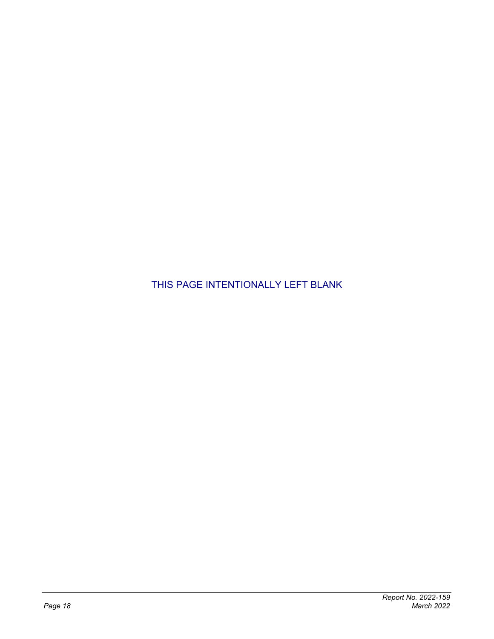THIS PAGE INTENTIONALLY LEFT BLANK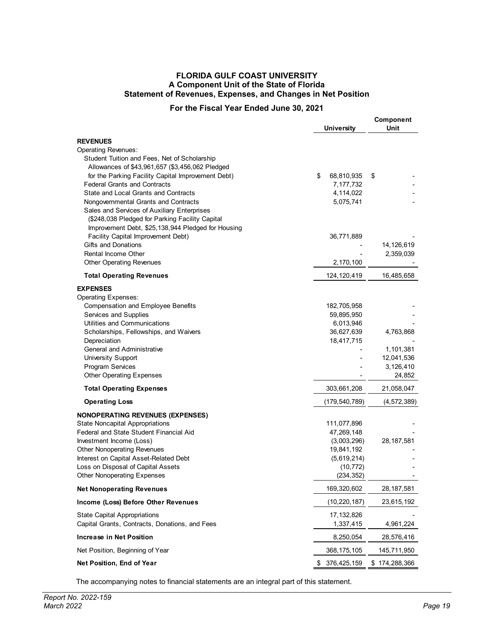### **FLORIDA GULF COAST UNIVERSITY A Component Unit of the State of Florida Statement of Revenues, Expenses, and Changes in Net Position**

### **For the Fiscal Year Ended June 30, 2021**

<span id="page-22-0"></span>

|                                                                                                |                   | Component               |
|------------------------------------------------------------------------------------------------|-------------------|-------------------------|
|                                                                                                | <b>University</b> | Unit                    |
| <b>REVENUES</b>                                                                                |                   |                         |
| <b>Operating Revenues:</b>                                                                     |                   |                         |
| Student Tuition and Fees, Net of Scholarship                                                   |                   |                         |
| Allowances of \$43,961,657 (\$3,456,062 Pledged                                                |                   |                         |
| for the Parking Facility Capital Improvement Debt)                                             | \$<br>68,810,935  | \$                      |
| <b>Federal Grants and Contracts</b>                                                            | 7,177,732         |                         |
| State and Local Grants and Contracts                                                           | 4,114,022         |                         |
| Nongovernmental Grants and Contracts                                                           | 5,075,741         |                         |
| Sales and Services of Auxiliary Enterprises<br>(\$248,038 Pledged for Parking Facility Capital |                   |                         |
| Improvement Debt, \$25,138,944 Pledged for Housing                                             |                   |                         |
| Facility Capital Improvement Debt)                                                             | 36,771,889        |                         |
| Gifts and Donations                                                                            |                   | 14,126,619              |
| Rental Income Other                                                                            |                   | 2,359,039               |
| <b>Other Operating Revenues</b>                                                                | 2,170,100         |                         |
| <b>Total Operating Revenues</b>                                                                | 124, 120, 419     | 16,485,658              |
| <b>EXPENSES</b>                                                                                |                   |                         |
| <b>Operating Expenses:</b>                                                                     |                   |                         |
| <b>Compensation and Employee Benefits</b>                                                      | 182,705,958       |                         |
| Services and Supplies                                                                          | 59,895,950        |                         |
| Utilities and Communications                                                                   | 6,013,946         |                         |
| Scholarships, Fellowships, and Waivers                                                         | 36,627,639        | 4,763,868               |
| Depreciation                                                                                   | 18,417,715        |                         |
| General and Administrative                                                                     |                   | 1,101,381               |
| University Support<br><b>Program Services</b>                                                  |                   | 12,041,536<br>3,126,410 |
| <b>Other Operating Expenses</b>                                                                |                   | 24,852                  |
| <b>Total Operating Expenses</b>                                                                | 303,661,208       | 21,058,047              |
| <b>Operating Loss</b>                                                                          | (179, 540, 789)   | (4, 572, 389)           |
| <b>NONOPERATING REVENUES (EXPENSES)</b>                                                        |                   |                         |
| <b>State Noncapital Appropriations</b>                                                         | 111,077,896       |                         |
| Federal and State Student Financial Aid                                                        | 47,269,148        |                         |
| Investment Income (Loss)                                                                       | (3,003,296)       | 28, 187, 581            |
| <b>Other Nonoperating Revenues</b>                                                             | 19,841,192        |                         |
| Interest on Capital Asset-Related Debt                                                         | (5,619,214)       |                         |
| Loss on Disposal of Capital Assets                                                             | (10, 772)         |                         |
| <b>Other Nonoperating Expenses</b>                                                             | (234, 352)        |                         |
| <b>Net Nonoperating Revenues</b>                                                               | 169,320,602       | 28, 187, 581            |
| Income (Loss) Before Other Revenues                                                            | (10, 220, 187)    | 23,615,192              |
| State Capital Appropriations                                                                   | 17,132,826        |                         |
| Capital Grants, Contracts, Donations, and Fees                                                 | 1,337,415         | 4,961,224               |
| <b>Increase in Net Position</b>                                                                | 8,250,054         | 28,576,416              |
| Net Position, Beginning of Year                                                                | 368, 175, 105     | 145,711,950             |
| Net Position, End of Year                                                                      | \$<br>376,425,159 | \$174,288,366           |

The accompanying notes to financial statements are an integral part of this statement.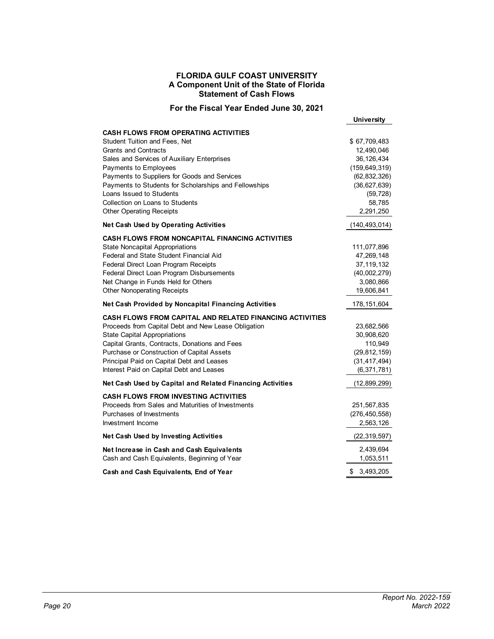### **FLORIDA GULF COAST UNIVERSITY A Component Unit of the State of Florida Statement of Cash Flows**

### **For the Fiscal Year Ended June 30, 2021**

<span id="page-23-0"></span>

|                                                                                                                                                                                                                                                                                                                                                                                                | <b>University</b>                                                                                                                   |
|------------------------------------------------------------------------------------------------------------------------------------------------------------------------------------------------------------------------------------------------------------------------------------------------------------------------------------------------------------------------------------------------|-------------------------------------------------------------------------------------------------------------------------------------|
| <b>CASH FLOWS FROM OPERATING ACTIVITIES</b><br>Student Tuition and Fees, Net<br><b>Grants and Contracts</b><br>Sales and Services of Auxiliary Enterprises<br>Payments to Employees<br>Payments to Suppliers for Goods and Services<br>Payments to Students for Scholarships and Fellowships<br>Loans Issued to Students<br>Collection on Loans to Students<br><b>Other Operating Receipts</b> | \$67,709,483<br>12,490,046<br>36,126,434<br>(159, 649, 319)<br>(62, 832, 326)<br>(36, 627, 639)<br>(59, 728)<br>58,785<br>2,291,250 |
| <b>Net Cash Used by Operating Activities</b>                                                                                                                                                                                                                                                                                                                                                   | (140, 493, 014)                                                                                                                     |
| <b>CASH FLOWS FROM NONCAPITAL FINANCING ACTIVITIES</b><br>State Noncapital Appropriations<br>Federal and State Student Financial Aid<br>Federal Direct Loan Program Receipts<br>Federal Direct Loan Program Disbursements<br>Net Change in Funds Held for Others<br><b>Other Nonoperating Receipts</b>                                                                                         | 111,077,896<br>47,269,148<br>37, 119, 132<br>(40,002,279)<br>3,080,866<br>19,606,841                                                |
| Net Cash Provided by Noncapital Financing Activities                                                                                                                                                                                                                                                                                                                                           | 178,151,604                                                                                                                         |
| CASH FLOWS FROM CAPITAL AND RELATED FINANCING ACTIVITIES<br>Proceeds from Capital Debt and New Lease Obligation<br><b>State Capital Appropriations</b><br>Capital Grants, Contracts, Donations and Fees<br>Purchase or Construction of Capital Assets<br>Principal Paid on Capital Debt and Leases<br>Interest Paid on Capital Debt and Leases                                                 | 23,682,566<br>30,908,620<br>110,949<br>(29, 812, 159)<br>(31, 417, 494)<br>(6, 371, 781)                                            |
| Net Cash Used by Capital and Related Financing Activities                                                                                                                                                                                                                                                                                                                                      | (12,899,299)                                                                                                                        |
| <b>CASH FLOWS FROM INVESTING ACTIVITIES</b><br>Proceeds from Sales and Maturities of Investments<br>Purchases of Investments<br>Investment Income                                                                                                                                                                                                                                              | 251,567,835<br>(276, 450, 558)<br>2,563,126                                                                                         |
| Net Cash Used by Investing Activities                                                                                                                                                                                                                                                                                                                                                          | (22, 319, 597)                                                                                                                      |
| Net Increase in Cash and Cash Equivalents<br>Cash and Cash Equivalents, Beginning of Year                                                                                                                                                                                                                                                                                                      | 2,439,694<br>1,053,511                                                                                                              |
| Cash and Cash Equivalents, End of Year                                                                                                                                                                                                                                                                                                                                                         | 3,493,205<br>S                                                                                                                      |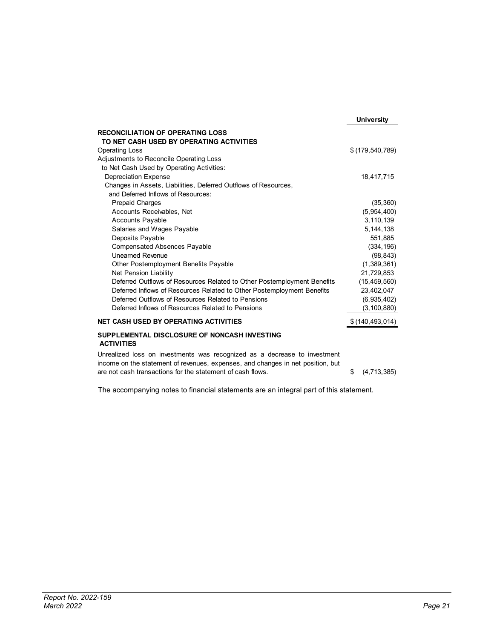|                                                                                 | <b>University</b>   |
|---------------------------------------------------------------------------------|---------------------|
| <b>RECONCILIATION OF OPERATING LOSS</b>                                         |                     |
| TO NET CASH USED BY OPERATING ACTIVITIES                                        |                     |
| <b>Operating Loss</b>                                                           | \$(179, 540, 789)   |
| Adjustments to Reconcile Operating Loss                                         |                     |
| to Net Cash Used by Operating Activities:                                       |                     |
| <b>Depreciation Expense</b>                                                     | 18,417,715          |
| Changes in Assets, Liabilities, Deferred Outflows of Resources,                 |                     |
| and Deferred Inflows of Resources:                                              |                     |
| <b>Prepaid Charges</b>                                                          | (35, 360)           |
| Accounts Receivables, Net                                                       | (5,954,400)         |
| <b>Accounts Payable</b>                                                         | 3,110,139           |
| Salaries and Wages Payable                                                      | 5,144,138           |
| Deposits Payable                                                                | 551,885             |
| <b>Compensated Absences Payable</b>                                             | (334, 196)          |
| Unearned Revenue                                                                | (98, 843)           |
| <b>Other Postemployment Benefits Payable</b>                                    | (1,389,361)         |
| Net Pension Liability                                                           | 21,729,853          |
| Deferred Outflows of Resources Related to Other Postemployment Benefits         | (15, 459, 560)      |
| Deferred Inflows of Resources Related to Other Postemployment Benefits          | 23,402,047          |
| Deferred Outflows of Resources Related to Pensions                              | (6,935,402)         |
| Deferred Inflows of Resources Related to Pensions                               | (3, 100, 880)       |
| <b>NET CASH USED BY OPERATING ACTIVITIES</b>                                    | \$(140, 493, 014)   |
| SUPPLEMENTAL DISCLOSURE OF NONCASH INVESTING<br><b>ACTIVITIES</b>               |                     |
| Unrealized loss on investments was recognized as a decrease to investment       |                     |
| income on the statement of revenues, expenses, and changes in net position, but |                     |
| are not cash transactions for the statement of cash flows.                      | \$<br>(4, 713, 385) |

The accompanying notes to financial statements are an integral part of this statement.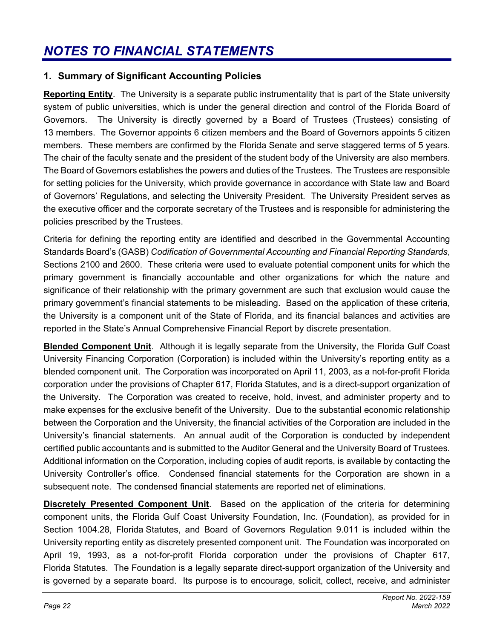# <span id="page-25-0"></span>*NOTES TO FINANCIAL STATEMENTS*

### **1. Summary of Significant Accounting Policies**

**Reporting Entity**. The University is a separate public instrumentality that is part of the State university system of public universities, which is under the general direction and control of the Florida Board of Governors. The University is directly governed by a Board of Trustees (Trustees) consisting of 13 members. The Governor appoints 6 citizen members and the Board of Governors appoints 5 citizen members. These members are confirmed by the Florida Senate and serve staggered terms of 5 years. The chair of the faculty senate and the president of the student body of the University are also members. The Board of Governors establishes the powers and duties of the Trustees. The Trustees are responsible for setting policies for the University, which provide governance in accordance with State law and Board of Governors' Regulations, and selecting the University President. The University President serves as the executive officer and the corporate secretary of the Trustees and is responsible for administering the policies prescribed by the Trustees.

Criteria for defining the reporting entity are identified and described in the Governmental Accounting Standards Board's (GASB) *Codification of Governmental Accounting and Financial Reporting Standards*, Sections 2100 and 2600. These criteria were used to evaluate potential component units for which the primary government is financially accountable and other organizations for which the nature and significance of their relationship with the primary government are such that exclusion would cause the primary government's financial statements to be misleading. Based on the application of these criteria, the University is a component unit of the State of Florida, and its financial balances and activities are reported in the State's Annual Comprehensive Financial Report by discrete presentation.

**Blended Component Unit**. Although it is legally separate from the University, the Florida Gulf Coast University Financing Corporation (Corporation) is included within the University's reporting entity as a blended component unit. The Corporation was incorporated on April 11, 2003, as a not-for-profit Florida corporation under the provisions of Chapter 617, Florida Statutes, and is a direct-support organization of the University. The Corporation was created to receive, hold, invest, and administer property and to make expenses for the exclusive benefit of the University. Due to the substantial economic relationship between the Corporation and the University, the financial activities of the Corporation are included in the University's financial statements. An annual audit of the Corporation is conducted by independent certified public accountants and is submitted to the Auditor General and the University Board of Trustees. Additional information on the Corporation, including copies of audit reports, is available by contacting the University Controller's office. Condensed financial statements for the Corporation are shown in a subsequent note. The condensed financial statements are reported net of eliminations.

**Discretely Presented Component Unit**. Based on the application of the criteria for determining component units, the Florida Gulf Coast University Foundation, Inc. (Foundation), as provided for in Section 1004.28, Florida Statutes, and Board of Governors Regulation 9.011 is included within the University reporting entity as discretely presented component unit. The Foundation was incorporated on April 19, 1993, as a not-for-profit Florida corporation under the provisions of Chapter 617, Florida Statutes. The Foundation is a legally separate direct-support organization of the University and is governed by a separate board. Its purpose is to encourage, solicit, collect, receive, and administer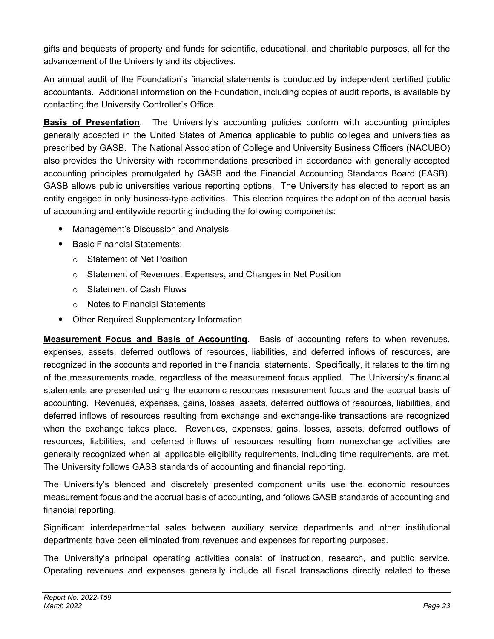gifts and bequests of property and funds for scientific, educational, and charitable purposes, all for the advancement of the University and its objectives.

An annual audit of the Foundation's financial statements is conducted by independent certified public accountants. Additional information on the Foundation, including copies of audit reports, is available by contacting the University Controller's Office.

**Basis of Presentation**. The University's accounting policies conform with accounting principles generally accepted in the United States of America applicable to public colleges and universities as prescribed by GASB. The National Association of College and University Business Officers (NACUBO) also provides the University with recommendations prescribed in accordance with generally accepted accounting principles promulgated by GASB and the Financial Accounting Standards Board (FASB). GASB allows public universities various reporting options. The University has elected to report as an entity engaged in only business-type activities. This election requires the adoption of the accrual basis of accounting and entitywide reporting including the following components:

- Management's Discussion and Analysis
- Basic Financial Statements:
	- o Statement of Net Position
	- o Statement of Revenues, Expenses, and Changes in Net Position
	- o Statement of Cash Flows
	- o Notes to Financial Statements
- Other Required Supplementary Information

**Measurement Focus and Basis of Accounting**. Basis of accounting refers to when revenues, expenses, assets, deferred outflows of resources, liabilities, and deferred inflows of resources, are recognized in the accounts and reported in the financial statements. Specifically, it relates to the timing of the measurements made, regardless of the measurement focus applied. The University's financial statements are presented using the economic resources measurement focus and the accrual basis of accounting. Revenues, expenses, gains, losses, assets, deferred outflows of resources, liabilities, and deferred inflows of resources resulting from exchange and exchange-like transactions are recognized when the exchange takes place. Revenues, expenses, gains, losses, assets, deferred outflows of resources, liabilities, and deferred inflows of resources resulting from nonexchange activities are generally recognized when all applicable eligibility requirements, including time requirements, are met. The University follows GASB standards of accounting and financial reporting.

The University's blended and discretely presented component units use the economic resources measurement focus and the accrual basis of accounting, and follows GASB standards of accounting and financial reporting.

Significant interdepartmental sales between auxiliary service departments and other institutional departments have been eliminated from revenues and expenses for reporting purposes.

The University's principal operating activities consist of instruction, research, and public service. Operating revenues and expenses generally include all fiscal transactions directly related to these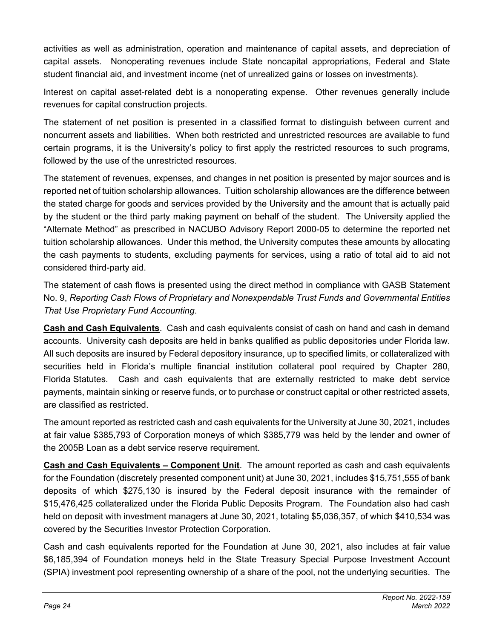activities as well as administration, operation and maintenance of capital assets, and depreciation of capital assets. Nonoperating revenues include State noncapital appropriations, Federal and State student financial aid, and investment income (net of unrealized gains or losses on investments).

Interest on capital asset-related debt is a nonoperating expense. Other revenues generally include revenues for capital construction projects.

The statement of net position is presented in a classified format to distinguish between current and noncurrent assets and liabilities. When both restricted and unrestricted resources are available to fund certain programs, it is the University's policy to first apply the restricted resources to such programs, followed by the use of the unrestricted resources.

The statement of revenues, expenses, and changes in net position is presented by major sources and is reported net of tuition scholarship allowances. Tuition scholarship allowances are the difference between the stated charge for goods and services provided by the University and the amount that is actually paid by the student or the third party making payment on behalf of the student. The University applied the "Alternate Method" as prescribed in NACUBO Advisory Report 2000-05 to determine the reported net tuition scholarship allowances. Under this method, the University computes these amounts by allocating the cash payments to students, excluding payments for services, using a ratio of total aid to aid not considered third-party aid.

The statement of cash flows is presented using the direct method in compliance with GASB Statement No. 9, *Reporting Cash Flows of Proprietary and Nonexpendable Trust Funds and Governmental Entities That Use Proprietary Fund Accounting*.

**Cash and Cash Equivalents**. Cash and cash equivalents consist of cash on hand and cash in demand accounts. University cash deposits are held in banks qualified as public depositories under Florida law. All such deposits are insured by Federal depository insurance, up to specified limits, or collateralized with securities held in Florida's multiple financial institution collateral pool required by Chapter 280, Florida Statutes. Cash and cash equivalents that are externally restricted to make debt service payments, maintain sinking or reserve funds, or to purchase or construct capital or other restricted assets, are classified as restricted.

The amount reported as restricted cash and cash equivalents for the University at June 30, 2021, includes at fair value \$385,793 of Corporation moneys of which \$385,779 was held by the lender and owner of the 2005B Loan as a debt service reserve requirement.

**Cash and Cash Equivalents – Component Unit**. The amount reported as cash and cash equivalents for the Foundation (discretely presented component unit) at June 30, 2021, includes \$15,751,555 of bank deposits of which \$275,130 is insured by the Federal deposit insurance with the remainder of \$15,476,425 collateralized under the Florida Public Deposits Program. The Foundation also had cash held on deposit with investment managers at June 30, 2021, totaling \$5,036,357, of which \$410,534 was covered by the Securities Investor Protection Corporation.

Cash and cash equivalents reported for the Foundation at June 30, 2021, also includes at fair value \$6,185,394 of Foundation moneys held in the State Treasury Special Purpose Investment Account (SPIA) investment pool representing ownership of a share of the pool, not the underlying securities. The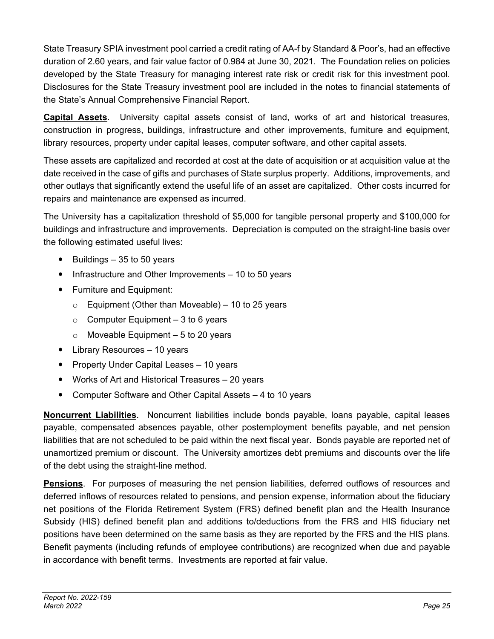State Treasury SPIA investment pool carried a credit rating of AA-f by Standard & Poor's, had an effective duration of 2.60 years, and fair value factor of 0.984 at June 30, 2021. The Foundation relies on policies developed by the State Treasury for managing interest rate risk or credit risk for this investment pool. Disclosures for the State Treasury investment pool are included in the notes to financial statements of the State's Annual Comprehensive Financial Report.

**Capital Assets**. University capital assets consist of land, works of art and historical treasures, construction in progress, buildings, infrastructure and other improvements, furniture and equipment, library resources, property under capital leases, computer software, and other capital assets.

These assets are capitalized and recorded at cost at the date of acquisition or at acquisition value at the date received in the case of gifts and purchases of State surplus property. Additions, improvements, and other outlays that significantly extend the useful life of an asset are capitalized. Other costs incurred for repairs and maintenance are expensed as incurred.

The University has a capitalization threshold of \$5,000 for tangible personal property and \$100,000 for buildings and infrastructure and improvements. Depreciation is computed on the straight-line basis over the following estimated useful lives:

- $\bullet$  Buildings 35 to 50 years
- $\bullet$  Infrastructure and Other Improvements  $-10$  to 50 years
- Furniture and Equipment:
	- $\circ$  Equipment (Other than Moveable) 10 to 25 years
	- $\circ$  Computer Equipment 3 to 6 years
	- $\circ$  Moveable Equipment 5 to 20 years
- Library Resources 10 years
- Property Under Capital Leases 10 years
- Works of Art and Historical Treasures 20 years
- Computer Software and Other Capital Assets 4 to 10 years

**Noncurrent Liabilities**. Noncurrent liabilities include bonds payable, loans payable, capital leases payable, compensated absences payable, other postemployment benefits payable, and net pension liabilities that are not scheduled to be paid within the next fiscal year. Bonds payable are reported net of unamortized premium or discount. The University amortizes debt premiums and discounts over the life of the debt using the straight-line method.

**Pensions**. For purposes of measuring the net pension liabilities, deferred outflows of resources and deferred inflows of resources related to pensions, and pension expense, information about the fiduciary net positions of the Florida Retirement System (FRS) defined benefit plan and the Health Insurance Subsidy (HIS) defined benefit plan and additions to/deductions from the FRS and HIS fiduciary net positions have been determined on the same basis as they are reported by the FRS and the HIS plans. Benefit payments (including refunds of employee contributions) are recognized when due and payable in accordance with benefit terms. Investments are reported at fair value.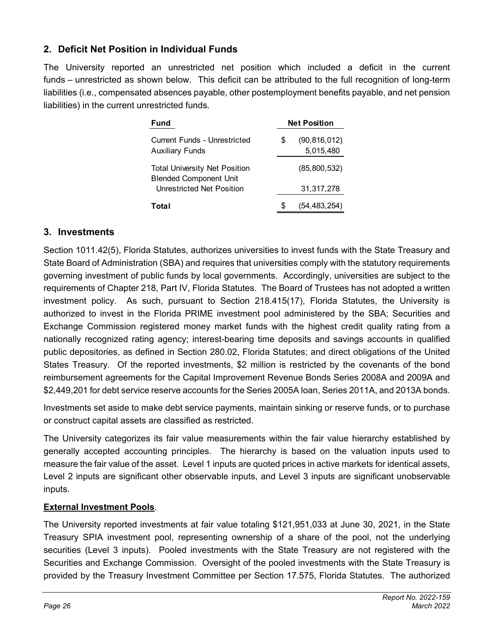### **2. Deficit Net Position in Individual Funds**

The University reported an unrestricted net position which included a deficit in the current funds – unrestricted as shown below. This deficit can be attributed to the full recognition of long-term liabilities (i.e., compensated absences payable, other postemployment benefits payable, and net pension liabilities) in the current unrestricted funds.

| Fund                                                                  | <b>Net Position</b> |                             |  |  |  |  |
|-----------------------------------------------------------------------|---------------------|-----------------------------|--|--|--|--|
| Current Funds - Unrestricted<br><b>Auxiliary Funds</b>                | S                   | (90, 816, 012)<br>5,015,480 |  |  |  |  |
| <b>Total University Net Position</b><br><b>Blended Component Unit</b> |                     | (85,800,532)                |  |  |  |  |
| Unrestricted Net Position                                             |                     | 31, 317, 278                |  |  |  |  |
| Total                                                                 |                     | (54, 483, 254)              |  |  |  |  |

### **3. Investments**

Section 1011.42(5), Florida Statutes, authorizes universities to invest funds with the State Treasury and State Board of Administration (SBA) and requires that universities comply with the statutory requirements governing investment of public funds by local governments. Accordingly, universities are subject to the requirements of Chapter 218, Part IV, Florida Statutes. The Board of Trustees has not adopted a written investment policy. As such, pursuant to Section 218.415(17), Florida Statutes, the University is authorized to invest in the Florida PRIME investment pool administered by the SBA; Securities and Exchange Commission registered money market funds with the highest credit quality rating from a nationally recognized rating agency; interest-bearing time deposits and savings accounts in qualified public depositories, as defined in Section 280.02, Florida Statutes; and direct obligations of the United States Treasury. Of the reported investments, \$2 million is restricted by the covenants of the bond reimbursement agreements for the Capital Improvement Revenue Bonds Series 2008A and 2009A and \$2,449,201 for debt service reserve accounts for the Series 2005A loan, Series 2011A, and 2013A bonds.

Investments set aside to make debt service payments, maintain sinking or reserve funds, or to purchase or construct capital assets are classified as restricted.

The University categorizes its fair value measurements within the fair value hierarchy established by generally accepted accounting principles. The hierarchy is based on the valuation inputs used to measure the fair value of the asset. Level 1 inputs are quoted prices in active markets for identical assets, Level 2 inputs are significant other observable inputs, and Level 3 inputs are significant unobservable inputs.

### **External Investment Pools**.

The University reported investments at fair value totaling \$121,951,033 at June 30, 2021, in the State Treasury SPIA investment pool, representing ownership of a share of the pool, not the underlying securities (Level 3 inputs). Pooled investments with the State Treasury are not registered with the Securities and Exchange Commission. Oversight of the pooled investments with the State Treasury is provided by the Treasury Investment Committee per Section 17.575, Florida Statutes. The authorized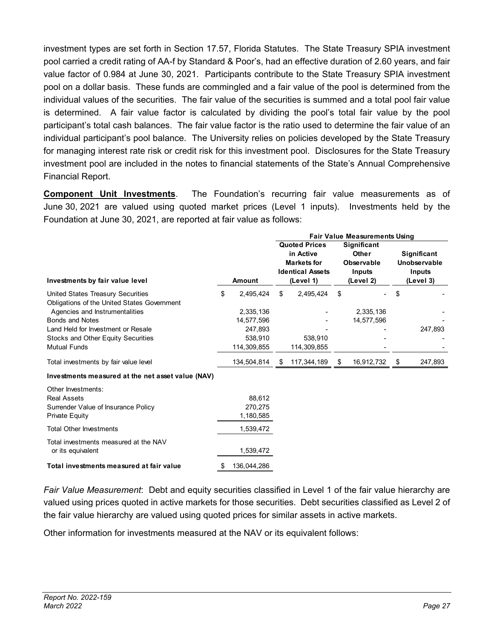investment types are set forth in Section 17.57, Florida Statutes. The State Treasury SPIA investment pool carried a credit rating of AA-f by Standard & Poor's, had an effective duration of 2.60 years, and fair value factor of 0.984 at June 30, 2021. Participants contribute to the State Treasury SPIA investment pool on a dollar basis. These funds are commingled and a fair value of the pool is determined from the individual values of the securities. The fair value of the securities is summed and a total pool fair value is determined. A fair value factor is calculated by dividing the pool's total fair value by the pool participant's total cash balances. The fair value factor is the ratio used to determine the fair value of an individual participant's pool balance. The University relies on policies developed by the State Treasury for managing interest rate risk or credit risk for this investment pool. Disclosures for the State Treasury investment pool are included in the notes to financial statements of the State's Annual Comprehensive Financial Report.

**Component Unit Investments**. The Foundation's recurring fair value measurements as of June 30, 2021 are valued using quoted market prices (Level 1 inputs). Investments held by the Foundation at June 30, 2021, are reported at fair value as follows:

|                                                                                  |                 | <b>Fair Value Measurements Using</b> |                                                                                                 |    |                                                           |    |                                                    |
|----------------------------------------------------------------------------------|-----------------|--------------------------------------|-------------------------------------------------------------------------------------------------|----|-----------------------------------------------------------|----|----------------------------------------------------|
| Investments by fair value level                                                  | <b>Amount</b>   |                                      | <b>Quoted Prices</b><br>in Active<br><b>Markets for</b><br><b>Identical Assets</b><br>(Level 1) |    | Significant<br>Other<br>Observable<br>Inputs<br>(Level 2) |    | Significant<br>Unobservable<br>Inputs<br>(Level 3) |
| United States Treasury Securities<br>Obligations of the United States Government | \$<br>2,495,424 | \$                                   | 2,495,424                                                                                       | \$ |                                                           | \$ |                                                    |
| Agencies and Instrumentalities                                                   | 2,335,136       |                                      |                                                                                                 |    | 2,335,136                                                 |    |                                                    |
| <b>Bonds and Notes</b>                                                           | 14,577,596      |                                      |                                                                                                 |    | 14,577,596                                                |    |                                                    |
| Land Held for Investment or Resale                                               | 247,893         |                                      |                                                                                                 |    |                                                           |    | 247,893                                            |
| Stocks and Other Equity Securities                                               | 538.910         |                                      | 538.910                                                                                         |    |                                                           |    |                                                    |
| <b>Mutual Funds</b>                                                              | 114,309,855     |                                      | 114,309,855                                                                                     |    |                                                           |    |                                                    |
| Total investments by fair value level                                            | 134,504,814     | \$                                   | 117,344,189                                                                                     | \$ | 16,912,732                                                | \$ | 247,893                                            |
| Investments measured at the net asset value (NAV)                                |                 |                                      |                                                                                                 |    |                                                           |    |                                                    |
| Other Investments:                                                               |                 |                                      |                                                                                                 |    |                                                           |    |                                                    |
| <b>Real Assets</b>                                                               | 88,612          |                                      |                                                                                                 |    |                                                           |    |                                                    |
| Surrender Value of Insurance Policy                                              | 270,275         |                                      |                                                                                                 |    |                                                           |    |                                                    |
| <b>Private Equity</b>                                                            | 1,180,585       |                                      |                                                                                                 |    |                                                           |    |                                                    |
| <b>Total Other Investments</b>                                                   | 1,539,472       |                                      |                                                                                                 |    |                                                           |    |                                                    |
| Total investments measured at the NAV<br>or its equivalent                       | 1,539,472       |                                      |                                                                                                 |    |                                                           |    |                                                    |
| Total investments measured at fair value                                         | 136,044,286     |                                      |                                                                                                 |    |                                                           |    |                                                    |

*Fair Value Measurement*: Debt and equity securities classified in Level 1 of the fair value hierarchy are valued using prices quoted in active markets for those securities. Debt securities classified as Level 2 of the fair value hierarchy are valued using quoted prices for similar assets in active markets.

Other information for investments measured at the NAV or its equivalent follows: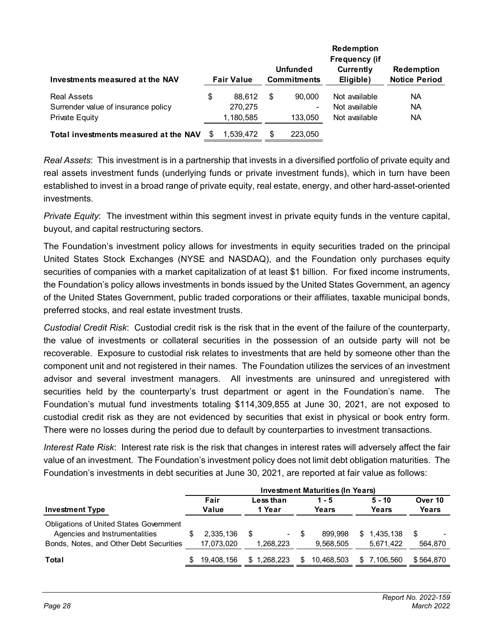| Investments measured at the NAV       |     | <b>Fair Value</b> | <b>Unfunded</b><br><b>Commitments</b> | <b>Redemption</b><br><b>Frequency (if</b><br>Currently<br>Eligible) | <b>Redemption</b><br><b>Notice Period</b> |
|---------------------------------------|-----|-------------------|---------------------------------------|---------------------------------------------------------------------|-------------------------------------------|
| <b>Real Assets</b>                    | \$  | 88.612            | \$<br>90.000                          | Not available                                                       | NА                                        |
| Surrender value of insurance policy   |     | 270,275           | $\overline{\phantom{a}}$              | Not available                                                       | NA                                        |
| <b>Private Equity</b>                 |     | 1,180,585         | 133,050                               | Not available                                                       | NA                                        |
| Total investments measured at the NAV | \$. | 1.539.472         | \$<br>223.050                         |                                                                     |                                           |

*Real Assets*: This investment is in a partnership that invests in a diversified portfolio of private equity and real assets investment funds (underlying funds or private investment funds), which in turn have been established to invest in a broad range of private equity, real estate, energy, and other hard-asset-oriented investments.

*Private Equity*: The investment within this segment invest in private equity funds in the venture capital, buyout, and capital restructuring sectors.

The Foundation's investment policy allows for investments in equity securities traded on the principal United States Stock Exchanges (NYSE and NASDAQ), and the Foundation only purchases equity securities of companies with a market capitalization of at least \$1 billion. For fixed income instruments, the Foundation's policy allows investments in bonds issued by the United States Government, an agency of the United States Government, public traded corporations or their affiliates, taxable municipal bonds, preferred stocks, and real estate investment trusts.

*Custodial Credit Risk*: Custodial credit risk is the risk that in the event of the failure of the counterparty, the value of investments or collateral securities in the possession of an outside party will not be recoverable. Exposure to custodial risk relates to investments that are held by someone other than the component unit and not registered in their names. The Foundation utilizes the services of an investment advisor and several investment managers. All investments are uninsured and unregistered with securities held by the counterparty's trust department or agent in the Foundation's name. The Foundation's mutual fund investments totaling \$114,309,855 at June 30, 2021, are not exposed to custodial credit risk as they are not evidenced by securities that exist in physical or book entry form. There were no losses during the period due to default by counterparties to investment transactions.

*Interest Rate Risk*: Interest rate risk is the risk that changes in interest rates will adversely affect the fair value of an investment. The Foundation's investment policy does not limit debt obligation maturities. The Foundation's investments in debt securities at June 30, 2021, are reported at fair value as follows:

|                                                                                  | <b>Investment Maturities (In Years)</b> |            |    |             |      |            |     |           |           |  |  |
|----------------------------------------------------------------------------------|-----------------------------------------|------------|----|-------------|------|------------|-----|-----------|-----------|--|--|
|                                                                                  |                                         | Fair       |    | Less than   |      | 1 - 5      |     | 5 - 10    | Over 10   |  |  |
| <b>Investment Type</b>                                                           |                                         | Value      |    | 1 Year      |      | Years      |     | Years     | Years     |  |  |
| <b>Obligations of United States Government</b><br>Agencies and Instrumentalities |                                         | 2,335,136  | -S |             | - \$ | 899.998    | \$. | 1.435.138 | \$        |  |  |
| Bonds, Notes, and Other Debt Securities                                          |                                         | 17,073,020 |    | 1.268.223   |      | 9,568,505  |     | 5.671.422 | 564,870   |  |  |
| Total                                                                            |                                         | 19.408.156 |    | \$1.268.223 | S    | 10.468.503 | S.  | 7.106.560 | \$564.870 |  |  |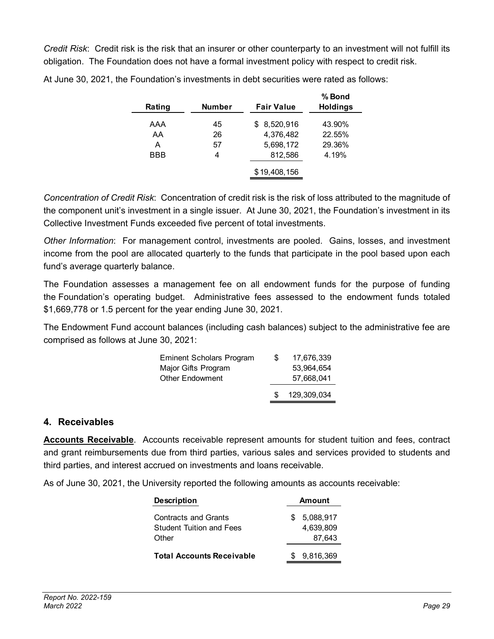*Credit Risk*: Credit risk is the risk that an insurer or other counterparty to an investment will not fulfill its obligation. The Foundation does not have a formal investment policy with respect to credit risk.

| Rating     | <b>Number</b> | <b>Fair Value</b> | % Bond<br><b>Holdings</b> |
|------------|---------------|-------------------|---------------------------|
| AAA        | 45            | 8,520,916<br>\$.  | 43.90%                    |
| AA         | 26            | 4,376,482         | 22.55%                    |
| A          | 57            | 5,698,172         | 29.36%                    |
| <b>BBB</b> | 4             | 812,586           | 4.19%                     |
|            |               | \$19,408,156      |                           |

At June 30, 2021, the Foundation's investments in debt securities were rated as follows:

*Concentration of Credit Risk*: Concentration of credit risk is the risk of loss attributed to the magnitude of the component unit's investment in a single issuer. At June 30, 2021, the Foundation's investment in its Collective Investment Funds exceeded five percent of total investments.

*Other Information*: For management control, investments are pooled. Gains, losses, and investment income from the pool are allocated quarterly to the funds that participate in the pool based upon each fund's average quarterly balance.

The Foundation assesses a management fee on all endowment funds for the purpose of funding the Foundation's operating budget. Administrative fees assessed to the endowment funds totaled \$1,669,778 or 1.5 percent for the year ending June 30, 2021.

The Endowment Fund account balances (including cash balances) subject to the administrative fee are comprised as follows at June 30, 2021:

| <b>Eminent Scholars Program</b> | S. | 17.676.339  |
|---------------------------------|----|-------------|
| Major Gifts Program             |    | 53,964,654  |
| <b>Other Endowment</b>          |    | 57.668.041  |
|                                 | S. | 129,309,034 |

### **4. Receivables**

**Accounts Receivable**. Accounts receivable represent amounts for student tuition and fees, contract and grant reimbursements due from third parties, various sales and services provided to students and third parties, and interest accrued on investments and loans receivable.

As of June 30, 2021, the University reported the following amounts as accounts receivable:

| <b>Description</b>               | Amount    |
|----------------------------------|-----------|
| Contracts and Grants             | 5,088,917 |
| <b>Student Tuition and Fees</b>  | 4.639.809 |
| Other                            | 87,643    |
| <b>Total Accounts Receivable</b> | 9,816,369 |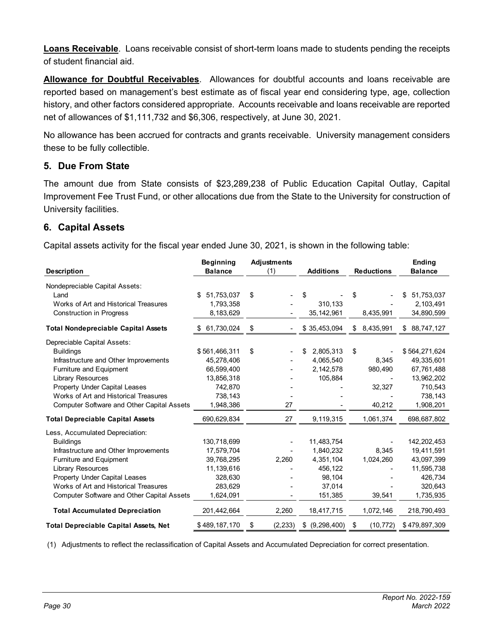**Loans Receivable**. Loans receivable consist of short-term loans made to students pending the receipts of student financial aid.

**Allowance for Doubtful Receivables**. Allowances for doubtful accounts and loans receivable are reported based on management's best estimate as of fiscal year end considering type, age, collection history, and other factors considered appropriate. Accounts receivable and loans receivable are reported net of allowances of \$1,111,732 and \$6,306, respectively, at June 30, 2021.

No allowance has been accrued for contracts and grants receivable. University management considers these to be fully collectible.

### **5. Due From State**

The amount due from State consists of \$23,289,238 of Public Education Capital Outlay, Capital Improvement Fee Trust Fund, or other allocations due from the State to the University for construction of University facilities.

### **6. Capital Assets**

Capital assets activity for the fiscal year ended June 30, 2021, is shown in the following table:

| <b>Description</b>                                | <b>Beginning</b><br><b>Balance</b> | <b>Adjustments</b><br>(1) | <b>Additions</b>    | <b>Reductions</b> | <b>Ending</b><br><b>Balance</b> |
|---------------------------------------------------|------------------------------------|---------------------------|---------------------|-------------------|---------------------------------|
| Nondepreciable Capital Assets:                    |                                    |                           |                     |                   |                                 |
| Land                                              | \$.<br>51,753,037                  | \$                        | \$                  | \$                | 51,753,037<br>\$                |
| Works of Art and Historical Treasures             | 1,793,358                          |                           | 310,133             |                   | 2,103,491                       |
| <b>Construction in Progress</b>                   | 8,183,629                          |                           | 35, 142, 961        | 8,435,991         | 34,890,599                      |
| <b>Total Nondepreciable Capital Assets</b>        | \$61,730,024                       | \$                        | \$35,453,094        | \$<br>8,435,991   | \$88,747,127                    |
| Depreciable Capital Assets:                       |                                    |                           |                     |                   |                                 |
| <b>Buildings</b>                                  | \$561,466,311                      | \$                        | 2,805,313<br>\$     | \$                | \$564,271,624                   |
| Infrastructure and Other Improvements             | 45,278,406                         |                           | 4,065,540           | 8.345             | 49,335,601                      |
| Furniture and Equipment                           | 66,599,400                         |                           | 2,142,578           | 980,490           | 67,761,488                      |
| <b>Library Resources</b>                          | 13,856,318                         |                           | 105,884             |                   | 13,962,202                      |
| Property Under Capital Leases                     | 742,870                            |                           |                     | 32,327            | 710,543                         |
| Works of Art and Historical Treasures             | 738,143                            |                           |                     |                   | 738,143                         |
| <b>Computer Software and Other Capital Assets</b> | 1,948,386                          | 27                        |                     | 40,212            | 1,908,201                       |
| <b>Total Depreciable Capital Assets</b>           | 690,629,834                        | 27                        | 9,119,315           | 1,061,374         | 698,687,802                     |
| Less, Accumulated Depreciation:                   |                                    |                           |                     |                   |                                 |
| <b>Buildings</b>                                  | 130,718,699                        |                           | 11,483,754          |                   | 142,202,453                     |
| Infrastructure and Other Improvements             | 17,579,704                         |                           | 1,840,232           | 8,345             | 19,411,591                      |
| Furniture and Equipment                           | 39,768,295                         | 2,260                     | 4,351,104           | 1,024,260         | 43,097,399                      |
| <b>Library Resources</b>                          | 11,139,616                         |                           | 456,122             |                   | 11,595,738                      |
| <b>Property Under Capital Leases</b>              | 328,630                            |                           | 98,104              |                   | 426,734                         |
| Works of Art and Historical Treasures             | 283,629                            |                           | 37,014              |                   | 320,643                         |
| <b>Computer Software and Other Capital Assets</b> | 1,624,091                          |                           | 151,385             | 39,541            | 1,735,935                       |
| <b>Total Accumulated Depreciation</b>             | 201,442,664                        | 2,260                     | 18,417,715          | 1,072,146         | 218,790,493                     |
| <b>Total Depreciable Capital Assets, Net</b>      | \$489,187,170                      | \$<br>(2, 233)            | (9, 298, 400)<br>\$ | \$<br>(10, 772)   | \$479,897,309                   |

(1) Adjustments to reflect the reclassification of Capital Assets and Accumulated Depreciation for correct presentation.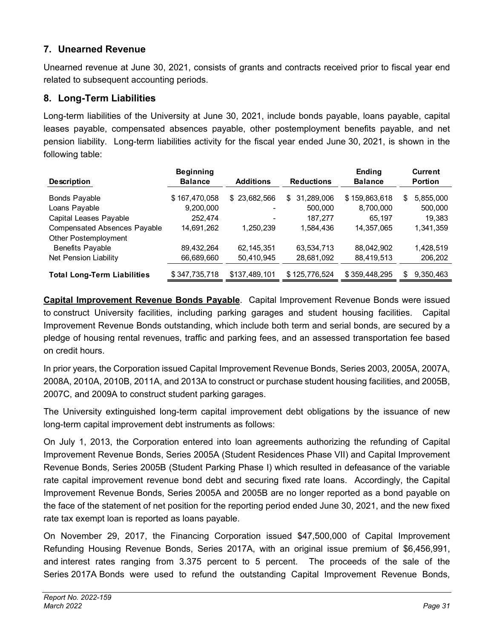### **7. Unearned Revenue**

Unearned revenue at June 30, 2021, consists of grants and contracts received prior to fiscal year end related to subsequent accounting periods.

### **8. Long-Term Liabilities**

Long-term liabilities of the University at June 30, 2021, include bonds payable, loans payable, capital leases payable, compensated absences payable, other postemployment benefits payable, and net pension liability. Long-term liabilities activity for the fiscal year ended June 30, 2021, is shown in the following table:

|                                     | <b>Beginning</b> |                  |                   | <b>Ending</b>  | <b>Current</b> |
|-------------------------------------|------------------|------------------|-------------------|----------------|----------------|
| Description                         | <b>Balance</b>   | <b>Additions</b> | <b>Reductions</b> | <b>Balance</b> | <b>Portion</b> |
| <b>Bonds Payable</b>                | \$167,470,058    | \$23,682,566     | 31,289,006<br>\$. | \$159,863,618  | 5,855,000<br>S |
| Loans Payable                       | 9,200,000        |                  | 500,000           | 8,700,000      | 500,000        |
| Capital Leases Payable              | 252.474          | -                | 187.277           | 65.197         | 19,383         |
| <b>Compensated Absences Payable</b> | 14,691,262       | 1.250.239        | 1,584,436         | 14,357,065     | 1,341,359      |
| Other Postemployment                |                  |                  |                   |                |                |
| <b>Benefits Payable</b>             | 89,432,264       | 62, 145, 351     | 63,534,713        | 88,042,902     | 1,428,519      |
| Net Pension Liability               | 66,689,660       | 50,410,945       | 28,681,092        | 88,419,513     | 206,202        |
| <b>Total Long-Term Liabilities</b>  | \$347,735,718    | \$137,489,101    | \$125,776,524     | \$359,448.295  | 9,350,463<br>S |

**Capital Improvement Revenue Bonds Payable**. Capital Improvement Revenue Bonds were issued to construct University facilities, including parking garages and student housing facilities. Capital Improvement Revenue Bonds outstanding, which include both term and serial bonds, are secured by a pledge of housing rental revenues, traffic and parking fees, and an assessed transportation fee based on credit hours.

In prior years, the Corporation issued Capital Improvement Revenue Bonds, Series 2003, 2005A, 2007A, 2008A, 2010A, 2010B, 2011A, and 2013A to construct or purchase student housing facilities, and 2005B, 2007C, and 2009A to construct student parking garages.

The University extinguished long-term capital improvement debt obligations by the issuance of new long-term capital improvement debt instruments as follows:

On July 1, 2013, the Corporation entered into loan agreements authorizing the refunding of Capital Improvement Revenue Bonds, Series 2005A (Student Residences Phase VII) and Capital Improvement Revenue Bonds, Series 2005B (Student Parking Phase I) which resulted in defeasance of the variable rate capital improvement revenue bond debt and securing fixed rate loans. Accordingly, the Capital Improvement Revenue Bonds, Series 2005A and 2005B are no longer reported as a bond payable on the face of the statement of net position for the reporting period ended June 30, 2021, and the new fixed rate tax exempt loan is reported as loans payable.

On November 29, 2017, the Financing Corporation issued \$47,500,000 of Capital Improvement Refunding Housing Revenue Bonds, Series 2017A, with an original issue premium of \$6,456,991, and interest rates ranging from 3.375 percent to 5 percent. The proceeds of the sale of the Series 2017A Bonds were used to refund the outstanding Capital Improvement Revenue Bonds,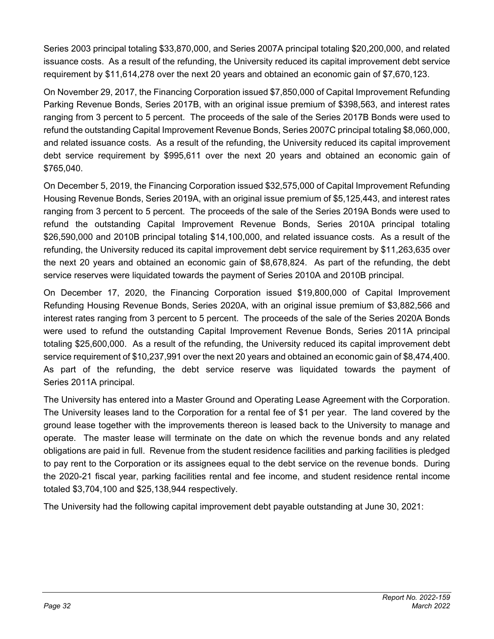Series 2003 principal totaling \$33,870,000, and Series 2007A principal totaling \$20,200,000, and related issuance costs. As a result of the refunding, the University reduced its capital improvement debt service requirement by \$11,614,278 over the next 20 years and obtained an economic gain of \$7,670,123.

On November 29, 2017, the Financing Corporation issued \$7,850,000 of Capital Improvement Refunding Parking Revenue Bonds, Series 2017B, with an original issue premium of \$398,563, and interest rates ranging from 3 percent to 5 percent. The proceeds of the sale of the Series 2017B Bonds were used to refund the outstanding Capital Improvement Revenue Bonds, Series 2007C principal totaling \$8,060,000, and related issuance costs. As a result of the refunding, the University reduced its capital improvement debt service requirement by \$995,611 over the next 20 years and obtained an economic gain of \$765,040.

On December 5, 2019, the Financing Corporation issued \$32,575,000 of Capital Improvement Refunding Housing Revenue Bonds, Series 2019A, with an original issue premium of \$5,125,443, and interest rates ranging from 3 percent to 5 percent. The proceeds of the sale of the Series 2019A Bonds were used to refund the outstanding Capital Improvement Revenue Bonds, Series 2010A principal totaling \$26,590,000 and 2010B principal totaling \$14,100,000, and related issuance costs. As a result of the refunding, the University reduced its capital improvement debt service requirement by \$11,263,635 over the next 20 years and obtained an economic gain of \$8,678,824. As part of the refunding, the debt service reserves were liquidated towards the payment of Series 2010A and 2010B principal.

On December 17, 2020, the Financing Corporation issued \$19,800,000 of Capital Improvement Refunding Housing Revenue Bonds, Series 2020A, with an original issue premium of \$3,882,566 and interest rates ranging from 3 percent to 5 percent. The proceeds of the sale of the Series 2020A Bonds were used to refund the outstanding Capital Improvement Revenue Bonds, Series 2011A principal totaling \$25,600,000. As a result of the refunding, the University reduced its capital improvement debt service requirement of \$10,237,991 over the next 20 years and obtained an economic gain of \$8,474,400. As part of the refunding, the debt service reserve was liquidated towards the payment of Series 2011A principal.

The University has entered into a Master Ground and Operating Lease Agreement with the Corporation. The University leases land to the Corporation for a rental fee of \$1 per year. The land covered by the ground lease together with the improvements thereon is leased back to the University to manage and operate. The master lease will terminate on the date on which the revenue bonds and any related obligations are paid in full. Revenue from the student residence facilities and parking facilities is pledged to pay rent to the Corporation or its assignees equal to the debt service on the revenue bonds. During the 2020-21 fiscal year, parking facilities rental and fee income, and student residence rental income totaled \$3,704,100 and \$25,138,944 respectively.

The University had the following capital improvement debt payable outstanding at June 30, 2021: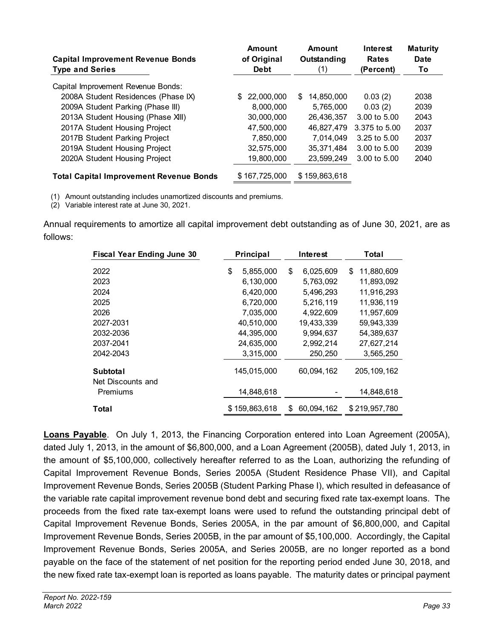| <b>Capital Improvement Revenue Bonds</b><br><b>Type and Series</b> | <b>Amount</b><br>of Original<br><b>Debt</b> | Amount<br>Outstanding<br>(1) | Interest<br><b>Rates</b><br>(Percent) | <b>Maturity</b><br>Date<br>To |
|--------------------------------------------------------------------|---------------------------------------------|------------------------------|---------------------------------------|-------------------------------|
| Capital Improvement Revenue Bonds:                                 |                                             |                              |                                       |                               |
| 2008A Student Residences (Phase IX)                                | 22,000,000<br>\$.                           | 14.850.000<br>\$.            | 0.03(2)                               | 2038                          |
| 2009A Student Parking (Phase III)                                  | 8,000,000                                   | 5,765,000                    | 0.03(2)                               | 2039                          |
| 2013A Student Housing (Phase XIII)                                 | 30,000,000                                  | 26,436,357                   | 3.00 to 5.00                          | 2043                          |
| 2017A Student Housing Project                                      | 47,500,000                                  | 46.827.479                   | 3.375 to 5.00                         | 2037                          |
| 2017B Student Parking Project                                      | 7,850,000                                   | 7.014.049                    | 3.25 to 5.00                          | 2037                          |
| 2019A Student Housing Project                                      | 32,575,000                                  | 35.371.484                   | 3.00 to 5.00                          | 2039                          |
| 2020A Student Housing Project                                      | 19,800,000                                  | 23,599,249                   | 3.00 to 5.00                          | 2040                          |
| <b>Total Capital Improvement Revenue Bonds</b>                     | \$167,725,000                               | \$159,863,618                |                                       |                               |

(1) Amount outstanding includes unamortized discounts and premiums.

(2) Variable interest rate at June 30, 2021.

Annual requirements to amortize all capital improvement debt outstanding as of June 30, 2021, are as follows:

| <b>Fiscal Year Ending June 30</b>                              | Principal |                                                                                           | Interest |                                                                                          | Total |                                                                                                |
|----------------------------------------------------------------|-----------|-------------------------------------------------------------------------------------------|----------|------------------------------------------------------------------------------------------|-------|------------------------------------------------------------------------------------------------|
| 2022<br>2023<br>2024<br>2025<br>2026<br>2027-2031<br>2032-2036 | \$        | 5,855,000<br>6,130,000<br>6,420,000<br>6,720,000<br>7,035,000<br>40.510.000<br>44,395,000 | \$       | 6,025,609<br>5,763,092<br>5,496,293<br>5,216,119<br>4,922,609<br>19.433.339<br>9.994.637 | \$    | 11,880,609<br>11,893,092<br>11,916,293<br>11,936,119<br>11,957,609<br>59,943,339<br>54,389,637 |
| 2037-2041<br>2042-2043                                         |           | 24,635,000<br>3.315.000                                                                   |          | 2,992,214<br>250,250                                                                     |       | 27,627,214<br>3,565,250                                                                        |
| Subtotal<br>Net Discounts and<br>Premiums                      |           | 145.015.000<br>14,848,618                                                                 |          | 60,094,162                                                                               |       | 205, 109, 162<br>14,848,618                                                                    |
| Total                                                          |           | \$159,863,618                                                                             | \$       | 60,094,162                                                                               |       | \$219,957,780                                                                                  |

**Loans Payable**. On July 1, 2013, the Financing Corporation entered into Loan Agreement (2005A), dated July 1, 2013, in the amount of \$6,800,000, and a Loan Agreement (2005B), dated July 1, 2013, in the amount of \$5,100,000, collectively hereafter referred to as the Loan, authorizing the refunding of Capital Improvement Revenue Bonds, Series 2005A (Student Residence Phase VII), and Capital Improvement Revenue Bonds, Series 2005B (Student Parking Phase I), which resulted in defeasance of the variable rate capital improvement revenue bond debt and securing fixed rate tax-exempt loans. The proceeds from the fixed rate tax-exempt loans were used to refund the outstanding principal debt of Capital Improvement Revenue Bonds, Series 2005A, in the par amount of \$6,800,000, and Capital Improvement Revenue Bonds, Series 2005B, in the par amount of \$5,100,000. Accordingly, the Capital Improvement Revenue Bonds, Series 2005A, and Series 2005B, are no longer reported as a bond payable on the face of the statement of net position for the reporting period ended June 30, 2018, and the new fixed rate tax-exempt loan is reported as loans payable. The maturity dates or principal payment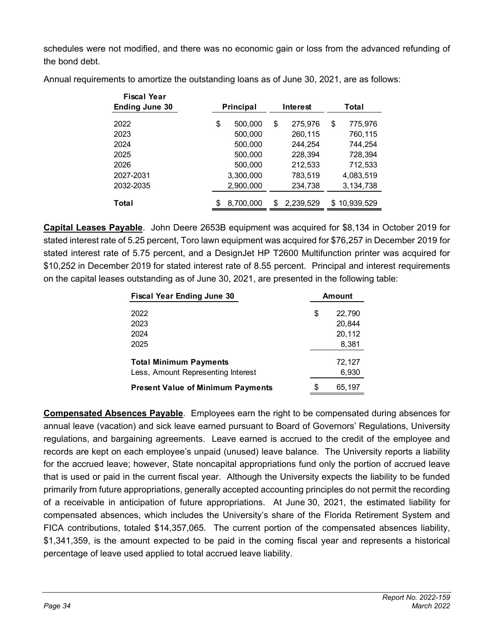schedules were not modified, and there was no economic gain or loss from the advanced refunding of the bond debt.

| <b>Fiscal Year</b>    |     |                  |    |           |    |              |  |
|-----------------------|-----|------------------|----|-----------|----|--------------|--|
| <b>Ending June 30</b> |     | <b>Principal</b> |    | Interest  |    | Total        |  |
| 2022                  | \$  | 500,000          | \$ | 275,976   | \$ | 775,976      |  |
| 2023                  |     | 500,000          |    | 260,115   |    | 760,115      |  |
| 2024                  |     | 500,000          |    | 244.254   |    | 744.254      |  |
| 2025                  |     | 500,000          |    | 228,394   |    | 728,394      |  |
| 2026                  |     | 500,000          |    | 212,533   |    | 712,533      |  |
| 2027-2031             |     | 3,300,000        |    | 783,519   |    | 4,083,519    |  |
| 2032-2035             |     | 2,900,000        |    | 234,738   |    | 3, 134, 738  |  |
| Total                 | \$. | 8,700,000        | \$ | 2,239,529 |    | \$10,939,529 |  |

Annual requirements to amortize the outstanding loans as of June 30, 2021, are as follows:

**Capital Leases Payable**. John Deere 2653B equipment was acquired for \$8,134 in October 2019 for stated interest rate of 5.25 percent, Toro lawn equipment was acquired for \$76,257 in December 2019 for stated interest rate of 5.75 percent, and a DesignJet HP T2600 Multifunction printer was acquired for \$10,252 in December 2019 for stated interest rate of 8.55 percent. Principal and interest requirements on the capital leases outstanding as of June 30, 2021, are presented in the following table:

| <b>Fiscal Year Ending June 30</b>                                   |    | <b>Amount</b>                       |  |
|---------------------------------------------------------------------|----|-------------------------------------|--|
| 2022<br>2023<br>2024<br>2025                                        | \$ | 22.790<br>20,844<br>20,112<br>8,381 |  |
| <b>Total Minimum Payments</b><br>Less, Amount Representing Interest |    | 72,127<br>6,930                     |  |
| <b>Present Value of Minimum Payments</b>                            | \$ | 65,197                              |  |

**Compensated Absences Payable**. Employees earn the right to be compensated during absences for annual leave (vacation) and sick leave earned pursuant to Board of Governors' Regulations, University regulations, and bargaining agreements. Leave earned is accrued to the credit of the employee and records are kept on each employee's unpaid (unused) leave balance. The University reports a liability for the accrued leave; however, State noncapital appropriations fund only the portion of accrued leave that is used or paid in the current fiscal year. Although the University expects the liability to be funded primarily from future appropriations, generally accepted accounting principles do not permit the recording of a receivable in anticipation of future appropriations. At June 30, 2021, the estimated liability for compensated absences, which includes the University's share of the Florida Retirement System and FICA contributions, totaled \$14,357,065. The current portion of the compensated absences liability, \$1,341,359, is the amount expected to be paid in the coming fiscal year and represents a historical percentage of leave used applied to total accrued leave liability.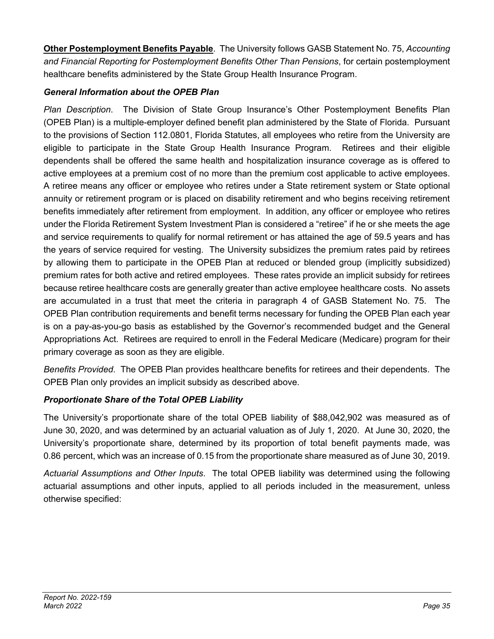**Other Postemployment Benefits Payable**. The University follows GASB Statement No. 75, *Accounting and Financial Reporting for Postemployment Benefits Other Than Pensions*, for certain postemployment healthcare benefits administered by the State Group Health Insurance Program.

### *General Information about the OPEB Plan*

*Plan Description*. The Division of State Group Insurance's Other Postemployment Benefits Plan (OPEB Plan) is a multiple-employer defined benefit plan administered by the State of Florida. Pursuant to the provisions of Section 112.0801, Florida Statutes, all employees who retire from the University are eligible to participate in the State Group Health Insurance Program. Retirees and their eligible dependents shall be offered the same health and hospitalization insurance coverage as is offered to active employees at a premium cost of no more than the premium cost applicable to active employees. A retiree means any officer or employee who retires under a State retirement system or State optional annuity or retirement program or is placed on disability retirement and who begins receiving retirement benefits immediately after retirement from employment. In addition, any officer or employee who retires under the Florida Retirement System Investment Plan is considered a "retiree" if he or she meets the age and service requirements to qualify for normal retirement or has attained the age of 59.5 years and has the years of service required for vesting. The University subsidizes the premium rates paid by retirees by allowing them to participate in the OPEB Plan at reduced or blended group (implicitly subsidized) premium rates for both active and retired employees. These rates provide an implicit subsidy for retirees because retiree healthcare costs are generally greater than active employee healthcare costs. No assets are accumulated in a trust that meet the criteria in paragraph 4 of GASB Statement No. 75. The OPEB Plan contribution requirements and benefit terms necessary for funding the OPEB Plan each year is on a pay-as-you-go basis as established by the Governor's recommended budget and the General Appropriations Act. Retirees are required to enroll in the Federal Medicare (Medicare) program for their primary coverage as soon as they are eligible.

*Benefits Provided*. The OPEB Plan provides healthcare benefits for retirees and their dependents. The OPEB Plan only provides an implicit subsidy as described above.

### *Proportionate Share of the Total OPEB Liability*

The University's proportionate share of the total OPEB liability of \$88,042,902 was measured as of June 30, 2020, and was determined by an actuarial valuation as of July 1, 2020. At June 30, 2020, the University's proportionate share, determined by its proportion of total benefit payments made, was 0.86 percent, which was an increase of 0.15 from the proportionate share measured as of June 30, 2019.

*Actuarial Assumptions and Other Inputs*. The total OPEB liability was determined using the following actuarial assumptions and other inputs, applied to all periods included in the measurement, unless otherwise specified: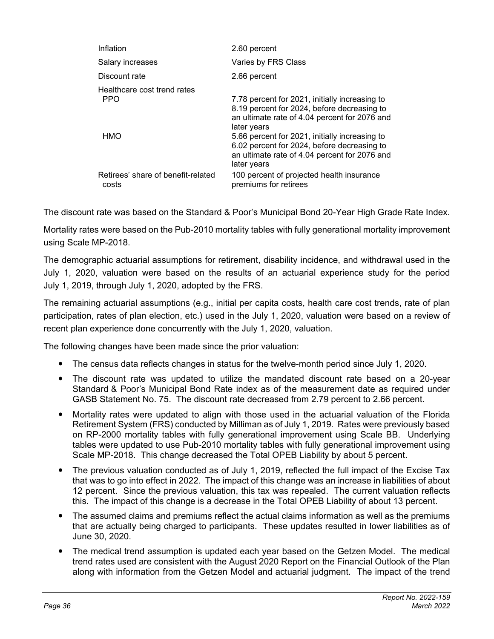| Inflation                                   | 2.60 percent                                                                                                                                                  |
|---------------------------------------------|---------------------------------------------------------------------------------------------------------------------------------------------------------------|
| Salary increases                            | Varies by FRS Class                                                                                                                                           |
| Discount rate                               | 2.66 percent                                                                                                                                                  |
| Healthcare cost trend rates                 |                                                                                                                                                               |
| <b>PPO</b>                                  | 7.78 percent for 2021, initially increasing to<br>8.19 percent for 2024, before decreasing to<br>an ultimate rate of 4.04 percent for 2076 and<br>later years |
| HMO                                         | 5.66 percent for 2021, initially increasing to<br>6.02 percent for 2024, before decreasing to<br>an ultimate rate of 4.04 percent for 2076 and<br>later years |
| Retirees' share of benefit-related<br>costs | 100 percent of projected health insurance<br>premiums for retirees                                                                                            |

The discount rate was based on the Standard & Poor's Municipal Bond 20-Year High Grade Rate Index.

Mortality rates were based on the Pub-2010 mortality tables with fully generational mortality improvement using Scale MP-2018.

The demographic actuarial assumptions for retirement, disability incidence, and withdrawal used in the July 1, 2020, valuation were based on the results of an actuarial experience study for the period July 1, 2019, through July 1, 2020, adopted by the FRS.

The remaining actuarial assumptions (e.g., initial per capita costs, health care cost trends, rate of plan participation, rates of plan election, etc.) used in the July 1, 2020, valuation were based on a review of recent plan experience done concurrently with the July 1, 2020, valuation.

The following changes have been made since the prior valuation:

- The census data reflects changes in status for the twelve-month period since July 1, 2020.
- The discount rate was updated to utilize the mandated discount rate based on a 20-year Standard & Poor's Municipal Bond Rate index as of the measurement date as required under GASB Statement No. 75. The discount rate decreased from 2.79 percent to 2.66 percent.
- Mortality rates were updated to align with those used in the actuarial valuation of the Florida Retirement System (FRS) conducted by Milliman as of July 1, 2019. Rates were previously based on RP-2000 mortality tables with fully generational improvement using Scale BB. Underlying tables were updated to use Pub-2010 mortality tables with fully generational improvement using Scale MP-2018. This change decreased the Total OPEB Liability by about 5 percent.
- The previous valuation conducted as of July 1, 2019, reflected the full impact of the Excise Tax that was to go into effect in 2022. The impact of this change was an increase in liabilities of about 12 percent. Since the previous valuation, this tax was repealed. The current valuation reflects this. The impact of this change is a decrease in the Total OPEB Liability of about 13 percent.
- The assumed claims and premiums reflect the actual claims information as well as the premiums that are actually being charged to participants. These updates resulted in lower liabilities as of June 30, 2020.
- The medical trend assumption is updated each year based on the Getzen Model. The medical trend rates used are consistent with the August 2020 Report on the Financial Outlook of the Plan along with information from the Getzen Model and actuarial judgment. The impact of the trend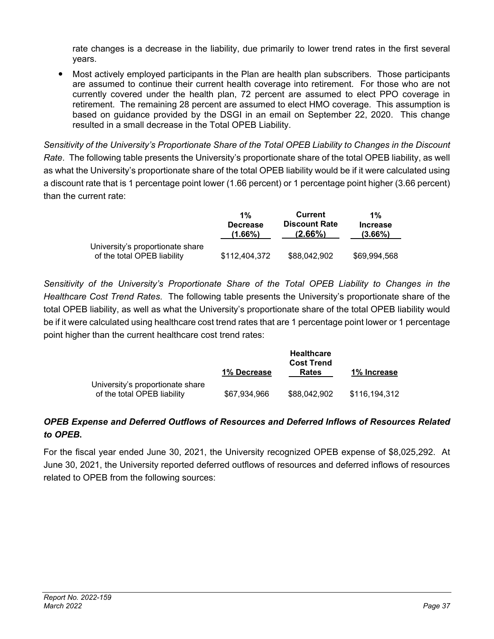rate changes is a decrease in the liability, due primarily to lower trend rates in the first several years.

 Most actively employed participants in the Plan are health plan subscribers. Those participants are assumed to continue their current health coverage into retirement. For those who are not currently covered under the health plan, 72 percent are assumed to elect PPO coverage in retirement. The remaining 28 percent are assumed to elect HMO coverage. This assumption is based on guidance provided by the DSGI in an email on September 22, 2020. This change resulted in a small decrease in the Total OPEB Liability.

*Sensitivity of the University's Proportionate Share of the Total OPEB Liability to Changes in the Discount Rate*. The following table presents the University's proportionate share of the total OPEB liability, as well as what the University's proportionate share of the total OPEB liability would be if it were calculated using a discount rate that is 1 percentage point lower (1.66 percent) or 1 percentage point higher (3.66 percent) than the current rate:

|                                  | 1%<br><b>Decrease</b><br>$(1.66\%)$ | <b>Current</b><br><b>Discount Rate</b><br>$(2.66\%)$ | $1\%$<br><b>Increase</b><br>$(3.66\%)$ |
|----------------------------------|-------------------------------------|------------------------------------------------------|----------------------------------------|
| University's proportionate share |                                     |                                                      |                                        |
| of the total OPEB liability      | \$112,404,372                       | \$88,042,902                                         | \$69,994,568                           |

*Sensitivity of the University's Proportionate Share of the Total OPEB Liability to Changes in the Healthcare Cost Trend Rates*. The following table presents the University's proportionate share of the total OPEB liability, as well as what the University's proportionate share of the total OPEB liability would be if it were calculated using healthcare cost trend rates that are 1 percentage point lower or 1 percentage point higher than the current healthcare cost trend rates:

|                                  | 1% Decrease  | <b>Healthcare</b><br><b>Cost Trend</b><br>Rates | 1% Increase   |
|----------------------------------|--------------|-------------------------------------------------|---------------|
| University's proportionate share |              |                                                 |               |
| of the total OPEB liability      | \$67.934.966 | \$88,042,902                                    | \$116.194.312 |

### *OPEB Expense and Deferred Outflows of Resources and Deferred Inflows of Resources Related to OPEB***.**

For the fiscal year ended June 30, 2021, the University recognized OPEB expense of \$8,025,292. At June 30, 2021, the University reported deferred outflows of resources and deferred inflows of resources related to OPEB from the following sources: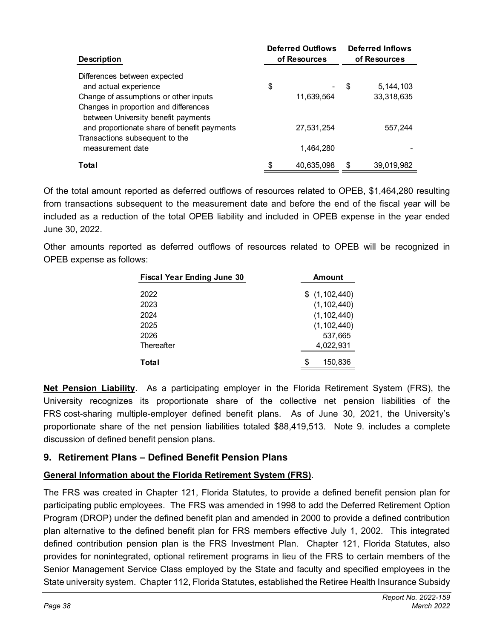| <b>Description</b>                                                           | <b>Deferred Outflows</b><br>of Resources |            | <b>Deferred Inflows</b><br>of Resources |             |
|------------------------------------------------------------------------------|------------------------------------------|------------|-----------------------------------------|-------------|
| Differences between expected                                                 |                                          |            |                                         |             |
| and actual experience                                                        | \$                                       |            | - \$                                    | 5, 144, 103 |
| Change of assumptions or other inputs                                        |                                          | 11,639,564 |                                         | 33,318,635  |
| Changes in proportion and differences<br>between University benefit payments |                                          |            |                                         |             |
| and proportionate share of benefit payments                                  |                                          | 27,531,254 |                                         | 557,244     |
| Transactions subsequent to the                                               |                                          |            |                                         |             |
| measurement date                                                             |                                          | 1,464,280  |                                         |             |
| Total                                                                        | \$                                       | 40,635,098 | S                                       | 39,019,982  |

Of the total amount reported as deferred outflows of resources related to OPEB, \$1,464,280 resulting from transactions subsequent to the measurement date and before the end of the fiscal year will be included as a reduction of the total OPEB liability and included in OPEB expense in the year ended June 30, 2022.

Other amounts reported as deferred outflows of resources related to OPEB will be recognized in OPEB expense as follows:

| <b>Fiscal Year Ending June 30</b> | Amount                         |
|-----------------------------------|--------------------------------|
| 2022                              | \$(1,102,440)                  |
| 2023<br>2024                      | (1, 102, 440)<br>(1, 102, 440) |
| 2025<br>2026                      | (1, 102, 440)<br>537,665       |
| Thereafter                        | 4,022,931                      |
| Total                             | 150,836                        |

**Net Pension Liability**. As a participating employer in the Florida Retirement System (FRS), the University recognizes its proportionate share of the collective net pension liabilities of the FRS cost-sharing multiple-employer defined benefit plans. As of June 30, 2021, the University's proportionate share of the net pension liabilities totaled \$88,419,513. Note 9. includes a complete discussion of defined benefit pension plans.

### **9. Retirement Plans – Defined Benefit Pension Plans**

### **General Information about the Florida Retirement System (FRS)**.

The FRS was created in Chapter 121, Florida Statutes, to provide a defined benefit pension plan for participating public employees. The FRS was amended in 1998 to add the Deferred Retirement Option Program (DROP) under the defined benefit plan and amended in 2000 to provide a defined contribution plan alternative to the defined benefit plan for FRS members effective July 1, 2002. This integrated defined contribution pension plan is the FRS Investment Plan. Chapter 121, Florida Statutes, also provides for nonintegrated, optional retirement programs in lieu of the FRS to certain members of the Senior Management Service Class employed by the State and faculty and specified employees in the State university system. Chapter 112, Florida Statutes, established the Retiree Health Insurance Subsidy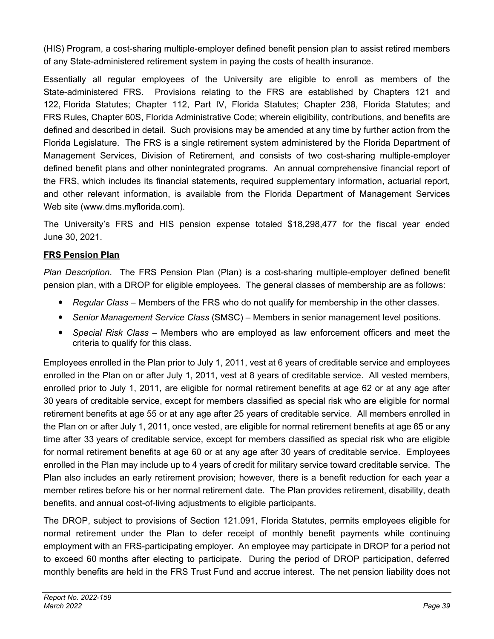(HIS) Program, a cost-sharing multiple-employer defined benefit pension plan to assist retired members of any State-administered retirement system in paying the costs of health insurance.

Essentially all regular employees of the University are eligible to enroll as members of the State-administered FRS. Provisions relating to the FRS are established by Chapters 121 and 122, Florida Statutes; Chapter 112, Part IV, Florida Statutes; Chapter 238, Florida Statutes; and FRS Rules, Chapter 60S, Florida Administrative Code; wherein eligibility, contributions, and benefits are defined and described in detail. Such provisions may be amended at any time by further action from the Florida Legislature. The FRS is a single retirement system administered by the Florida Department of Management Services, Division of Retirement, and consists of two cost-sharing multiple-employer defined benefit plans and other nonintegrated programs. An annual comprehensive financial report of the FRS, which includes its financial statements, required supplementary information, actuarial report, and other relevant information, is available from the Florida Department of Management Services Web site (www.dms.myflorida.com).

The University's FRS and HIS pension expense totaled \$18,298,477 for the fiscal year ended June 30, 2021.

### **FRS Pension Plan**

*Plan Description*. The FRS Pension Plan (Plan) is a cost-sharing multiple-employer defined benefit pension plan, with a DROP for eligible employees. The general classes of membership are as follows:

- *Regular Class* Members of the FRS who do not qualify for membership in the other classes.
- *Senior Management Service Class* (SMSC) Members in senior management level positions.
- *Special Risk Class* Members who are employed as law enforcement officers and meet the criteria to qualify for this class.

Employees enrolled in the Plan prior to July 1, 2011, vest at 6 years of creditable service and employees enrolled in the Plan on or after July 1, 2011, vest at 8 years of creditable service. All vested members, enrolled prior to July 1, 2011, are eligible for normal retirement benefits at age 62 or at any age after 30 years of creditable service, except for members classified as special risk who are eligible for normal retirement benefits at age 55 or at any age after 25 years of creditable service. All members enrolled in the Plan on or after July 1, 2011, once vested, are eligible for normal retirement benefits at age 65 or any time after 33 years of creditable service, except for members classified as special risk who are eligible for normal retirement benefits at age 60 or at any age after 30 years of creditable service. Employees enrolled in the Plan may include up to 4 years of credit for military service toward creditable service. The Plan also includes an early retirement provision; however, there is a benefit reduction for each year a member retires before his or her normal retirement date. The Plan provides retirement, disability, death benefits, and annual cost-of-living adjustments to eligible participants.

The DROP, subject to provisions of Section 121.091, Florida Statutes, permits employees eligible for normal retirement under the Plan to defer receipt of monthly benefit payments while continuing employment with an FRS-participating employer. An employee may participate in DROP for a period not to exceed 60 months after electing to participate. During the period of DROP participation, deferred monthly benefits are held in the FRS Trust Fund and accrue interest. The net pension liability does not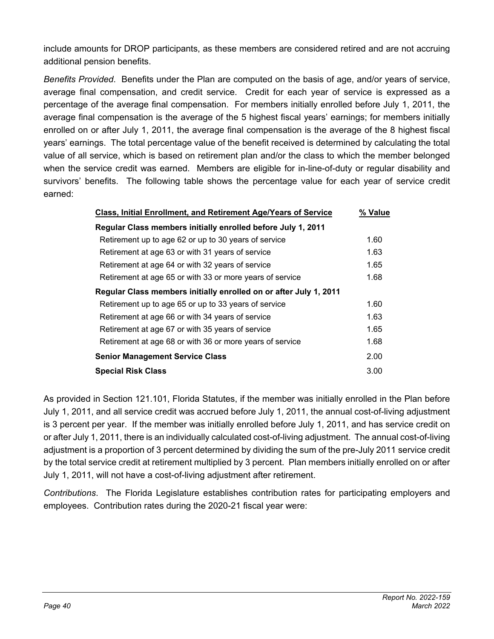include amounts for DROP participants, as these members are considered retired and are not accruing additional pension benefits.

*Benefits Provided*. Benefits under the Plan are computed on the basis of age, and/or years of service, average final compensation, and credit service. Credit for each year of service is expressed as a percentage of the average final compensation. For members initially enrolled before July 1, 2011, the average final compensation is the average of the 5 highest fiscal years' earnings; for members initially enrolled on or after July 1, 2011, the average final compensation is the average of the 8 highest fiscal years' earnings. The total percentage value of the benefit received is determined by calculating the total value of all service, which is based on retirement plan and/or the class to which the member belonged when the service credit was earned. Members are eligible for in-line-of-duty or regular disability and survivors' benefits. The following table shows the percentage value for each year of service credit earned:

| Class, Initial Enrollment, and Retirement Age/Years of Service    | % Value |
|-------------------------------------------------------------------|---------|
| Regular Class members initially enrolled before July 1, 2011      |         |
| Retirement up to age 62 or up to 30 years of service              | 1.60    |
| Retirement at age 63 or with 31 years of service                  | 1.63    |
| Retirement at age 64 or with 32 years of service                  | 1.65    |
| Retirement at age 65 or with 33 or more years of service          | 1.68    |
| Regular Class members initially enrolled on or after July 1, 2011 |         |
| Retirement up to age 65 or up to 33 years of service              | 1.60    |
| Retirement at age 66 or with 34 years of service                  | 1.63    |
| Retirement at age 67 or with 35 years of service                  | 1.65    |
| Retirement at age 68 or with 36 or more years of service          | 1.68    |
| <b>Senior Management Service Class</b>                            | 2.00    |
| <b>Special Risk Class</b>                                         | 3.00    |

As provided in Section 121.101, Florida Statutes, if the member was initially enrolled in the Plan before July 1, 2011, and all service credit was accrued before July 1, 2011, the annual cost-of-living adjustment is 3 percent per year. If the member was initially enrolled before July 1, 2011, and has service credit on or after July 1, 2011, there is an individually calculated cost-of-living adjustment. The annual cost-of-living adjustment is a proportion of 3 percent determined by dividing the sum of the pre-July 2011 service credit by the total service credit at retirement multiplied by 3 percent. Plan members initially enrolled on or after July 1, 2011, will not have a cost-of-living adjustment after retirement.

*Contributions*. The Florida Legislature establishes contribution rates for participating employers and employees. Contribution rates during the 2020-21 fiscal year were: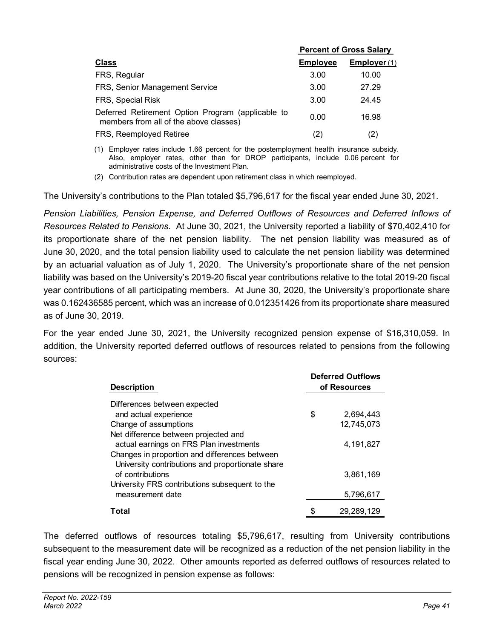|                                                                                             | <b>Percent of Gross Salary</b> |             |  |
|---------------------------------------------------------------------------------------------|--------------------------------|-------------|--|
| <b>Class</b>                                                                                | <b>Employee</b>                | Emplover(1) |  |
| FRS, Regular                                                                                | 3.00                           | 10.00       |  |
| FRS, Senior Management Service                                                              | 3.00                           | 27.29       |  |
| FRS, Special Risk                                                                           | 3.00                           | 24.45       |  |
| Deferred Retirement Option Program (applicable to<br>members from all of the above classes) | 0.00                           | 16.98       |  |
| FRS, Reemployed Retiree                                                                     | (2)                            | (2)         |  |

(1) Employer rates include 1.66 percent for the postemployment health insurance subsidy. Also, employer rates, other than for DROP participants, include 0.06 percent for administrative costs of the Investment Plan.

(2) Contribution rates are dependent upon retirement class in which reemployed.

The University's contributions to the Plan totaled \$5,796,617 for the fiscal year ended June 30, 2021.

*Pension Liabilities, Pension Expense, and Deferred Outflows of Resources and Deferred Inflows of Resources Related to Pensions*. At June 30, 2021, the University reported a liability of \$70,402,410 for its proportionate share of the net pension liability. The net pension liability was measured as of June 30, 2020, and the total pension liability used to calculate the net pension liability was determined by an actuarial valuation as of July 1, 2020. The University's proportionate share of the net pension liability was based on the University's 2019-20 fiscal year contributions relative to the total 2019-20 fiscal year contributions of all participating members. At June 30, 2020, the University's proportionate share was 0.162436585 percent, which was an increase of 0.012351426 from its proportionate share measured as of June 30, 2019.

For the year ended June 30, 2021, the University recognized pension expense of \$16,310,059. In addition, the University reported deferred outflows of resources related to pensions from the following sources:

| <b>Description</b>                                                                                | <b>Deferred Outflows</b><br>of Resources |            |
|---------------------------------------------------------------------------------------------------|------------------------------------------|------------|
| Differences between expected                                                                      |                                          |            |
| and actual experience                                                                             | \$                                       | 2,694,443  |
| Change of assumptions                                                                             |                                          | 12,745,073 |
| Net difference between projected and<br>actual earnings on FRS Plan investments                   |                                          | 4.191.827  |
| Changes in proportion and differences between<br>University contributions and proportionate share |                                          |            |
| of contributions                                                                                  |                                          | 3,861,169  |
| University FRS contributions subsequent to the<br>measurement date                                |                                          | 5,796,617  |
| Total                                                                                             | S                                        | 29.289.129 |

The deferred outflows of resources totaling \$5,796,617, resulting from University contributions subsequent to the measurement date will be recognized as a reduction of the net pension liability in the fiscal year ending June 30, 2022. Other amounts reported as deferred outflows of resources related to pensions will be recognized in pension expense as follows: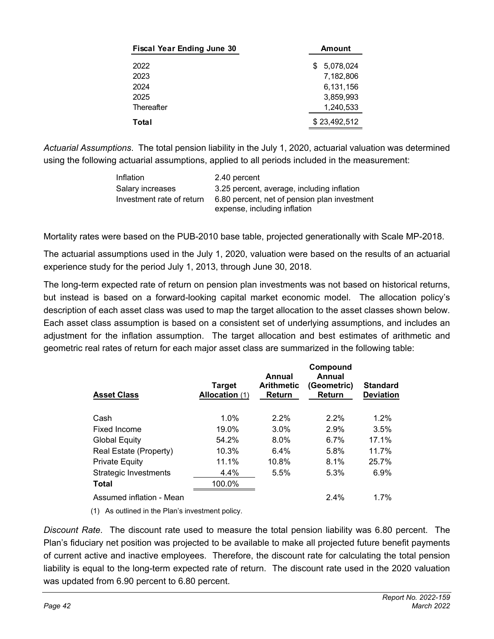| <b>Fiscal Year Ending June 30</b> | Amount                       |
|-----------------------------------|------------------------------|
| 2022<br>2023                      | 5,078,024<br>S.<br>7,182,806 |
| 2024                              | 6,131,156                    |
| 2025<br>Thereafter                | 3,859,993<br>1,240,533       |
| Total                             | \$23,492,512                 |

*Actuarial Assumptions*. The total pension liability in the July 1, 2020, actuarial valuation was determined using the following actuarial assumptions, applied to all periods included in the measurement:

| Inflation                 | 2.40 percent                                                                 |
|---------------------------|------------------------------------------------------------------------------|
| Salary increases          | 3.25 percent, average, including inflation                                   |
| Investment rate of return | 6.80 percent, net of pension plan investment<br>expense, including inflation |

Mortality rates were based on the PUB-2010 base table, projected generationally with Scale MP-2018.

The actuarial assumptions used in the July 1, 2020, valuation were based on the results of an actuarial experience study for the period July 1, 2013, through June 30, 2018.

The long-term expected rate of return on pension plan investments was not based on historical returns, but instead is based on a forward-looking capital market economic model. The allocation policy's description of each asset class was used to map the target allocation to the asset classes shown below. Each asset class assumption is based on a consistent set of underlying assumptions, and includes an adjustment for the inflation assumption. The target allocation and best estimates of arithmetic and geometric real rates of return for each major asset class are summarized in the following table:

| <b>Asset Class</b>           | <b>Target</b><br><b>Allocation</b> (1) | Annual<br><b>Arithmetic</b><br>Return | Compound<br>Annual<br>(Geometric)<br>Return | <b>Standard</b><br><b>Deviation</b> |
|------------------------------|----------------------------------------|---------------------------------------|---------------------------------------------|-------------------------------------|
| Cash                         | 1.0%                                   | $2.2\%$                               | $2.2\%$                                     | $1.2\%$                             |
| Fixed Income                 | 19.0%                                  | 3.0%                                  | 2.9%                                        | 3.5%                                |
| <b>Global Equity</b>         | 54.2%                                  | $8.0\%$                               | 6.7%                                        | 17.1%                               |
| Real Estate (Property)       | 10.3%                                  | 6.4%                                  | 5.8%                                        | 11.7%                               |
| <b>Private Equity</b>        | 11.1%                                  | 10.8%                                 | 8.1%                                        | 25.7%                               |
| <b>Strategic Investments</b> | 4.4%                                   | 5.5%                                  | 5.3%                                        | 6.9%                                |
| <b>Total</b>                 | 100.0%                                 |                                       |                                             |                                     |
| Assumed inflation - Mean     |                                        |                                       | 2.4%                                        | 1.7%                                |

(1) As outlined in the Plan's investment policy.

*Discount Rate*. The discount rate used to measure the total pension liability was 6.80 percent. The Plan's fiduciary net position was projected to be available to make all projected future benefit payments of current active and inactive employees. Therefore, the discount rate for calculating the total pension liability is equal to the long-term expected rate of return. The discount rate used in the 2020 valuation was updated from 6.90 percent to 6.80 percent.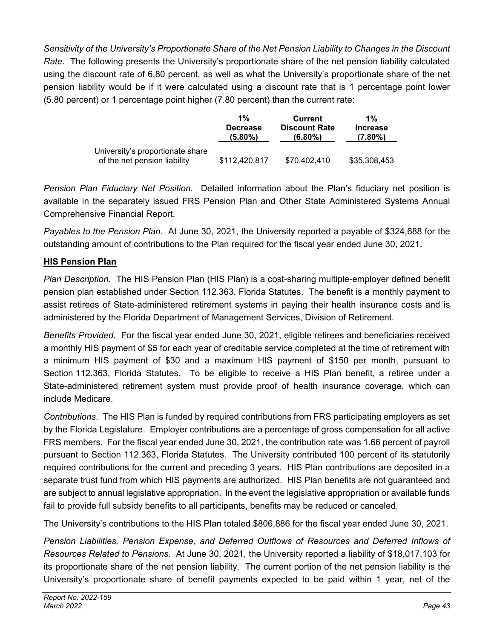*Sensitivity of the University's Proportionate Share of the Net Pension Liability to Changes in the Discount Rate*. The following presents the University's proportionate share of the net pension liability calculated using the discount rate of 6.80 percent, as well as what the University's proportionate share of the net pension liability would be if it were calculated using a discount rate that is 1 percentage point lower (5.80 percent) or 1 percentage point higher (7.80 percent) than the current rate:

|                                                                  | 1%              | <b>Current</b>       | $1\%$           |
|------------------------------------------------------------------|-----------------|----------------------|-----------------|
|                                                                  | <b>Decrease</b> | <b>Discount Rate</b> | <b>Increase</b> |
|                                                                  | $(5.80\%)$      | $(6.80\%)$           | $(7.80\%)$      |
| University's proportionate share<br>of the net pension liability | \$112,420,817   | \$70,402,410         | \$35,308,453    |

*Pension Plan Fiduciary Net Position*. Detailed information about the Plan's fiduciary net position is available in the separately issued FRS Pension Plan and Other State Administered Systems Annual Comprehensive Financial Report.

*Payables to the Pension Plan*. At June 30, 2021, the University reported a payable of \$324,688 for the outstanding amount of contributions to the Plan required for the fiscal year ended June 30, 2021.

### **HIS Pension Plan**

*Plan Description*. The HIS Pension Plan (HIS Plan) is a cost-sharing multiple-employer defined benefit pension plan established under Section 112.363, Florida Statutes. The benefit is a monthly payment to assist retirees of State-administered retirement systems in paying their health insurance costs and is administered by the Florida Department of Management Services, Division of Retirement.

*Benefits Provided*. For the fiscal year ended June 30, 2021, eligible retirees and beneficiaries received a monthly HIS payment of \$5 for each year of creditable service completed at the time of retirement with a minimum HIS payment of \$30 and a maximum HIS payment of \$150 per month, pursuant to Section 112.363, Florida Statutes. To be eligible to receive a HIS Plan benefit, a retiree under a State-administered retirement system must provide proof of health insurance coverage, which can include Medicare.

*Contributions*. The HIS Plan is funded by required contributions from FRS participating employers as set by the Florida Legislature. Employer contributions are a percentage of gross compensation for all active FRS members. For the fiscal year ended June 30, 2021, the contribution rate was 1.66 percent of payroll pursuant to Section 112.363, Florida Statutes. The University contributed 100 percent of its statutorily required contributions for the current and preceding 3 years. HIS Plan contributions are deposited in a separate trust fund from which HIS payments are authorized. HIS Plan benefits are not guaranteed and are subject to annual legislative appropriation. In the event the legislative appropriation or available funds fail to provide full subsidy benefits to all participants, benefits may be reduced or canceled.

The University's contributions to the HIS Plan totaled \$806,886 for the fiscal year ended June 30, 2021.

*Pension Liabilities, Pension Expense, and Deferred Outflows of Resources and Deferred Inflows of Resources Related to Pensions*. At June 30, 2021, the University reported a liability of \$18,017,103 for its proportionate share of the net pension liability. The current portion of the net pension liability is the University's proportionate share of benefit payments expected to be paid within 1 year, net of the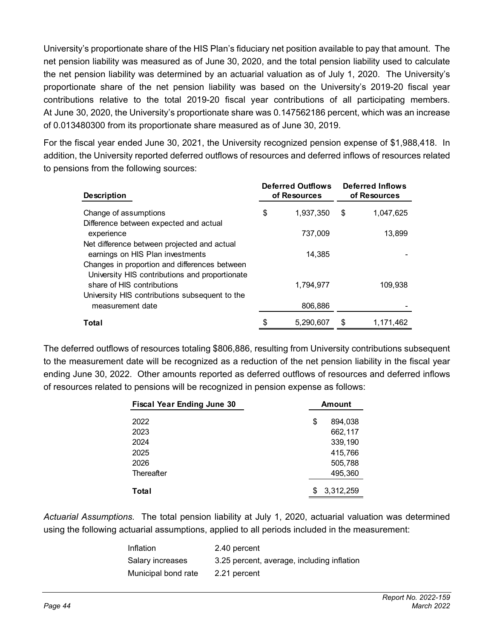University's proportionate share of the HIS Plan's fiduciary net position available to pay that amount. The net pension liability was measured as of June 30, 2020, and the total pension liability used to calculate the net pension liability was determined by an actuarial valuation as of July 1, 2020. The University's proportionate share of the net pension liability was based on the University's 2019-20 fiscal year contributions relative to the total 2019-20 fiscal year contributions of all participating members. At June 30, 2020, the University's proportionate share was 0.147562186 percent, which was an increase of 0.013480300 from its proportionate share measured as of June 30, 2019.

For the fiscal year ended June 30, 2021, the University recognized pension expense of \$1,988,418. In addition, the University reported deferred outflows of resources and deferred inflows of resources related to pensions from the following sources:

| <b>Description</b>                                                                              | <b>Deferred Outflows</b><br>of Resources |    | <b>Deferred Inflows</b><br>of Resources |
|-------------------------------------------------------------------------------------------------|------------------------------------------|----|-----------------------------------------|
| Change of assumptions                                                                           | \$<br>1,937,350                          | S  | 1,047,625                               |
| Difference between expected and actual<br>experience                                            | 737,009                                  |    | 13,899                                  |
| Net difference between projected and actual<br>earnings on HIS Plan investments                 | 14.385                                   |    |                                         |
| Changes in proportion and differences between<br>University HIS contributions and proportionate |                                          |    |                                         |
| share of HIS contributions                                                                      | 1,794,977                                |    | 109.938                                 |
| University HIS contributions subsequent to the<br>measurement date                              | 806,886                                  |    |                                         |
| Total                                                                                           | \$<br>5.290.607                          | \$ | 1.171.462                               |

The deferred outflows of resources totaling \$806,886, resulting from University contributions subsequent to the measurement date will be recognized as a reduction of the net pension liability in the fiscal year ending June 30, 2022. Other amounts reported as deferred outflows of resources and deferred inflows of resources related to pensions will be recognized in pension expense as follows:

| <b>Fiscal Year Ending June 30</b> | <b>Amount</b> |
|-----------------------------------|---------------|
| 2022                              | 894,038<br>\$ |
| 2023                              | 662,117       |
| 2024                              | 339,190       |
| 2025                              | 415,766       |
| 2026                              | 505,788       |
| Thereafter                        | 495,360       |
| Total                             | 3,312,259     |

*Actuarial Assumptions.* The total pension liability at July 1, 2020, actuarial valuation was determined using the following actuarial assumptions, applied to all periods included in the measurement:

| Inflation           | 2.40 percent                               |
|---------------------|--------------------------------------------|
| Salary increases    | 3.25 percent, average, including inflation |
| Municipal bond rate | 2.21 percent                               |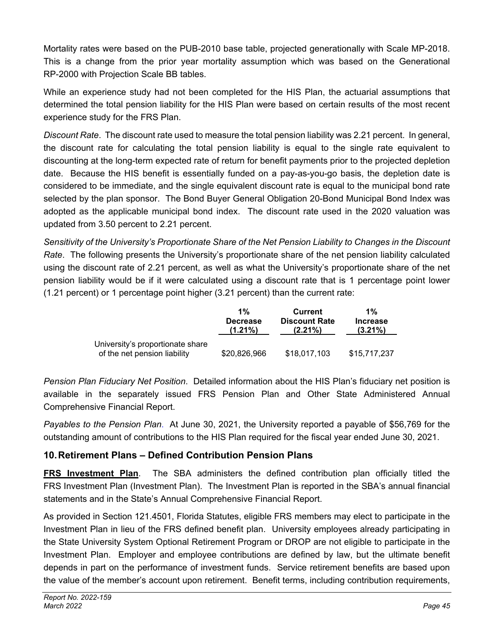Mortality rates were based on the PUB-2010 base table, projected generationally with Scale MP-2018. This is a change from the prior year mortality assumption which was based on the Generational RP-2000 with Projection Scale BB tables.

While an experience study had not been completed for the HIS Plan, the actuarial assumptions that determined the total pension liability for the HIS Plan were based on certain results of the most recent experience study for the FRS Plan.

*Discount Rate*. The discount rate used to measure the total pension liability was 2.21 percent. In general, the discount rate for calculating the total pension liability is equal to the single rate equivalent to discounting at the long-term expected rate of return for benefit payments prior to the projected depletion date. Because the HIS benefit is essentially funded on a pay-as-you-go basis, the depletion date is considered to be immediate, and the single equivalent discount rate is equal to the municipal bond rate selected by the plan sponsor. The Bond Buyer General Obligation 20-Bond Municipal Bond Index was adopted as the applicable municipal bond index. The discount rate used in the 2020 valuation was updated from 3.50 percent to 2.21 percent.

*Sensitivity of the University's Proportionate Share of the Net Pension Liability to Changes in the Discount Rate*. The following presents the University's proportionate share of the net pension liability calculated using the discount rate of 2.21 percent, as well as what the University's proportionate share of the net pension liability would be if it were calculated using a discount rate that is 1 percentage point lower (1.21 percent) or 1 percentage point higher (3.21 percent) than the current rate:

|                                                                  | $1\%$           | Current              | 1%              |
|------------------------------------------------------------------|-----------------|----------------------|-----------------|
|                                                                  | <b>Decrease</b> | <b>Discount Rate</b> | <b>Increase</b> |
|                                                                  | $(1.21\%)$      | $(2.21\%)$           | $(3.21\%)$      |
| University's proportionate share<br>of the net pension liability | \$20,826,966    | \$18,017,103         | \$15,717,237    |

*Pension Plan Fiduciary Net Position*. Detailed information about the HIS Plan's fiduciary net position is available in the separately issued FRS Pension Plan and Other State Administered Annual Comprehensive Financial Report.

*Payables to the Pension Plan*. At June 30, 2021, the University reported a payable of \$56,769 for the outstanding amount of contributions to the HIS Plan required for the fiscal year ended June 30, 2021.

### **10. Retirement Plans – Defined Contribution Pension Plans**

**FRS Investment Plan**. The SBA administers the defined contribution plan officially titled the FRS Investment Plan (Investment Plan). The Investment Plan is reported in the SBA's annual financial statements and in the State's Annual Comprehensive Financial Report.

As provided in Section 121.4501, Florida Statutes, eligible FRS members may elect to participate in the Investment Plan in lieu of the FRS defined benefit plan. University employees already participating in the State University System Optional Retirement Program or DROP are not eligible to participate in the Investment Plan. Employer and employee contributions are defined by law, but the ultimate benefit depends in part on the performance of investment funds. Service retirement benefits are based upon the value of the member's account upon retirement. Benefit terms, including contribution requirements,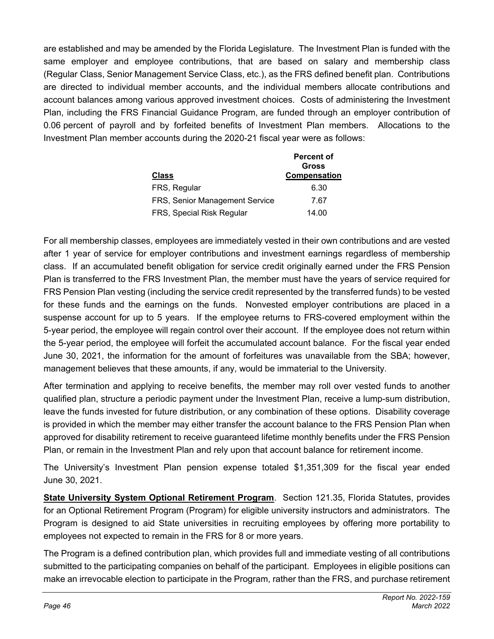are established and may be amended by the Florida Legislature. The Investment Plan is funded with the same employer and employee contributions, that are based on salary and membership class (Regular Class, Senior Management Service Class, etc.), as the FRS defined benefit plan. Contributions are directed to individual member accounts, and the individual members allocate contributions and account balances among various approved investment choices. Costs of administering the Investment Plan, including the FRS Financial Guidance Program, are funded through an employer contribution of 0.06 percent of payroll and by forfeited benefits of Investment Plan members. Allocations to the Investment Plan member accounts during the 2020-21 fiscal year were as follows:

|                                | <b>Percent of</b><br>Gross |
|--------------------------------|----------------------------|
| <b>Class</b>                   | Compensation               |
| FRS, Regular                   | 6.30                       |
| FRS, Senior Management Service | 7.67                       |
| FRS, Special Risk Regular      | 14.00                      |

For all membership classes, employees are immediately vested in their own contributions and are vested after 1 year of service for employer contributions and investment earnings regardless of membership class. If an accumulated benefit obligation for service credit originally earned under the FRS Pension Plan is transferred to the FRS Investment Plan, the member must have the years of service required for FRS Pension Plan vesting (including the service credit represented by the transferred funds) to be vested for these funds and the earnings on the funds. Nonvested employer contributions are placed in a suspense account for up to 5 years. If the employee returns to FRS-covered employment within the 5-year period, the employee will regain control over their account. If the employee does not return within the 5-year period, the employee will forfeit the accumulated account balance. For the fiscal year ended June 30, 2021, the information for the amount of forfeitures was unavailable from the SBA; however, management believes that these amounts, if any, would be immaterial to the University.

After termination and applying to receive benefits, the member may roll over vested funds to another qualified plan, structure a periodic payment under the Investment Plan, receive a lump-sum distribution, leave the funds invested for future distribution, or any combination of these options. Disability coverage is provided in which the member may either transfer the account balance to the FRS Pension Plan when approved for disability retirement to receive guaranteed lifetime monthly benefits under the FRS Pension Plan, or remain in the Investment Plan and rely upon that account balance for retirement income.

The University's Investment Plan pension expense totaled \$1,351,309 for the fiscal year ended June 30, 2021.

**State University System Optional Retirement Program**. Section 121.35, Florida Statutes, provides for an Optional Retirement Program (Program) for eligible university instructors and administrators. The Program is designed to aid State universities in recruiting employees by offering more portability to employees not expected to remain in the FRS for 8 or more years.

The Program is a defined contribution plan, which provides full and immediate vesting of all contributions submitted to the participating companies on behalf of the participant. Employees in eligible positions can make an irrevocable election to participate in the Program, rather than the FRS, and purchase retirement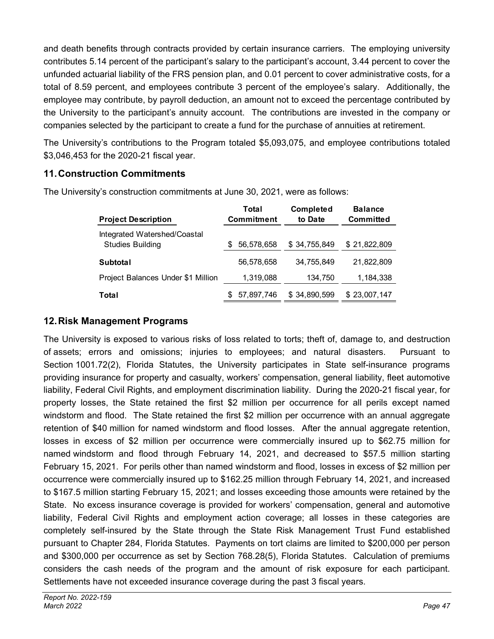and death benefits through contracts provided by certain insurance carriers. The employing university contributes 5.14 percent of the participant's salary to the participant's account, 3.44 percent to cover the unfunded actuarial liability of the FRS pension plan, and 0.01 percent to cover administrative costs, for a total of 8.59 percent, and employees contribute 3 percent of the employee's salary. Additionally, the employee may contribute, by payroll deduction, an amount not to exceed the percentage contributed by the University to the participant's annuity account. The contributions are invested in the company or companies selected by the participant to create a fund for the purchase of annuities at retirement.

The University's contributions to the Program totaled \$5,093,075, and employee contributions totaled \$3,046,453 for the 2020-21 fiscal year.

### **11. Construction Commitments**

| <b>Project Description</b>                              | Total<br>Commitment | <b>Completed</b><br>to Date | <b>Balance</b><br>Committed |
|---------------------------------------------------------|---------------------|-----------------------------|-----------------------------|
| Integrated Watershed/Coastal<br><b>Studies Building</b> | 56,578,658<br>S.    | \$34,755,849                | \$21,822,809                |
| Subtotal                                                | 56,578,658          | 34,755,849                  | 21,822,809                  |
| Project Balances Under \$1 Million                      | 1,319,088           | 134,750                     | 1,184,338                   |
| Total                                                   | 57,897,746<br>S.    | \$34,890,599                | \$23,007,147                |

The University's construction commitments at June 30, 2021, were as follows:

### **12. Risk Management Programs**

The University is exposed to various risks of loss related to torts; theft of, damage to, and destruction of assets; errors and omissions; injuries to employees; and natural disasters. Pursuant to Section 1001.72(2), Florida Statutes, the University participates in State self-insurance programs providing insurance for property and casualty, workers' compensation, general liability, fleet automotive liability, Federal Civil Rights, and employment discrimination liability. During the 2020-21 fiscal year, for property losses, the State retained the first \$2 million per occurrence for all perils except named windstorm and flood. The State retained the first \$2 million per occurrence with an annual aggregate retention of \$40 million for named windstorm and flood losses. After the annual aggregate retention, losses in excess of \$2 million per occurrence were commercially insured up to \$62.75 million for named windstorm and flood through February 14, 2021, and decreased to \$57.5 million starting February 15, 2021. For perils other than named windstorm and flood, losses in excess of \$2 million per occurrence were commercially insured up to \$162.25 million through February 14, 2021, and increased to \$167.5 million starting February 15, 2021; and losses exceeding those amounts were retained by the State. No excess insurance coverage is provided for workers' compensation, general and automotive liability, Federal Civil Rights and employment action coverage; all losses in these categories are completely self-insured by the State through the State Risk Management Trust Fund established pursuant to Chapter 284, Florida Statutes. Payments on tort claims are limited to \$200,000 per person and \$300,000 per occurrence as set by Section 768.28(5), Florida Statutes. Calculation of premiums considers the cash needs of the program and the amount of risk exposure for each participant. Settlements have not exceeded insurance coverage during the past 3 fiscal years.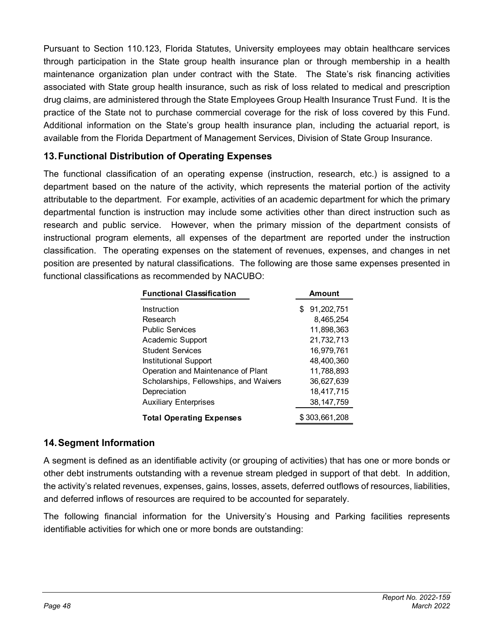Pursuant to Section 110.123, Florida Statutes, University employees may obtain healthcare services through participation in the State group health insurance plan or through membership in a health maintenance organization plan under contract with the State. The State's risk financing activities associated with State group health insurance, such as risk of loss related to medical and prescription drug claims, are administered through the State Employees Group Health Insurance Trust Fund. It is the practice of the State not to purchase commercial coverage for the risk of loss covered by this Fund. Additional information on the State's group health insurance plan, including the actuarial report, is available from the Florida Department of Management Services, Division of State Group Insurance.

### **13. Functional Distribution of Operating Expenses**

The functional classification of an operating expense (instruction, research, etc.) is assigned to a department based on the nature of the activity, which represents the material portion of the activity attributable to the department. For example, activities of an academic department for which the primary departmental function is instruction may include some activities other than direct instruction such as research and public service. However, when the primary mission of the department consists of instructional program elements, all expenses of the department are reported under the instruction classification. The operating expenses on the statement of revenues, expenses, and changes in net position are presented by natural classifications. The following are those same expenses presented in functional classifications as recommended by NACUBO:

| <b>Functional Classification</b>       | Amount           |
|----------------------------------------|------------------|
| Instruction                            | 91,202,751<br>\$ |
| Research                               | 8,465,254        |
| <b>Public Services</b>                 | 11.898.363       |
| Academic Support                       | 21,732,713       |
| <b>Student Services</b>                | 16,979,761       |
| Institutional Support                  | 48,400,360       |
| Operation and Maintenance of Plant     | 11,788,893       |
| Scholarships, Fellowships, and Waivers | 36,627,639       |
| Depreciation                           | 18.417.715       |
| <b>Auxiliary Enterprises</b>           | 38, 147, 759     |
| <b>Total Operating Expenses</b>        | \$303.661.208    |

### **14. Segment Information**

A segment is defined as an identifiable activity (or grouping of activities) that has one or more bonds or other debt instruments outstanding with a revenue stream pledged in support of that debt. In addition, the activity's related revenues, expenses, gains, losses, assets, deferred outflows of resources, liabilities, and deferred inflows of resources are required to be accounted for separately.

The following financial information for the University's Housing and Parking facilities represents identifiable activities for which one or more bonds are outstanding: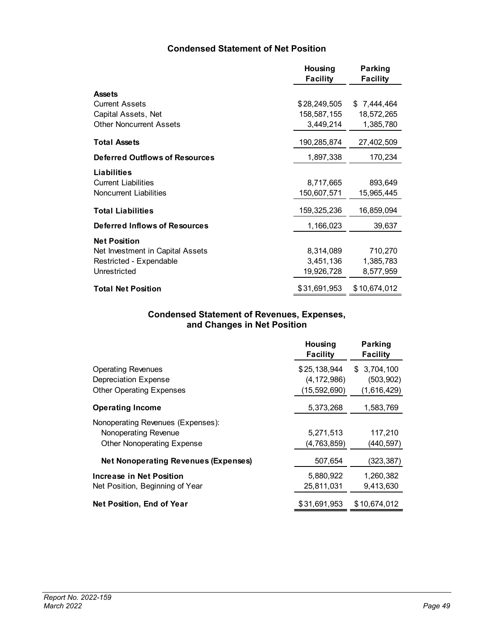### **Condensed Statement of Net Position**

|                                                                                                    | Housing<br><b>Facility</b>           | <b>Parking</b><br><b>Facility</b> |
|----------------------------------------------------------------------------------------------------|--------------------------------------|-----------------------------------|
| <b>Assets</b><br><b>Current Assets</b>                                                             | \$28,249,505                         | \$7,444,464                       |
| Capital Assets, Net<br><b>Other Noncurrent Assets</b>                                              | 158,587,155<br>3,449,214             | 18,572,265<br>1,385,780           |
| <b>Total Assets</b>                                                                                | 190,285,874                          | 27,402,509                        |
| <b>Deferred Outflows of Resources</b>                                                              | 1,897,338                            | 170,234                           |
| Liabilities<br><b>Current Liabilities</b><br><b>Noncurrent Liabilities</b>                         | 8,717,665<br>150,607,571             | 893,649<br>15,965,445             |
| <b>Total Liabilities</b>                                                                           | 159,325,236                          | 16,859,094                        |
| Deferred Inflows of Resources                                                                      | 1,166,023                            | 39,637                            |
| <b>Net Position</b><br>Net Investment in Capital Assets<br>Restricted - Expendable<br>Unrestricted | 8,314,089<br>3,451,136<br>19,926,728 | 710,270<br>1,385,783<br>8,577,959 |
| <b>Total Net Position</b>                                                                          | \$31,691,953                         | \$10,674,012                      |

### **Condensed Statement of Revenues, Expenses, and Changes in Net Position**

|                                             | Housing<br><b>Facility</b> | Parking<br><b>Facility</b> |
|---------------------------------------------|----------------------------|----------------------------|
| <b>Operating Revenues</b>                   | \$25,138,944               | \$3,704,100                |
| <b>Depreciation Expense</b>                 | (4, 172, 986)              | (503, 902)                 |
| <b>Other Operating Expenses</b>             | (15, 592, 690)             | (1,616,429)                |
| <b>Operating Income</b>                     | 5,373,268                  | 1,583,769                  |
| Nonoperating Revenues (Expenses):           |                            |                            |
| Nonoperating Revenue                        | 5,271,513                  | 117,210                    |
| <b>Other Nonoperating Expense</b>           | (4,763,859)                | (440,597)                  |
| <b>Net Nonoperating Revenues (Expenses)</b> | 507,654                    | (323, 387)                 |
| Increase in Net Position                    | 5,880,922                  | 1,260,382                  |
| Net Position, Beginning of Year             | 25,811,031                 | 9,413,630                  |
| <b>Net Position, End of Year</b>            | \$31,691,953               | \$10,674,012               |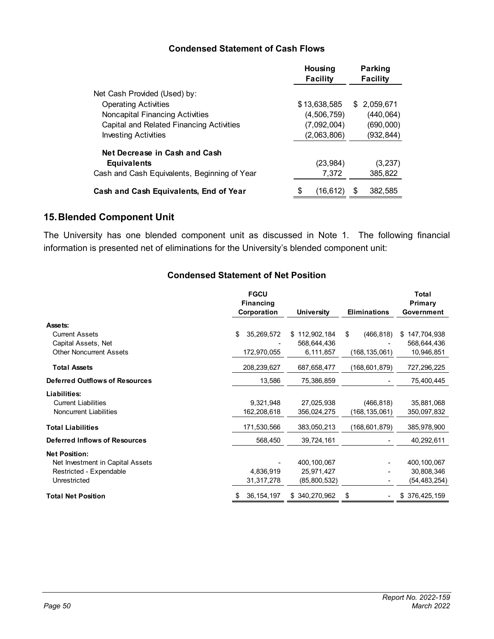### **Condensed Statement of Cash Flows**

|                                              | Housing<br><b>Facility</b> | <b>Parking</b><br><b>Facility</b> |
|----------------------------------------------|----------------------------|-----------------------------------|
| Net Cash Provided (Used) by:                 |                            |                                   |
| <b>Operating Activities</b>                  | \$13,638,585               | \$2,059,671                       |
| <b>Noncapital Financing Activities</b>       | (4,506,759)                | (440, 064)                        |
| Capital and Related Financing Activities     | (7,092,004)                | (690,000)                         |
| <b>Investing Activities</b>                  | (2,063,806)                | (932, 844)                        |
| Net Decrease in Cash and Cash                |                            |                                   |
| <b>Equivalents</b>                           | (23, 984)                  | (3,237)                           |
| Cash and Cash Equivalents, Beginning of Year | 7,372                      | 385,822                           |
| Cash and Cash Equivalents, End of Year       | (16,612)<br>S              | 382,585<br>\$                     |
|                                              |                            |                                   |

### **15. Blended Component Unit**

The University has one blended component unit as discussed in Note 1. The following financial information is presented net of eliminations for the University's blended component unit:

### **Condensed Statement of Net Position**

|                                       | <b>FGCU</b><br><b>Financing</b> |                   |                     | Total<br>Primary  |
|---------------------------------------|---------------------------------|-------------------|---------------------|-------------------|
|                                       | Corporation                     | <b>University</b> | <b>Eliminations</b> | Government        |
| Assets:                               |                                 |                   |                     |                   |
| <b>Current Assets</b>                 | 35,269,572<br>\$                | \$112,902,184     | \$<br>(466, 818)    | 147,704,938<br>S. |
| Capital Assets, Net                   |                                 | 568,644,436       |                     | 568,644,436       |
| <b>Other Noncurrent Assets</b>        | 172,970,055                     | 6,111,857         | (168, 135, 061)     | 10,946,851        |
| <b>Total Assets</b>                   | 208,239,627                     | 687,658,477       | (168, 601, 879)     | 727,296,225       |
| <b>Deferred Outflows of Resources</b> | 13,586                          | 75,386,859        |                     | 75,400,445        |
| Liabilities:                          |                                 |                   |                     |                   |
| <b>Current Liabilities</b>            | 9,321,948                       | 27,025,938        | (466, 818)          | 35,881,068        |
| <b>Noncurrent Liabilities</b>         | 162,208,618                     | 356,024,275       | (168, 135, 061)     | 350,097,832       |
| <b>Total Liabilities</b>              | 171,530,566                     | 383,050,213       | (168, 601, 879)     | 385,978,900       |
| <b>Deferred Inflows of Resources</b>  | 568,450                         | 39,724,161        |                     | 40,292,611        |
| <b>Net Position:</b>                  |                                 |                   |                     |                   |
| Net Investment in Capital Assets      |                                 | 400, 100, 067     |                     | 400,100,067       |
| Restricted - Expendable               | 4,836,919                       | 25,971,427        |                     | 30,808,346        |
| Unrestricted                          | 31,317,278                      | (85, 800, 532)    |                     | (54, 483, 254)    |
| <b>Total Net Position</b>             | 36, 154, 197<br>\$              | \$340,270,962     | \$                  | \$376,425,159     |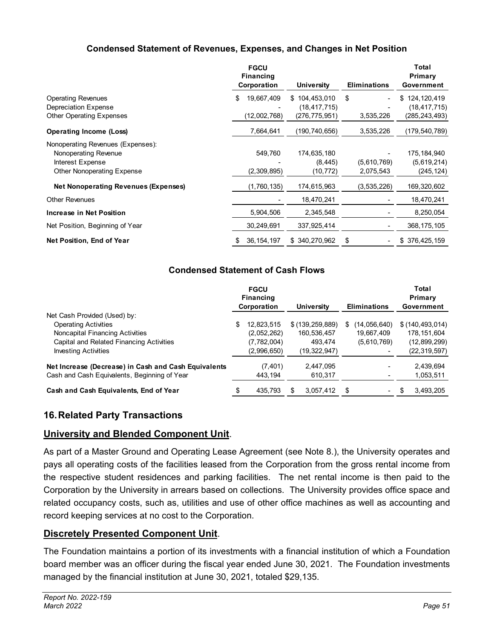### **Condensed Statement of Revenues, Expenses, and Changes in Net Position**

|                                             | <b>FGCU</b><br><b>Financing</b><br>Corporation | University        | <b>Eliminations</b>            | Total<br>Primary<br>Government |
|---------------------------------------------|------------------------------------------------|-------------------|--------------------------------|--------------------------------|
| <b>Operating Revenues</b>                   | 19,667,409<br>\$                               | 104,453,010<br>S. | \$<br>$\overline{\phantom{0}}$ | 124, 120, 419<br>S.            |
| <b>Depreciation Expense</b>                 |                                                | (18, 417, 715)    |                                | (18, 417, 715)                 |
| <b>Other Operating Expenses</b>             | (12,002,768)                                   | (276, 775, 951)   | 3,535,226                      | (285, 243, 493)                |
| <b>Operating Income (Loss)</b>              | 7,664,641                                      | (190, 740, 656)   | 3,535,226                      | (179,540,789)                  |
| Nonoperating Revenues (Expenses):           |                                                |                   |                                |                                |
| Nonoperating Revenue                        | 549,760                                        | 174,635,180       |                                | 175, 184, 940                  |
| Interest Expense                            |                                                | (8, 445)          | (5,610,769)                    | (5,619,214)                    |
| <b>Other Nonoperating Expense</b>           | (2,309,895)                                    | (10,772)          | 2,075,543                      | (245,124)                      |
| <b>Net Nonoperating Revenues (Expenses)</b> | (1,760,135)                                    | 174,615,963       | (3, 535, 226)                  | 169,320,602                    |
| <b>Other Revenues</b>                       |                                                | 18,470,241        |                                | 18,470,241                     |
| Increase in Net Position                    | 5,904,506                                      | 2,345,548         |                                | 8,250,054                      |
| Net Position, Beginning of Year             | 30,249,691                                     | 337,925,414       |                                | 368, 175, 105                  |
| Net Position, End of Year                   | 36, 154, 197<br>\$                             | \$340,270,962     | \$                             | \$376,425,159                  |

### **Condensed Statement of Cash Flows**

|                                                                                                      | <b>FGCU</b><br><b>Financing</b><br>Corporation | <b>University</b>    |    | <b>Eliminations</b> | Total<br>Primary<br>Government |
|------------------------------------------------------------------------------------------------------|------------------------------------------------|----------------------|----|---------------------|--------------------------------|
| Net Cash Provided (Used) by:                                                                         |                                                |                      |    |                     |                                |
| <b>Operating Activities</b>                                                                          | \$<br>12,823,515                               | \$(139, 259, 889)    | S. | (14,056,640)        | \$(140, 493, 014)              |
| <b>Noncapital Financing Activities</b>                                                               | (2,052,262)                                    | 160,536,457          |    | 19,667,409          | 178, 151, 604                  |
| Capital and Related Financing Activities                                                             | (7,782,004)                                    | 493.474              |    | (5,610,769)         | (12, 899, 299)                 |
| <b>Investing Activities</b>                                                                          | (2,996,650)                                    | (19,322,947)         |    |                     | (22, 319, 597)                 |
| Net Increase (Decrease) in Cash and Cash Equivalents<br>Cash and Cash Equivalents, Beginning of Year | (7, 401)<br>443.194                            | 2,447,095<br>610.317 |    |                     | 2,439,694<br>1,053,511         |
| Cash and Cash Equivalents, End of Year                                                               | 435.793                                        | 3.057.412            | \$ | ۰.                  | \$<br>3.493.205                |

### **16. Related Party Transactions**

### **University and Blended Component Unit**.

As part of a Master Ground and Operating Lease Agreement (see Note 8.), the University operates and pays all operating costs of the facilities leased from the Corporation from the gross rental income from the respective student residences and parking facilities. The net rental income is then paid to the Corporation by the University in arrears based on collections. The University provides office space and related occupancy costs, such as, utilities and use of other office machines as well as accounting and record keeping services at no cost to the Corporation.

### **Discretely Presented Component Unit**.

The Foundation maintains a portion of its investments with a financial institution of which a Foundation board member was an officer during the fiscal year ended June 30, 2021. The Foundation investments managed by the financial institution at June 30, 2021, totaled \$29,135.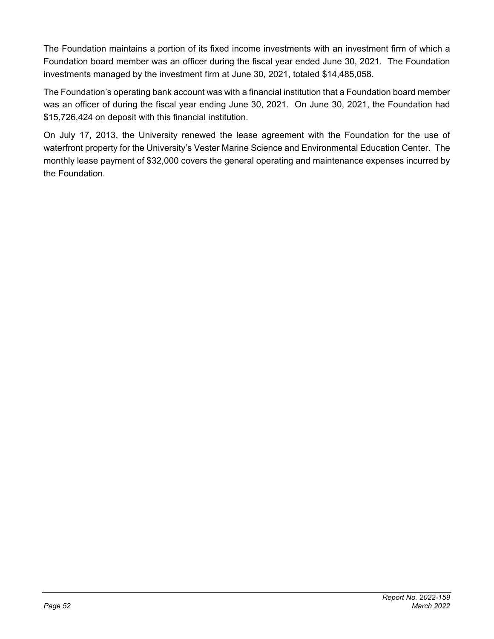The Foundation maintains a portion of its fixed income investments with an investment firm of which a Foundation board member was an officer during the fiscal year ended June 30, 2021. The Foundation investments managed by the investment firm at June 30, 2021, totaled \$14,485,058.

The Foundation's operating bank account was with a financial institution that a Foundation board member was an officer of during the fiscal year ending June 30, 2021. On June 30, 2021, the Foundation had \$15,726,424 on deposit with this financial institution.

On July 17, 2013, the University renewed the lease agreement with the Foundation for the use of waterfront property for the University's Vester Marine Science and Environmental Education Center. The monthly lease payment of \$32,000 covers the general operating and maintenance expenses incurred by the Foundation.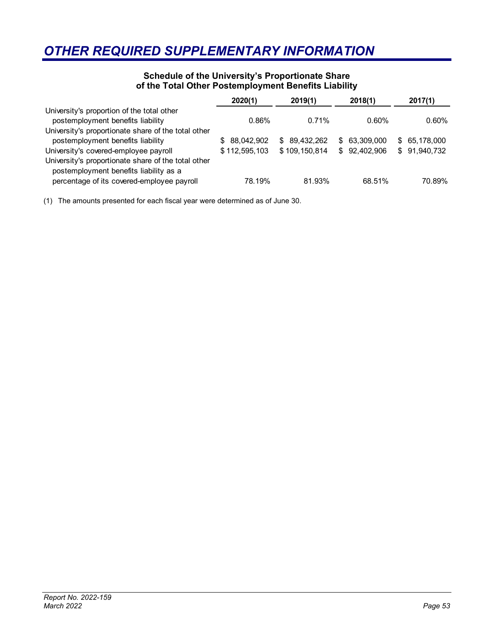# <span id="page-56-0"></span>*OTHER REQUIRED SUPPLEMENTARY INFORMATION*

### **Schedule of the University's Proportionate Share of the Total Other Postemployment Benefits Liability**

|                                                     | 2020(1)       | 2019(1)       | 2018(1)       | 2017(1)       |
|-----------------------------------------------------|---------------|---------------|---------------|---------------|
| University's proportion of the total other          |               |               |               |               |
| postemployment benefits liability                   | 0.86%         | 0.71%         | 0.60%         | $0.60\%$      |
| University's proportionate share of the total other |               |               |               |               |
| postemployment benefits liability                   | \$88,042,902  | \$ 89.432.262 | \$ 63,309,000 | \$ 65,178,000 |
| University's covered-employee payroll               | \$112,595,103 | \$109,150,814 | \$92,402,906  | \$91,940,732  |
| University's proportionate share of the total other |               |               |               |               |
| postemployment benefits liability as a              |               |               |               |               |
| percentage of its covered-employee payroll          | 78.19%        | 81.93%        | 68.51%        | 70.89%        |

(1) The amounts presented for each fiscal year were determined as of June 30.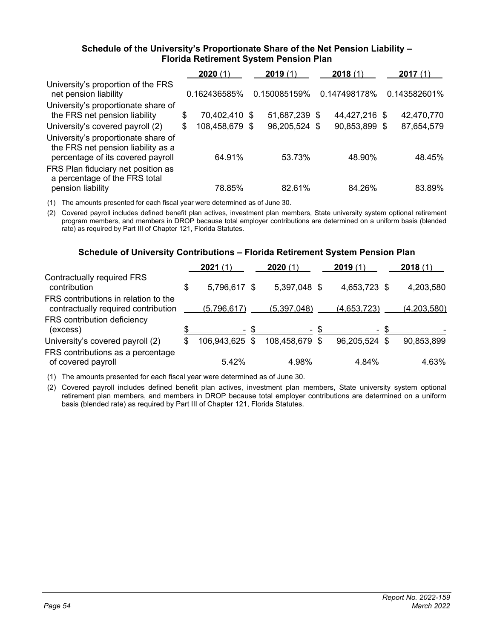### **Schedule of the University's Proportionate Share of the Net Pension Liability – Florida Retirement System Pension Plan**

<span id="page-57-0"></span>

|                                                                                                                | 2020(1)              | 2019(1)       | 2018(1)       | 2017(1)      |
|----------------------------------------------------------------------------------------------------------------|----------------------|---------------|---------------|--------------|
| University's proportion of the FRS<br>net pension liability<br>University's proportionate share of             | 0.162436585%         | 0.150085159%  | 0.147498178%  | 0.143582601% |
| the FRS net pension liability                                                                                  | \$<br>70,402,410 \$  | 51,687,239 \$ | 44,427,216 \$ | 42,470,770   |
| University's covered payroll (2)                                                                               | \$<br>108,458,679 \$ | 96,205,524 \$ | 90,853,899 \$ | 87,654,579   |
| University's proportionate share of<br>the FRS net pension liability as a<br>percentage of its covered payroll | 64.91%               | 53.73%        | 48.90%        | 48.45%       |
| FRS Plan fiduciary net position as<br>a percentage of the FRS total<br>pension liability                       | 78.85%               | 82.61%        | 84.26%        | 83.89%       |

(1) The amounts presented for each fiscal year were determined as of June 30.

(2) Covered payroll includes defined benefit plan actives, investment plan members, State university system optional retirement program members, and members in DROP because total employer contributions are determined on a uniform basis (blended rate) as required by Part III of Chapter 121, Florida Statutes.

### **Schedule of University Contributions – Florida Retirement System Pension Plan**

|                                                                             | 2021(1)              | 2020(1)                  | 2019(1)      |     | 2018(1)     |
|-----------------------------------------------------------------------------|----------------------|--------------------------|--------------|-----|-------------|
| <b>Contractually required FRS</b><br>contribution                           | \$<br>5,796,617 \$   | 5,397,048 \$             | 4,653,723 \$ |     | 4,203,580   |
| FRS contributions in relation to the<br>contractually required contribution | (5,796,617)          | (5,397,048)              | (4,653,723)  |     | (4,203,580) |
| FRS contribution deficiency<br>(excess)                                     |                      | $\overline{\phantom{0}}$ |              |     |             |
| University's covered payroll (2)<br>FRS contributions as a percentage       | \$<br>106,943,625 \$ | 108,458,679 \$           | 96,205,524   | -\$ | 90,853,899  |
| of covered payroll                                                          | 5.42%                | 4.98%                    | 4.84%        |     | 4.63%       |

(1) The amounts presented for each fiscal year were determined as of June 30.

(2) Covered payroll includes defined benefit plan actives, investment plan members, State university system optional retirement plan members, and members in DROP because total employer contributions are determined on a uniform basis (blended rate) as required by Part III of Chapter 121, Florida Statutes.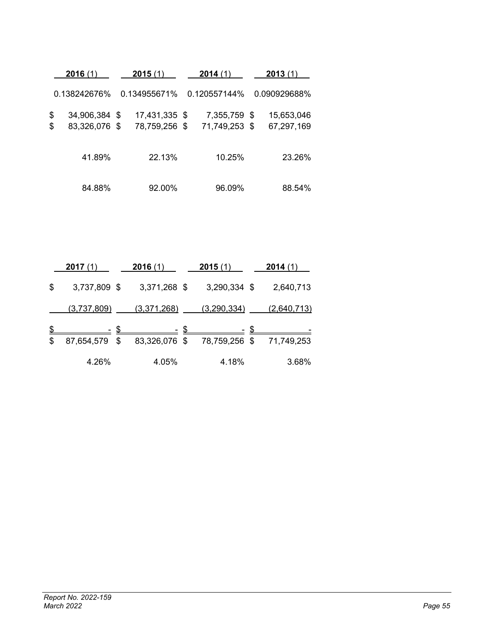|          | 2016(1)                        | 2015(1)                        | 2014(1)                       | 2013 (1                  |
|----------|--------------------------------|--------------------------------|-------------------------------|--------------------------|
|          | 0.138242676%                   | 0.134955671%                   | 0.120557144%                  | 0.090929688%             |
| \$<br>\$ | 34,906,384 \$<br>83,326,076 \$ | 17,431,335 \$<br>78,759,256 \$ | 7,355,759 \$<br>71,749,253 \$ | 15,653,046<br>67,297,169 |
|          | 41.89%                         | 22.13%                         | 10.25%                        | 23.26%                   |
|          | 84.88%                         | 92.00%                         | 96.09%                        | 88.54%                   |

| 2017(1)            | 2016(1)             | 2015(1)       | 2014(1)     |
|--------------------|---------------------|---------------|-------------|
| \$<br>3,737,809 \$ | 3,371,268 \$        | 3,290,334 \$  | 2,640,713   |
| (3,737,809)        | (3,371,268)         | (3,290,334)   | (2,640,713) |
|                    |                     |               |             |
| \$<br>87,654,579   | \$<br>83,326,076 \$ | 78,759,256 \$ | 71,749,253  |
| 4.26%              | 4.05%               | 4.18%         | 3.68%       |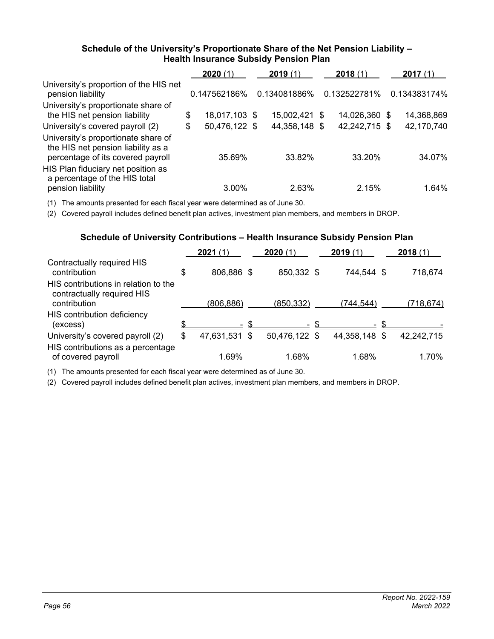### **Schedule of the University's Proportionate Share of the Net Pension Liability – Health Insurance Subsidy Pension Plan**

<span id="page-59-0"></span>

|                                                                                                                | 2020(1)             | 2019(1)       | 2018(1)       | 2017         |
|----------------------------------------------------------------------------------------------------------------|---------------------|---------------|---------------|--------------|
| University's proportion of the HIS net<br>pension liability<br>University's proportionate share of             | 0.147562186%        | 0.134081886%  | 0.132522781%  | 0.134383174% |
| the HIS net pension liability                                                                                  | \$<br>18,017,103 \$ | 15,002,421 \$ | 14,026,360 \$ | 14,368,869   |
| University's covered payroll (2)                                                                               | \$<br>50,476,122 \$ | 44,358,148 \$ | 42,242,715 \$ | 42,170,740   |
| University's proportionate share of<br>the HIS net pension liability as a<br>percentage of its covered payroll | 35.69%              | 33.82%        | 33.20%        | 34.07%       |
| HIS Plan fiduciary net position as<br>a percentage of the HIS total<br>pension liability                       | $3.00\%$            | 2.63%         | 2.15%         | 1.64%        |

(1) The amounts presented for each fiscal year were determined as of June 30.

(2) Covered payroll includes defined benefit plan actives, investment plan members, and members in DROP.

### **Schedule of University Contributions – Health Insurance Subsidy Pension Plan**

|                                                                    | 2021(1)             | 2020(1)       | 2019(1)       | 2018(1)    |
|--------------------------------------------------------------------|---------------------|---------------|---------------|------------|
| Contractually required HIS<br>contribution                         | \$<br>806,886 \$    | 850,332 \$    | 744,544 \$    | 718,674    |
| HIS contributions in relation to the<br>contractually required HIS |                     |               |               |            |
| contribution                                                       | (806, 886)          | (850, 332)    | (744, 544)    | (718, 674) |
| HIS contribution deficiency                                        |                     |               |               |            |
| (excess)                                                           |                     |               |               |            |
| University's covered payroll (2)                                   | \$<br>47,631,531 \$ | 50,476,122 \$ | 44,358,148 \$ | 42,242,715 |
| HIS contributions as a percentage<br>of covered payroll            | 1.69%               | 1.68%         | 1.68%         | 1.70%      |

(1) The amounts presented for each fiscal year were determined as of June 30.

(2) Covered payroll includes defined benefit plan actives, investment plan members, and members in DROP.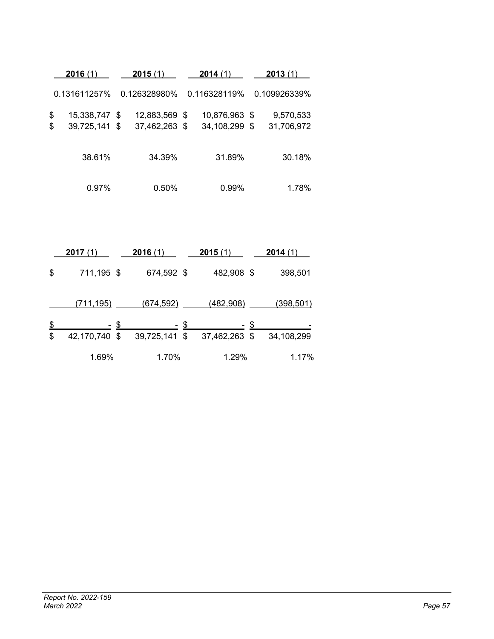| 2016 (1) |                          | 2015(1)                                       | 2014(1) |                                |  | 2013 (1                 |  |  |  |
|----------|--------------------------|-----------------------------------------------|---------|--------------------------------|--|-------------------------|--|--|--|
|          | 0.131611257%             | 0.126328980%                                  |         | 0.116328119%                   |  | 0.109926339%            |  |  |  |
| \$<br>\$ | 15,338,747<br>39,725,141 | 12,883,569 \$<br>- \$<br>37,462,263 \$<br>-\$ |         | 10,876,963 \$<br>34,108,299 \$ |  | 9,570,533<br>31,706,972 |  |  |  |
|          | 38.61%                   | 34.39%                                        |         | 31.89%                         |  | 30.18%                  |  |  |  |
|          | 0.97%                    | 0.50%                                         |         | $0.99\%$                       |  | 1.78%                   |  |  |  |

| 2017(1)             |      | 2016(1)       |    | 2015(1)       |    | 2014(1)    |  |
|---------------------|------|---------------|----|---------------|----|------------|--|
| \$<br>711,195 \$    |      | 674,592 \$    |    | 482,908 \$    |    | 398,501    |  |
| (711, 195)          |      | (674, 592)    |    | (482,908)     |    | (398,501)  |  |
|                     | - \$ |               | \$ |               | \$ |            |  |
| \$<br>42,170,740 \$ |      | 39,725,141 \$ |    | 37,462,263 \$ |    | 34,108,299 |  |
| 1.69%               |      | 1.70%         |    | 1.29%         |    | 1.17%      |  |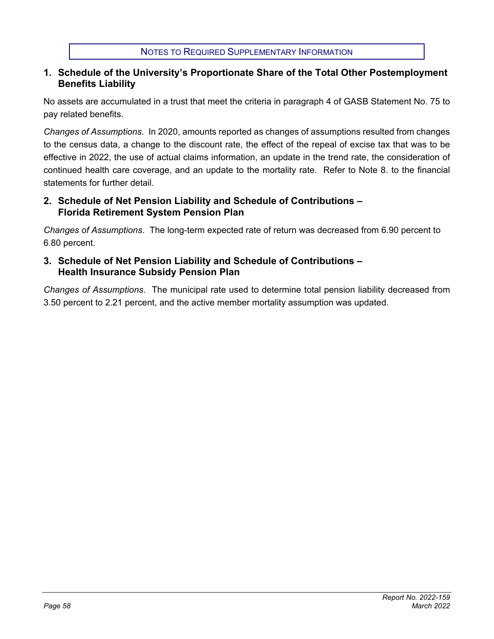### <span id="page-61-0"></span>**1. Schedule of the University's Proportionate Share of the Total Other Postemployment Benefits Liability**

No assets are accumulated in a trust that meet the criteria in paragraph 4 of GASB Statement No. 75 to pay related benefits.

*Changes of Assumptions*. In 2020, amounts reported as changes of assumptions resulted from changes to the census data, a change to the discount rate, the effect of the repeal of excise tax that was to be effective in 2022, the use of actual claims information, an update in the trend rate, the consideration of continued health care coverage, and an update to the mortality rate. Refer to Note 8. to the financial statements for further detail.

### **2. Schedule of Net Pension Liability and Schedule of Contributions – Florida Retirement System Pension Plan**

*Changes of Assumptions*. The long-term expected rate of return was decreased from 6.90 percent to 6.80 percent.

### **3. Schedule of Net Pension Liability and Schedule of Contributions – Health Insurance Subsidy Pension Plan**

*Changes of Assumptions*. The municipal rate used to determine total pension liability decreased from 3.50 percent to 2.21 percent, and the active member mortality assumption was updated.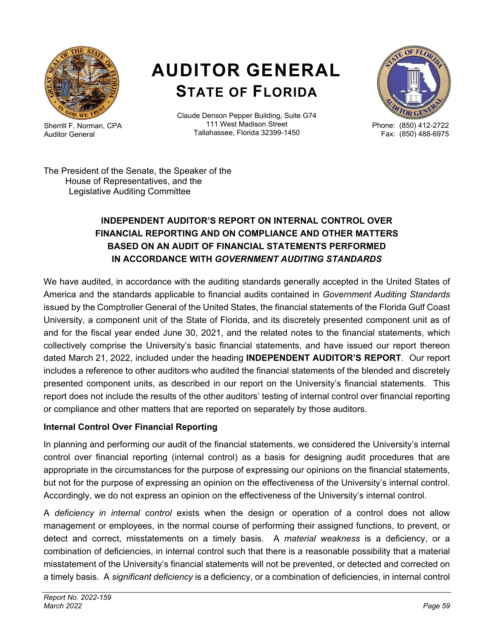<span id="page-62-0"></span>

Sherrill F. Norman, CPA Auditor General

# **AUDITOR GENERAL STATE OF FLORIDA**

Claude Denson Pepper Building, Suite G74 111 West Madison Street Tallahassee, Florida 32399-1450



Phone: (850) 412-2722 Fax: (850) 488-6975

The President of the Senate, the Speaker of the House of Representatives, and the Legislative Auditing Committee

### **INDEPENDENT AUDITOR'S REPORT ON INTERNAL CONTROL OVER FINANCIAL REPORTING AND ON COMPLIANCE AND OTHER MATTERS BASED ON AN AUDIT OF FINANCIAL STATEMENTS PERFORMED IN ACCORDANCE WITH** *GOVERNMENT AUDITING STANDARDS*

We have audited, in accordance with the auditing standards generally accepted in the United States of America and the standards applicable to financial audits contained in *Government Auditing Standards* issued by the Comptroller General of the United States, the financial statements of the Florida Gulf Coast University, a component unit of the State of Florida, and its discretely presented component unit as of and for the fiscal year ended June 30, 2021, and the related notes to the financial statements, which collectively comprise the University's basic financial statements, and have issued our report thereon dated March 21, 2022, included under the heading **INDEPENDENT AUDITOR'S REPORT**. Our report includes a reference to other auditors who audited the financial statements of the blended and discretely presented component units, as described in our report on the University's financial statements. This report does not include the results of the other auditors' testing of internal control over financial reporting or compliance and other matters that are reported on separately by those auditors.

### **Internal Control Over Financial Reporting**

In planning and performing our audit of the financial statements, we considered the University's internal control over financial reporting (internal control) as a basis for designing audit procedures that are appropriate in the circumstances for the purpose of expressing our opinions on the financial statements, but not for the purpose of expressing an opinion on the effectiveness of the University's internal control. Accordingly, we do not express an opinion on the effectiveness of the University's internal control.

A *deficiency in internal control* exists when the design or operation of a control does not allow management or employees, in the normal course of performing their assigned functions, to prevent, or detect and correct, misstatements on a timely basis. A *material weakness* is a deficiency, or a combination of deficiencies, in internal control such that there is a reasonable possibility that a material misstatement of the University's financial statements will not be prevented, or detected and corrected on a timely basis. A *significant deficiency* is a deficiency, or a combination of deficiencies, in internal control